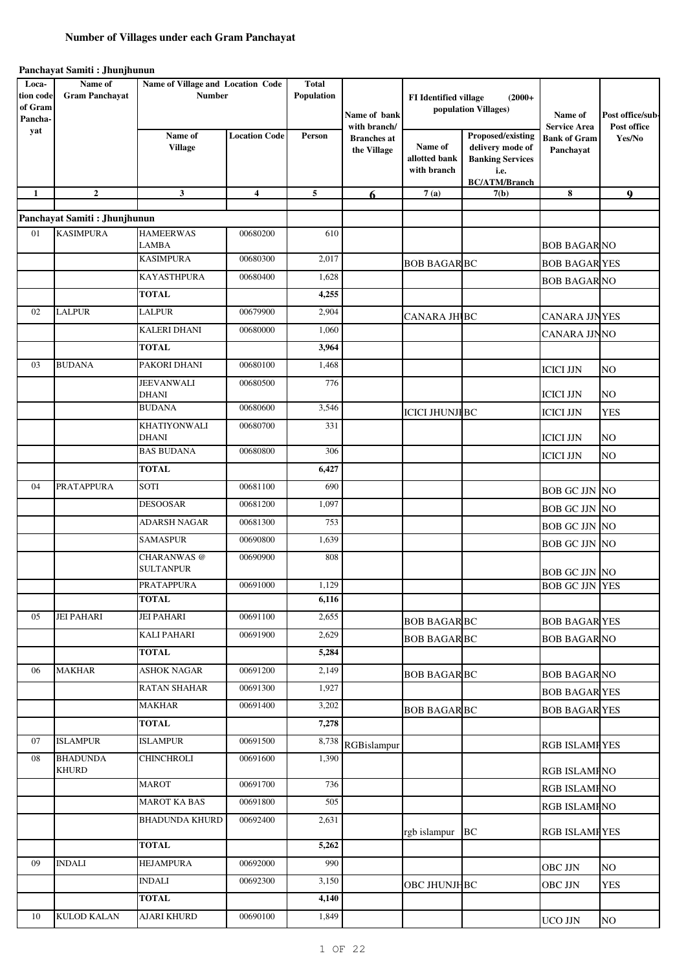## **Panchayat Samiti : Jhunjhunun**

| Loca-<br>tion code<br>of Gram<br>Pancha- | Name of<br><b>Gram Panchayat</b> | Name of Village and Location Code<br><b>Number</b> |                      | <b>Total</b><br><b>Population</b> | Name of bank<br>with branch/      | <b>FI</b> Identified village            | $(2000+$<br>population Villages)                                                                 | Name of<br><b>Service Area</b>   | Post office/sub-<br>Post office |
|------------------------------------------|----------------------------------|----------------------------------------------------|----------------------|-----------------------------------|-----------------------------------|-----------------------------------------|--------------------------------------------------------------------------------------------------|----------------------------------|---------------------------------|
| yat                                      |                                  | Name of<br><b>Village</b>                          | <b>Location Code</b> | Person                            | <b>Branches</b> at<br>the Village | Name of<br>allotted bank<br>with branch | Proposed/existing<br>delivery mode of<br><b>Banking Services</b><br>i.e.<br><b>BC/ATM/Branch</b> | <b>Bank of Gram</b><br>Panchayat | Yes/No                          |
| 1                                        | $\overline{2}$                   | $\mathbf{3}$                                       | $\overline{4}$       | 5                                 | 6                                 | 7(a)                                    | 7(b)                                                                                             | 8                                | 9                               |
|                                          | Panchayat Samiti: Jhunjhunun     |                                                    |                      |                                   |                                   |                                         |                                                                                                  |                                  |                                 |
| 01                                       | <b>KASIMPURA</b>                 | <b>HAMEERWAS</b><br><b>LAMBA</b>                   | 00680200             | 610                               |                                   |                                         |                                                                                                  | <b>BOB BAGAR NO</b>              |                                 |
|                                          |                                  | <b>KASIMPURA</b>                                   | 00680300             | 2,017                             |                                   | <b>BOB BAGAR BC</b>                     |                                                                                                  | <b>BOB BAGAR YES</b>             |                                 |
|                                          |                                  | <b>KAYASTHPURA</b>                                 | 00680400             | 1,628                             |                                   |                                         |                                                                                                  | <b>BOB BAGAR NO</b>              |                                 |
|                                          |                                  | <b>TOTAL</b>                                       |                      | 4,255                             |                                   |                                         |                                                                                                  |                                  |                                 |
| 02                                       | <b>LALPUR</b>                    | <b>LALPUR</b>                                      | 00679900             | 2,904                             |                                   | CANARA JHIBC                            |                                                                                                  | <b>CANARA JJNYES</b>             |                                 |
|                                          |                                  | <b>KALERI DHANI</b>                                | 00680000             | 1,060                             |                                   |                                         |                                                                                                  | CANARA JJNNO                     |                                 |
|                                          |                                  | <b>TOTAL</b>                                       |                      | 3,964                             |                                   |                                         |                                                                                                  |                                  |                                 |
| 03                                       | <b>BUDANA</b>                    | PAKORI DHANI                                       | 00680100             | 1,468                             |                                   |                                         |                                                                                                  | <b>ICICI JJN</b>                 | NO.                             |
|                                          |                                  | <b>JEEVANWALI</b><br><b>DHANI</b>                  | 00680500             | 776                               |                                   |                                         |                                                                                                  | <b>ICICI JJN</b>                 | N <sub>O</sub>                  |
|                                          |                                  | <b>BUDANA</b>                                      | 00680600             | 3,546                             |                                   | <b>ICICI JHUNJIBC</b>                   |                                                                                                  | <b>ICICI JJN</b>                 | <b>YES</b>                      |
|                                          |                                  | <b>KHATIYONWALI</b><br><b>DHANI</b>                | 00680700             | 331                               |                                   |                                         |                                                                                                  | <b>ICICI JJN</b>                 | NO                              |
|                                          |                                  | <b>BAS BUDANA</b>                                  | 00680800             | 306                               |                                   |                                         |                                                                                                  | <b>ICICI JJN</b>                 | NO                              |
|                                          |                                  | <b>TOTAL</b>                                       |                      | 6,427                             |                                   |                                         |                                                                                                  |                                  |                                 |
| 04                                       | PRATAPPURA                       | SOTI                                               | 00681100             | 690                               |                                   |                                         |                                                                                                  | <b>BOB GC JJN NO</b>             |                                 |
|                                          |                                  | <b>DESOOSAR</b>                                    | 00681200             | 1,097                             |                                   |                                         |                                                                                                  | <b>BOB GC JJN NO</b>             |                                 |
|                                          |                                  | <b>ADARSH NAGAR</b>                                | 00681300             | 753                               |                                   |                                         |                                                                                                  | <b>BOB GC JJN NO</b>             |                                 |
|                                          |                                  | <b>SAMASPUR</b>                                    | 00690800             | 1,639                             |                                   |                                         |                                                                                                  | <b>BOB GC JJN</b>                | NO                              |
|                                          |                                  | <b>CHARANWAS</b> @<br><b>SULTANPUR</b>             | 00690900             | 808                               |                                   |                                         |                                                                                                  | <b>BOB GC JJN NO</b>             |                                 |
|                                          |                                  | <b>PRATAPPURA</b>                                  | 00691000             | 1,129                             |                                   |                                         |                                                                                                  | <b>BOB GC JJN YES</b>            |                                 |
|                                          |                                  | <b>TOTAL</b>                                       |                      | 6,116                             |                                   |                                         |                                                                                                  |                                  |                                 |
| 05                                       | <b>JEI PAHARI</b>                | <b>JEI PAHARI</b>                                  | 00691100             | 2,655                             |                                   | <b>BOB BAGAR BC</b>                     |                                                                                                  | <b>BOB BAGAR YES</b>             |                                 |
|                                          |                                  | <b>KALI PAHARI</b>                                 | 00691900             | 2,629                             |                                   | <b>BOB BAGAR BC</b>                     |                                                                                                  | <b>BOB BAGAR NO</b>              |                                 |
|                                          |                                  | <b>TOTAL</b>                                       |                      | 5,284                             |                                   |                                         |                                                                                                  |                                  |                                 |
| 06                                       | <b>MAKHAR</b>                    | <b>ASHOK NAGAR</b>                                 | 00691200             | 2,149                             |                                   | <b>BOB BAGAR BC</b>                     |                                                                                                  | <b>BOB BAGAR NO</b>              |                                 |
|                                          |                                  | <b>RATAN SHAHAR</b>                                | 00691300             | 1,927                             |                                   |                                         |                                                                                                  | <b>BOB BAGAR YES</b>             |                                 |
|                                          |                                  | <b>MAKHAR</b>                                      | 00691400             | 3,202                             |                                   | <b>BOB BAGAR BC</b>                     |                                                                                                  | <b>BOB BAGAR YES</b>             |                                 |
|                                          |                                  | <b>TOTAL</b>                                       |                      | 7,278                             |                                   |                                         |                                                                                                  |                                  |                                 |
| 07                                       | <b>ISLAMPUR</b>                  | <b>ISLAMPUR</b>                                    | 00691500             | 8,738                             | RGBislampur                       |                                         |                                                                                                  | <b>RGB ISLAMIYES</b>             |                                 |
| 08                                       | <b>BHADUNDA</b><br><b>KHURD</b>  | <b>CHINCHROLI</b>                                  | 00691600             | 1,390                             |                                   |                                         |                                                                                                  | <b>RGB ISLAMFNO</b>              |                                 |
|                                          |                                  | <b>MAROT</b>                                       | 00691700             | 736                               |                                   |                                         |                                                                                                  | <b>RGB ISLAMFNO</b>              |                                 |
|                                          |                                  | <b>MAROT KA BAS</b>                                | 00691800             | 505                               |                                   |                                         |                                                                                                  | <b>RGB ISLAMFNO</b>              |                                 |
|                                          |                                  | <b>BHADUNDA KHURD</b>                              | 00692400             | 2,631                             |                                   | rgb islampur                            | <b>BC</b>                                                                                        | <b>RGB ISLAMFYES</b>             |                                 |
|                                          |                                  | <b>TOTAL</b>                                       |                      | 5,262                             |                                   |                                         |                                                                                                  |                                  |                                 |
| 09                                       | <b>INDALI</b>                    | <b>HEJAMPURA</b>                                   | 00692000             | 990                               |                                   |                                         |                                                                                                  | <b>OBC JJN</b>                   | NO.                             |
|                                          |                                  | <b>INDALI</b>                                      | 00692300             | 3,150                             |                                   | OBC JHUNJHBC                            |                                                                                                  | OBC JJN                          | <b>YES</b>                      |
|                                          |                                  | <b>TOTAL</b>                                       |                      | 4,140                             |                                   |                                         |                                                                                                  |                                  |                                 |
| 10                                       | <b>KULOD KALAN</b>               | <b>AJARI KHURD</b>                                 | 00690100             | 1,849                             |                                   |                                         |                                                                                                  | <b>UCO JJN</b>                   | NO                              |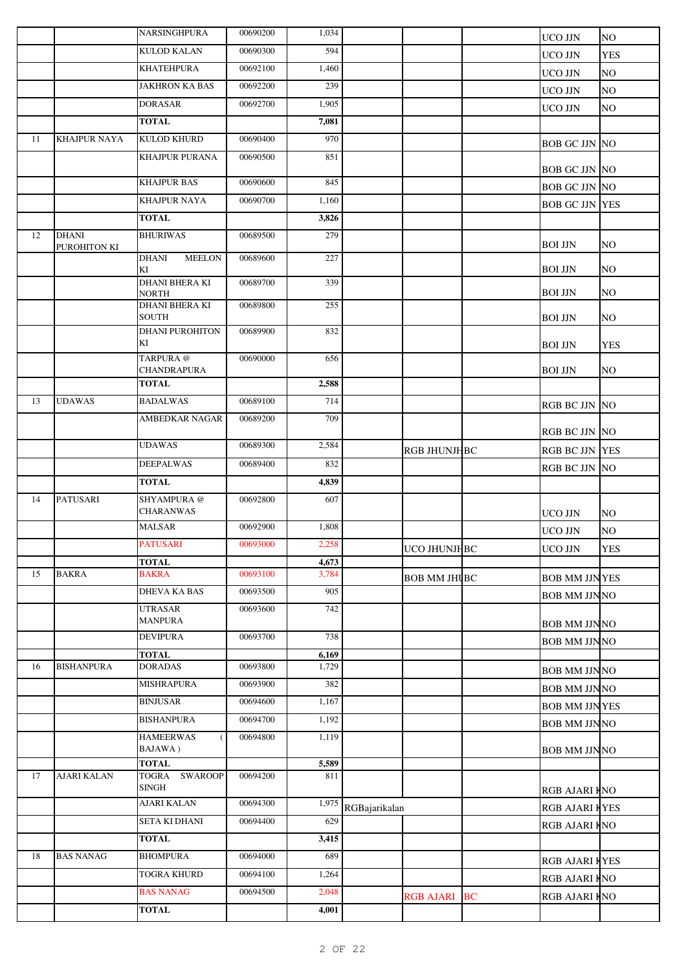|    |                     | <b>NARSINGHPURA</b>                            | 00690200 | 1,034          |               |                     |           | UCO JJN               | NO.        |
|----|---------------------|------------------------------------------------|----------|----------------|---------------|---------------------|-----------|-----------------------|------------|
|    |                     | <b>KULOD KALAN</b>                             | 00690300 | 594            |               |                     |           | UCO JJN               | <b>YES</b> |
|    |                     | <b>KHATEHPURA</b>                              | 00692100 | 1,460          |               |                     |           | <b>UCO JJN</b>        | NO.        |
|    |                     | <b>JAKHRON KA BAS</b>                          | 00692200 | 239            |               |                     |           | UCO JJN               | NO         |
|    |                     | <b>DORASAR</b>                                 | 00692700 | 1,905          |               |                     |           | UCO JJN               | NO.        |
|    |                     | <b>TOTAL</b>                                   |          | 7,081          |               |                     |           |                       |            |
| 11 | <b>KHAJPUR NAYA</b> | <b>KULOD KHURD</b>                             | 00690400 | 970            |               |                     |           | <b>BOB GC JJN NO</b>  |            |
|    |                     | <b>KHAJPUR PURANA</b>                          | 00690500 | 851            |               |                     |           |                       |            |
|    |                     | <b>KHAJPUR BAS</b>                             | 00690600 | 845            |               |                     |           | <b>BOB GC JJN NO</b>  |            |
|    |                     | KHAJPUR NAYA                                   | 00690700 | 1,160          |               |                     |           | <b>BOB GC JJN NO</b>  |            |
|    |                     | <b>TOTAL</b>                                   |          | 3,826          |               |                     |           | <b>BOB GC JJN YES</b> |            |
| 12 | <b>DHANI</b>        | <b>BHURIWAS</b>                                | 00689500 | 279            |               |                     |           |                       |            |
|    | PUROHITON KI        |                                                |          |                |               |                     |           | <b>BOI JJN</b>        | NO.        |
|    |                     | <b>DHANI</b><br><b>MEELON</b><br>ΚI            | 00689600 | 227            |               |                     |           | <b>BOI JJN</b>        | NO.        |
|    |                     | <b>DHANI BHERA KI</b><br><b>NORTH</b>          | 00689700 | 339            |               |                     |           | <b>BOI JJN</b>        | NO.        |
|    |                     | <b>DHANI BHERA KI</b><br><b>SOUTH</b>          | 00689800 | 255            |               |                     |           | <b>BOI JJN</b>        | NO.        |
|    |                     | <b>DHANI PUROHITON</b><br>KI                   | 00689900 | 832            |               |                     |           | <b>BOI JJN</b>        | <b>YES</b> |
|    |                     | TARPURA @                                      | 00690000 | 656            |               |                     |           |                       |            |
|    |                     | <b>CHANDRAPURA</b><br><b>TOTAL</b>             |          | 2,588          |               |                     |           | <b>BOI JJN</b>        | NO.        |
| 13 | <b>UDAWAS</b>       | <b>BADALWAS</b>                                | 00689100 | 714            |               |                     |           |                       |            |
|    |                     | <b>AMBEDKAR NAGAR</b>                          | 00689200 | 709            |               |                     |           | RGB BC JJN NO         |            |
|    |                     | <b>UDAWAS</b>                                  | 00689300 | 2,584          |               |                     |           | RGB BC JJN NO         |            |
|    |                     | <b>DEEPALWAS</b>                               | 00689400 | 832            |               | <b>RGB JHUNJHBC</b> |           | <b>RGB BC JJN YES</b> |            |
|    |                     | <b>TOTAL</b>                                   |          | 4,839          |               |                     |           | RGB BC JJN NO         |            |
| 14 | <b>PATUSARI</b>     | SHYAMPURA @                                    | 00692800 | 607            |               |                     |           |                       |            |
|    |                     | <b>CHARANWAS</b>                               |          |                |               |                     |           | UCO JJN               | NO.        |
|    |                     |                                                |          |                |               |                     |           |                       |            |
|    |                     | <b>MALSAR</b>                                  | 00692900 | 1,808          |               |                     |           | UCO JJN               | NO         |
|    |                     | <b>PATUSARI</b>                                | 00693000 | 2,258          |               | UCO JHUNJHBC        |           | UCO JJN               | <b>YES</b> |
| 15 | <b>BAKRA</b>        | <b>TOTAL</b><br><b>BAKRA</b>                   | 00693100 | 4,673<br>3,784 |               |                     |           |                       |            |
|    |                     | DHEVA KA BAS                                   | 00693500 | 905            |               | <b>BOB MM JHUBC</b> |           | <b>BOB MM JJN YES</b> |            |
|    |                     | <b>UTRASAR</b>                                 | 00693600 | 742            |               |                     |           | BOB MM JJN NO         |            |
|    |                     | <b>MANPURA</b>                                 |          |                |               |                     |           | BOB MM JJNNO          |            |
|    |                     | <b>DEVIPURA</b>                                | 00693700 | 738            |               |                     |           | BOB MM JJNNO          |            |
| 16 | <b>BISHANPURA</b>   | <b>TOTAL</b><br><b>DORADAS</b>                 | 00693800 | 6,169<br>1,729 |               |                     |           | <b>BOB MM JJN NO</b>  |            |
|    |                     | <b>MISHRAPURA</b>                              | 00693900 | 382            |               |                     |           | BOB MM JJN NO         |            |
|    |                     | <b>BINJUSAR</b>                                | 00694600 | 1,167          |               |                     |           | <b>BOB MM JJN YES</b> |            |
|    |                     | <b>BISHANPURA</b>                              | 00694700 | 1,192          |               |                     |           | BOB MM JJN NO         |            |
|    |                     | <b>HAMEERWAS</b><br>BAJAWA)                    | 00694800 | 1,119          |               |                     |           | <b>BOB MM JJNNO</b>   |            |
|    |                     | <b>TOTAL</b>                                   |          | 5,589          |               |                     |           |                       |            |
| 17 | <b>AJARI KALAN</b>  | <b>SWAROOP</b><br><b>TOGRA</b><br><b>SINGH</b> | 00694200 | 811            |               |                     |           | <b>RGB AJARI KNO</b>  |            |
|    |                     | AJARI KALAN                                    | 00694300 | 1,975          | RGBajarikalan |                     |           | <b>RGB AJARI FYES</b> |            |
|    |                     | <b>SETA KI DHANI</b>                           | 00694400 | 629            |               |                     |           | <b>RGB AJARI KNO</b>  |            |
|    |                     | <b>TOTAL</b>                                   |          | 3,415          |               |                     |           |                       |            |
| 18 | <b>BAS NANAG</b>    | <b>BHOMPURA</b>                                | 00694000 | 689            |               |                     |           | <b>RGB AJARI FYES</b> |            |
|    |                     | <b>TOGRA KHURD</b>                             | 00694100 | 1,264          |               |                     |           | <b>RGB AJARI KNO</b>  |            |
|    |                     | <b>BAS NANAG</b><br><b>TOTAL</b>               | 00694500 | 2,048<br>4,001 |               | <b>RGB AJARI</b>    | <b>BC</b> | <b>RGB AJARI KNO</b>  |            |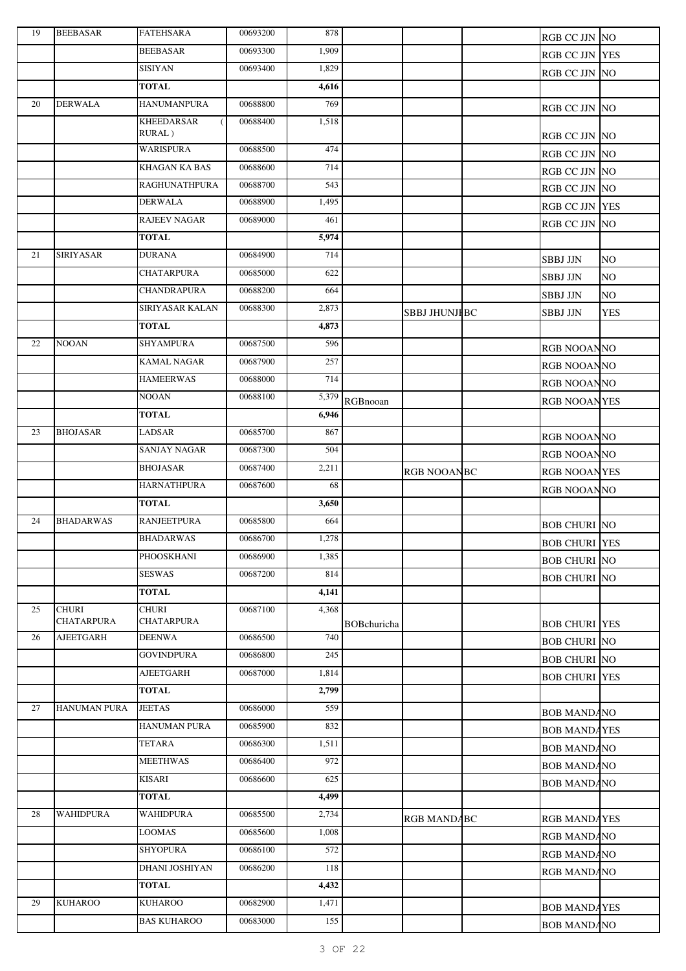| 19 | <b>BEEBASAR</b>                   | <b>FATEHSARA</b>            | 00693200 | 878   |                     |                    | RGB CC JJN NO         |            |
|----|-----------------------------------|-----------------------------|----------|-------|---------------------|--------------------|-----------------------|------------|
|    |                                   | <b>BEEBASAR</b>             | 00693300 | 1,909 |                     |                    | <b>RGB CC JJN YES</b> |            |
|    |                                   | <b>SISIYAN</b>              | 00693400 | 1,829 |                     |                    | RGB CC JJN NO         |            |
|    |                                   | <b>TOTAL</b>                |          | 4,616 |                     |                    |                       |            |
| 20 | <b>DERWALA</b>                    | <b>HANUMANPURA</b>          | 00688800 | 769   |                     |                    | RGB CC JJN NO         |            |
|    |                                   | <b>KHEEDARSAR</b><br>RURAL) | 00688400 | 1,518 |                     |                    | RGB CC JJN NO         |            |
|    |                                   | <b>WARISPURA</b>            | 00688500 | 474   |                     |                    | RGB CC JJN NO         |            |
|    |                                   | <b>KHAGAN KA BAS</b>        | 00688600 | 714   |                     |                    | RGB CC JJN NO         |            |
|    |                                   | <b>RAGHUNATHPURA</b>        | 00688700 | 543   |                     |                    | RGB CC JJN NO         |            |
|    |                                   | <b>DERWALA</b>              | 00688900 | 1,495 |                     |                    | RGB CC JJN YES        |            |
|    |                                   | <b>RAJEEV NAGAR</b>         | 00689000 | 461   |                     |                    | RGB CC JJN NO         |            |
|    |                                   | <b>TOTAL</b>                |          | 5,974 |                     |                    |                       |            |
| 21 | <b>SIRIYASAR</b>                  | <b>DURANA</b>               | 00684900 | 714   |                     |                    | <b>SBBJ JJN</b>       | NO         |
|    |                                   | <b>CHATARPURA</b>           | 00685000 | 622   |                     |                    | <b>SBBJ JJN</b>       | NO.        |
|    |                                   | <b>CHANDRAPURA</b>          | 00688200 | 664   |                     |                    | <b>SBBJ JJN</b>       | NO         |
|    |                                   | SIRIYASAR KALAN             | 00688300 | 2,873 |                     | SBBJ JHUNJI BC     | <b>SBBJ JJN</b>       | <b>YES</b> |
|    |                                   | <b>TOTAL</b>                |          | 4,873 |                     |                    |                       |            |
| 22 | <b>NOOAN</b>                      | <b>SHYAMPURA</b>            | 00687500 | 596   |                     |                    | RGB NOOANNO           |            |
|    |                                   | <b>KAMAL NAGAR</b>          | 00687900 | 257   |                     |                    | RGB NOOANNO           |            |
|    |                                   | <b>HAMEERWAS</b>            | 00688000 | 714   |                     |                    | RGB NOOANNO           |            |
|    |                                   | <b>NOOAN</b>                | 00688100 | 5,379 | RGBnooan            |                    | <b>RGB NOOAN YES</b>  |            |
|    |                                   | <b>TOTAL</b>                |          | 6,946 |                     |                    |                       |            |
| 23 | <b>BHOJASAR</b>                   | LADSAR                      | 00685700 | 867   |                     |                    | RGB NOOANNO           |            |
|    |                                   | <b>SANJAY NAGAR</b>         | 00687300 | 504   |                     |                    | <b>RGB NOOANNO</b>    |            |
|    |                                   | <b>BHOJASAR</b>             | 00687400 | 2,211 |                     | <b>RGB NOOANBC</b> | <b>RGB NOOANYES</b>   |            |
|    |                                   | <b>HARNATHPURA</b>          | 00687600 | 68    |                     |                    | RGB NOOANNO           |            |
|    |                                   | <b>TOTAL</b>                |          | 3,650 |                     |                    |                       |            |
| 24 | <b>BHADARWAS</b>                  | <b>RANJEETPURA</b>          | 00685800 | 664   |                     |                    | <b>BOB CHURI NO</b>   |            |
|    |                                   | <b>BHADARWAS</b>            | 00686700 | 1,278 |                     |                    | <b>BOB CHURI YES</b>  |            |
|    |                                   | <b>PHOOSKHANI</b>           | 00686900 | 1,385 |                     |                    | <b>BOB CHURI NO</b>   |            |
|    |                                   | <b>SESWAS</b>               | 00687200 | 814   |                     |                    | <b>BOB CHURI NO</b>   |            |
|    |                                   | <b>TOTAL</b>                |          | 4,141 |                     |                    |                       |            |
| 25 | <b>CHURI</b><br><b>CHATARPURA</b> | CHURI<br><b>CHATARPURA</b>  | 00687100 | 4,368 | <b>BOB</b> churicha |                    | <b>BOB CHURI YES</b>  |            |
| 26 | <b>AJEETGARH</b>                  | <b>DEENWA</b>               | 00686500 | 740   |                     |                    | <b>BOB CHURI NO</b>   |            |
|    |                                   | <b>GOVINDPURA</b>           | 00686800 | 245   |                     |                    | <b>BOB CHURI NO</b>   |            |
|    |                                   | <b>AJEETGARH</b>            | 00687000 | 1,814 |                     |                    | <b>BOB CHURI YES</b>  |            |
|    |                                   | <b>TOTAL</b>                |          | 2,799 |                     |                    |                       |            |
| 27 | <b>HANUMAN PURA</b>               | <b>JEETAS</b>               | 00686000 | 559   |                     |                    | <b>BOB MANDANO</b>    |            |
|    |                                   | <b>HANUMAN PURA</b>         | 00685900 | 832   |                     |                    | <b>BOB MANDAYES</b>   |            |
|    |                                   | <b>TETARA</b>               | 00686300 | 1,511 |                     |                    | <b>BOB MANDANO</b>    |            |
|    |                                   | <b>MEETHWAS</b>             | 00686400 | 972   |                     |                    | <b>BOB MANDANO</b>    |            |
|    |                                   | <b>KISARI</b>               | 00686600 | 625   |                     |                    | <b>BOB MANDANO</b>    |            |
|    |                                   | <b>TOTAL</b>                |          | 4,499 |                     |                    |                       |            |
| 28 | <b>WAHIDPURA</b>                  | <b>WAHIDPURA</b>            | 00685500 | 2,734 |                     | <b>RGB MANDABC</b> | <b>RGB MANDAYES</b>   |            |
|    |                                   | <b>LOOMAS</b>               | 00685600 | 1,008 |                     |                    | <b>RGB MANDANO</b>    |            |
|    |                                   | <b>SHYOPURA</b>             | 00686100 | 572   |                     |                    | <b>RGB MANDANO</b>    |            |
|    |                                   | DHANI JOSHIYAN              | 00686200 | 118   |                     |                    | RGB MANDANO           |            |
|    |                                   | <b>TOTAL</b>                |          | 4,432 |                     |                    |                       |            |
| 29 | <b>KUHAROO</b>                    | <b>KUHAROO</b>              | 00682900 | 1,471 |                     |                    | <b>BOB MANDAYES</b>   |            |
|    |                                   | <b>BAS KUHAROO</b>          | 00683000 | 155   |                     |                    | <b>BOB MANDANO</b>    |            |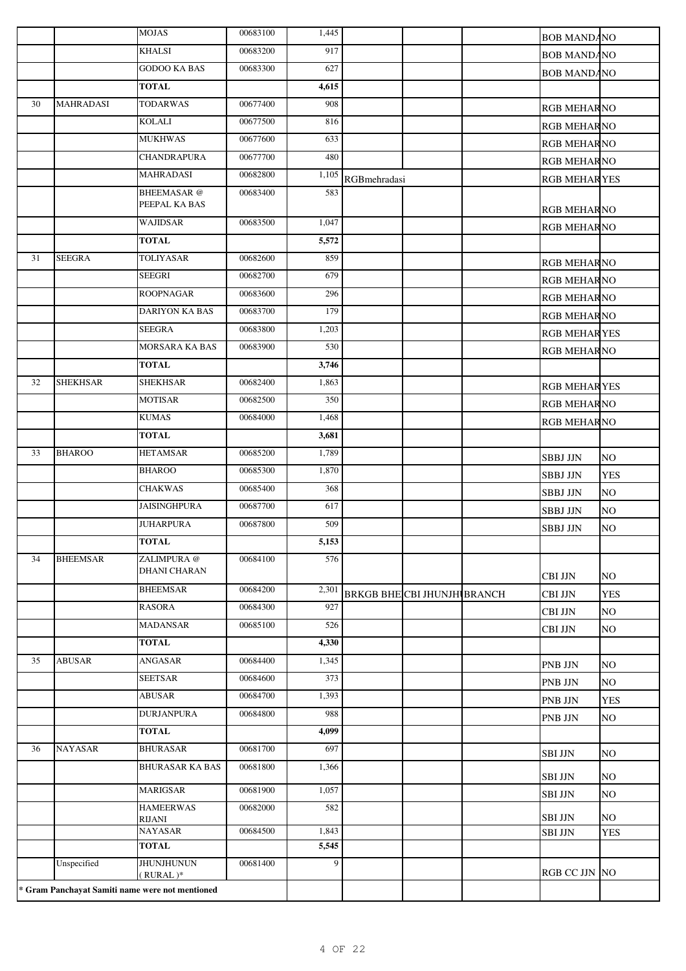|    |                  | <b>MOJAS</b>                                    | 00683100 | 1,445 |                                    |  | <b>BOB MANDANO</b>  |             |
|----|------------------|-------------------------------------------------|----------|-------|------------------------------------|--|---------------------|-------------|
|    |                  | <b>KHALSI</b>                                   | 00683200 | 917   |                                    |  | <b>BOB MANDANO</b>  |             |
|    |                  | <b>GODOO KA BAS</b>                             | 00683300 | 627   |                                    |  | <b>BOB MANDANO</b>  |             |
|    |                  | <b>TOTAL</b>                                    |          | 4,615 |                                    |  |                     |             |
| 30 | <b>MAHRADASI</b> | <b>TODARWAS</b>                                 | 00677400 | 908   |                                    |  | <b>RGB MEHARNO</b>  |             |
|    |                  | <b>KOLALI</b>                                   | 00677500 | 816   |                                    |  | <b>RGB MEHARNO</b>  |             |
|    |                  | <b>MUKHWAS</b>                                  | 00677600 | 633   |                                    |  | <b>RGB MEHARNO</b>  |             |
|    |                  | <b>CHANDRAPURA</b>                              | 00677700 | 480   |                                    |  | <b>RGB MEHARNO</b>  |             |
|    |                  | MAHRADASI                                       | 00682800 | 1,105 | <b>RGB</b> mehradasi               |  | <b>RGB MEHARYES</b> |             |
|    |                  | <b>BHEEMASAR</b> @<br>PEEPAL KA BAS             | 00683400 | 583   |                                    |  | <b>RGB MEHARNO</b>  |             |
|    |                  | WAJIDSAR                                        | 00683500 | 1,047 |                                    |  | RGB MEHARNO         |             |
|    |                  | <b>TOTAL</b>                                    |          | 5,572 |                                    |  |                     |             |
| 31 | <b>SEEGRA</b>    | <b>TOLIYASAR</b>                                | 00682600 | 859   |                                    |  | <b>RGB MEHARNO</b>  |             |
|    |                  | <b>SEEGRI</b>                                   | 00682700 | 679   |                                    |  | <b>RGB MEHARNO</b>  |             |
|    |                  | <b>ROOPNAGAR</b>                                | 00683600 | 296   |                                    |  | <b>RGB MEHARNO</b>  |             |
|    |                  | <b>DARIYON KA BAS</b>                           | 00683700 | 179   |                                    |  | RGB MEHARNO         |             |
|    |                  | <b>SEEGRA</b>                                   | 00683800 | 1,203 |                                    |  | <b>RGB MEHARYES</b> |             |
|    |                  | MORSARA KA BAS                                  | 00683900 | 530   |                                    |  | RGB MEHARNO         |             |
|    |                  | <b>TOTAL</b>                                    |          | 3,746 |                                    |  |                     |             |
| 32 | <b>SHEKHSAR</b>  | <b>SHEKHSAR</b>                                 | 00682400 | 1,863 |                                    |  | <b>RGB MEHARYES</b> |             |
|    |                  | <b>MOTISAR</b>                                  | 00682500 | 350   |                                    |  | <b>RGB MEHARNO</b>  |             |
|    |                  | <b>KUMAS</b>                                    | 00684000 | 1,468 |                                    |  | <b>RGB MEHARNO</b>  |             |
|    |                  | <b>TOTAL</b>                                    |          | 3,681 |                                    |  |                     |             |
| 33 | <b>BHAROO</b>    | <b>HETAMSAR</b>                                 | 00685200 | 1,789 |                                    |  | SBBJ JJN            | NO          |
|    |                  | <b>BHAROO</b>                                   | 00685300 | 1,870 |                                    |  | <b>SBBJ JJN</b>     | YES         |
|    |                  | <b>CHAKWAS</b>                                  | 00685400 | 368   |                                    |  | <b>SBBJ JJN</b>     | NO.         |
|    |                  | <b>JAISINGHPURA</b>                             | 00687700 | 617   |                                    |  | <b>SBBJ JJN</b>     | NO          |
|    |                  | <b>JUHARPURA</b>                                | 00687800 | 509   |                                    |  | <b>SBBJ JJN</b>     | NO          |
|    |                  | <b>TOTAL</b>                                    |          | 5,153 |                                    |  |                     |             |
| 34 | <b>BHEEMSAR</b>  | ZALIMPURA @<br><b>DHANI CHARAN</b>              | 00684100 | 576   |                                    |  | CBI JJN             | NO          |
|    |                  | <b>BHEEMSAR</b>                                 | 00684200 | 2,301 | <b>BRKGB BHE CBI JHUNJH BRANCH</b> |  | CBI JJN             | <b>YES</b>  |
|    |                  | <b>RASORA</b>                                   | 00684300 | 927   |                                    |  | CBI JJN             | NO          |
|    |                  | <b>MADANSAR</b>                                 | 00685100 | 526   |                                    |  | CBI JJN             | NO          |
|    |                  | <b>TOTAL</b>                                    |          | 4,330 |                                    |  |                     |             |
| 35 | <b>ABUSAR</b>    | ANGASAR                                         | 00684400 | 1,345 |                                    |  | PNB JJN             | NO          |
|    |                  | <b>SEETSAR</b>                                  | 00684600 | 373   |                                    |  | PNB JJN             | NO          |
|    |                  | <b>ABUSAR</b>                                   | 00684700 | 1,393 |                                    |  | PNB JJN             | <b>YES</b>  |
|    |                  | <b>DURJANPURA</b>                               | 00684800 | 988   |                                    |  | PNB JJN             | NO          |
|    |                  | <b>TOTAL</b>                                    |          | 4,099 |                                    |  |                     |             |
| 36 | <b>NAYASAR</b>   | <b>BHURASAR</b>                                 | 00681700 | 697   |                                    |  | <b>SBI JJN</b>      | $_{\rm NO}$ |
|    |                  | <b>BHURASAR KA BAS</b>                          | 00681800 | 1,366 |                                    |  | <b>SBI JJN</b>      | NO          |
|    |                  | <b>MARIGSAR</b>                                 | 00681900 | 1,057 |                                    |  | <b>SBI JJN</b>      | NO          |
|    |                  | <b>HAMEERWAS</b><br>RIJANI                      | 00682000 | 582   |                                    |  | <b>SBI JJN</b>      | NO          |
|    |                  | <b>NAYASAR</b>                                  | 00684500 | 1,843 |                                    |  | <b>SBI JJN</b>      | <b>YES</b>  |
|    |                  | <b>TOTAL</b>                                    |          | 5,545 |                                    |  |                     |             |
|    | Unspecified      | <b>JHUNJHUNUN</b><br>$(RURAL)*$                 | 00681400 | 9     |                                    |  | RGB CC JJN          | <b>NO</b>   |
|    |                  | * Gram Panchayat Samiti name were not mentioned |          |       |                                    |  |                     |             |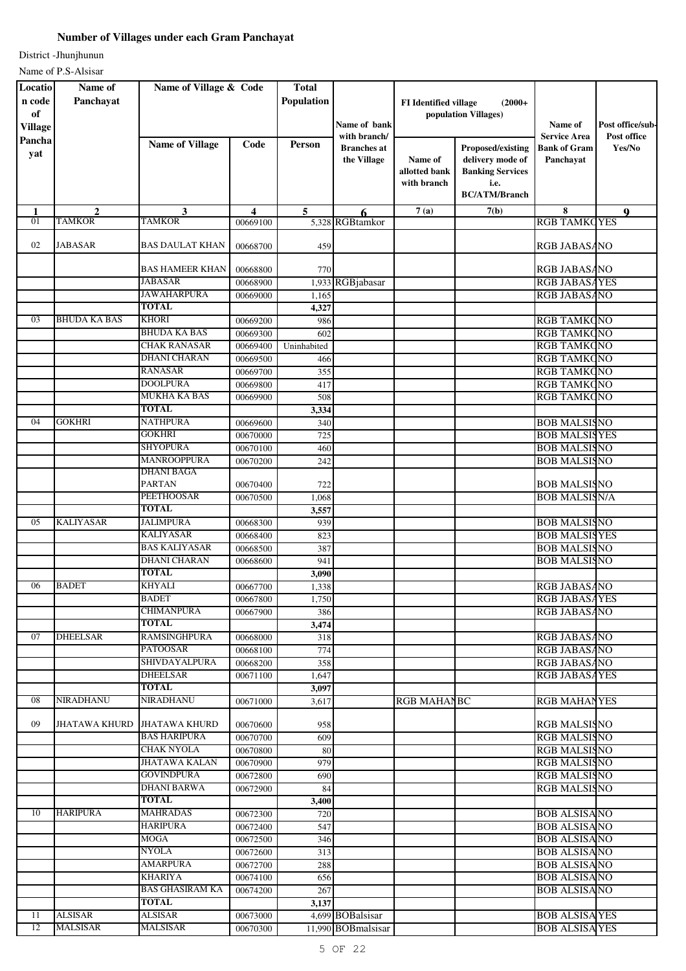District -Jhunjhunun

Name of P.S-Alsisar

| Locatio<br>n code    | Name of<br>Panchayat | Name of Village & Code             |                         | <b>Total</b><br>Population |                                                   | <b>FI</b> Identified village            | $(2000+$                                                                                         |                                                         |                       |
|----------------------|----------------------|------------------------------------|-------------------------|----------------------------|---------------------------------------------------|-----------------------------------------|--------------------------------------------------------------------------------------------------|---------------------------------------------------------|-----------------------|
| of<br><b>Village</b> |                      |                                    |                         |                            | Name of bank                                      |                                         | population Villages)                                                                             | Name of                                                 | Post office/sub-      |
| Pancha<br>yat        |                      | <b>Name of Village</b>             | Code                    | Person                     | with branch/<br><b>Branches</b> at<br>the Village | Name of<br>allotted bank<br>with branch | Proposed/existing<br>delivery mode of<br><b>Banking Services</b><br>i.e.<br><b>BC/ATM/Branch</b> | <b>Service Area</b><br><b>Bank of Gram</b><br>Panchayat | Post office<br>Yes/No |
| 1                    | $\overline{2}$       | 3                                  | $\overline{\mathbf{4}}$ | 5                          | 6                                                 | 7(a)                                    | 7(b)                                                                                             | 8                                                       | 9                     |
| 01                   | <b>TAMKOR</b>        | <b>TAMKOR</b>                      | 00669100                |                            | 5,328 RGBtamkor                                   |                                         |                                                                                                  | <b>RGB TAMKCYES</b>                                     |                       |
| 02                   | <b>JABASAR</b>       | <b>BAS DAULAT KHAN</b>             | 00668700                | 459                        |                                                   |                                         |                                                                                                  | RGB JABASANO                                            |                       |
|                      |                      | <b>BAS HAMEER KHAN</b>             | 00668800                | 770                        |                                                   |                                         |                                                                                                  | <b>RGB JABASANO</b>                                     |                       |
|                      |                      | <b>JABASAR</b>                     | 00668900                |                            | 1,933 RGBjabasar                                  |                                         |                                                                                                  | <b>RGB JABASAYES</b>                                    |                       |
|                      |                      | <b>JAWAHARPURA</b>                 | 00669000                | 1,165                      |                                                   |                                         |                                                                                                  | <b>RGB JABASANO</b>                                     |                       |
|                      |                      | <b>TOTAL</b>                       |                         | 4,327                      |                                                   |                                         |                                                                                                  |                                                         |                       |
| 03                   | <b>BHUDA KA BAS</b>  | <b>KHORI</b>                       | 00669200                | 986                        |                                                   |                                         |                                                                                                  | <b>RGB TAMKCNO</b>                                      |                       |
|                      |                      | <b>BHUDA KA BAS</b>                | 00669300                | 602                        |                                                   |                                         |                                                                                                  | <b>RGB TAMKCNO</b>                                      |                       |
|                      |                      | <b>CHAK RANASAR</b>                | 00669400                | Uninhabited                |                                                   |                                         |                                                                                                  | <b>RGB TAMKONO</b>                                      |                       |
|                      |                      | <b>DHANI CHARAN</b>                | 00669500                | 466                        |                                                   |                                         |                                                                                                  | <b>RGB TAMKCNO</b>                                      |                       |
|                      |                      | <b>RANASAR</b><br><b>DOOLPURA</b>  | 00669700                | 355                        |                                                   |                                         |                                                                                                  | <b>RGB TAMKONO</b>                                      |                       |
|                      |                      | <b>MUKHA KA BAS</b>                | 00669800                | 417                        |                                                   |                                         |                                                                                                  | <b>RGB TAMKCNO</b><br>RGB TAMKONO                       |                       |
|                      |                      | <b>TOTAL</b>                       | 00669900                | 508<br>3,334               |                                                   |                                         |                                                                                                  |                                                         |                       |
| 04                   | <b>GOKHRI</b>        | <b>NATHPURA</b>                    | 00669600                | 340                        |                                                   |                                         |                                                                                                  | <b>BOB MALSISNO</b>                                     |                       |
|                      |                      | <b>GOKHRI</b>                      | 00670000                | 725                        |                                                   |                                         |                                                                                                  | <b>BOB MALSIS YES</b>                                   |                       |
|                      |                      | <b>SHYOPURA</b>                    | 00670100                | 460                        |                                                   |                                         |                                                                                                  | <b>BOB MALSISNO</b>                                     |                       |
|                      |                      | <b>MANROOPPURA</b>                 | 00670200                | 242                        |                                                   |                                         |                                                                                                  | <b>BOB MALSISNO</b>                                     |                       |
|                      |                      | DHANI BAGA                         |                         |                            |                                                   |                                         |                                                                                                  |                                                         |                       |
|                      |                      | <b>PARTAN</b>                      | 00670400                | 722                        |                                                   |                                         |                                                                                                  | <b>BOB MALSISNO</b>                                     |                       |
|                      |                      | <b>PEETHOOSAR</b>                  | 00670500                | 1,068                      |                                                   |                                         |                                                                                                  | <b>BOB MALSISN/A</b>                                    |                       |
|                      |                      | <b>TOTAL</b>                       |                         | 3,557                      |                                                   |                                         |                                                                                                  |                                                         |                       |
| 05                   | <b>KALIYASAR</b>     | <b>JALIMPURA</b>                   | 00668300                | 939                        |                                                   |                                         |                                                                                                  | <b>BOB MALSISNO</b>                                     |                       |
|                      |                      | <b>KALIYASAR</b>                   | 00668400                | 823                        |                                                   |                                         |                                                                                                  | <b>BOB MALSIS YES</b>                                   |                       |
|                      |                      | <b>BAS KALIYASAR</b>               | 00668500                | 387                        |                                                   |                                         |                                                                                                  | <b>BOB MALSISNO</b>                                     |                       |
|                      |                      | <b>DHANI CHARAN</b>                | 00668600                | 941                        |                                                   |                                         |                                                                                                  | <b>BOB MALSISNO</b>                                     |                       |
| 06                   | <b>BADET</b>         | <b>TOTAL</b><br><b>KHYALI</b>      |                         | 3,090                      |                                                   |                                         |                                                                                                  |                                                         |                       |
|                      |                      | <b>BADET</b>                       | 00667700                | 1,338                      |                                                   |                                         |                                                                                                  | <b>RGB JABASANO</b><br><b>RGB JABASAYES</b>             |                       |
|                      |                      | <b>CHIMANPURA</b>                  | 00667800<br>00667900    | 1,750<br>386               |                                                   |                                         |                                                                                                  | <b>RGB JABASANO</b>                                     |                       |
|                      |                      | <b>TOTAL</b>                       |                         | 3,474                      |                                                   |                                         |                                                                                                  |                                                         |                       |
| 07                   | <b>DHEELSAR</b>      | <b>RAMSINGHPURA</b>                | 00668000                | 318                        |                                                   |                                         |                                                                                                  | <b>RGB JABASANO</b>                                     |                       |
|                      |                      | <b>PATOOSAR</b>                    | 00668100                | 774                        |                                                   |                                         |                                                                                                  | <b>RGB JABASANO</b>                                     |                       |
|                      |                      | <b>SHIVDAYALPURA</b>               | 00668200                | 358                        |                                                   |                                         |                                                                                                  | <b>RGB JABASANO</b>                                     |                       |
|                      |                      | <b>DHEELSAR</b>                    | 00671100                | 1,647                      |                                                   |                                         |                                                                                                  | <b>RGB JABASAYES</b>                                    |                       |
|                      |                      | <b>TOTAL</b>                       |                         | 3,097                      |                                                   |                                         |                                                                                                  |                                                         |                       |
| 08                   | <b>NIRADHANU</b>     | NIRADHANU                          | 00671000                | 3,617                      |                                                   | <b>RGB MAHANBC</b>                      |                                                                                                  | <b>RGB MAHANYES</b>                                     |                       |
| 09                   | JHATAWA KHURD        | <b>JHATAWA KHURD</b>               | 00670600                | 958                        |                                                   |                                         |                                                                                                  | <b>RGB MALSISNO</b>                                     |                       |
|                      |                      | <b>BAS HARIPURA</b>                | 00670700                | 609                        |                                                   |                                         |                                                                                                  | <b>RGB MALSISNO</b>                                     |                       |
|                      |                      | <b>CHAK NYOLA</b>                  | 00670800                | 80                         |                                                   |                                         |                                                                                                  | <b>RGB MALSISNO</b>                                     |                       |
|                      |                      | <b>JHATAWA KALAN</b>               | 00670900                | 979                        |                                                   |                                         |                                                                                                  | <b>RGB MALSISNO</b>                                     |                       |
|                      |                      | <b>GOVINDPURA</b>                  | 00672800                | 690                        |                                                   |                                         |                                                                                                  | <b>RGB MALSISNO</b>                                     |                       |
|                      |                      | <b>DHANI BARWA</b>                 | 00672900                | 84                         |                                                   |                                         |                                                                                                  | <b>RGB MALSISNO</b>                                     |                       |
| 10                   |                      | <b>TOTAL</b>                       |                         | 3,400                      |                                                   |                                         |                                                                                                  |                                                         |                       |
|                      | <b>HARIPURA</b>      | <b>MAHRADAS</b><br><b>HARIPURA</b> | 00672300                | 720                        |                                                   |                                         |                                                                                                  | <b>BOB ALSISANO</b>                                     |                       |
|                      |                      | <b>MOGA</b>                        | 00672400                | 547                        |                                                   |                                         |                                                                                                  | <b>BOB ALSISANO</b><br><b>BOB ALSISANO</b>              |                       |
|                      |                      | <b>NYOLA</b>                       | 00672500<br>00672600    | 346<br>313                 |                                                   |                                         |                                                                                                  | <b>BOB ALSISANO</b>                                     |                       |
|                      |                      | <b>AMARPURA</b>                    | 00672700                | 288                        |                                                   |                                         |                                                                                                  | <b>BOB ALSISANO</b>                                     |                       |
|                      |                      | <b>KHARIYA</b>                     | 00674100                | 656                        |                                                   |                                         |                                                                                                  | <b>BOB ALSISANO</b>                                     |                       |
|                      |                      | <b>BAS GHASIRAM KA</b>             | 00674200                | 267                        |                                                   |                                         |                                                                                                  | <b>BOB ALSISANO</b>                                     |                       |
|                      |                      | <b>TOTAL</b>                       |                         | 3,137                      |                                                   |                                         |                                                                                                  |                                                         |                       |
| 11                   | <b>ALSISAR</b>       | <b>ALSISAR</b>                     | 00673000                |                            | 4,699 BOBalsisar                                  |                                         |                                                                                                  | <b>BOB ALSISA YES</b>                                   |                       |
| 12                   | <b>MALSISAR</b>      | <b>MALSISAR</b>                    | 00670300                |                            | 11,990 BOBmalsisar                                |                                         |                                                                                                  | <b>BOB ALSISA YES</b>                                   |                       |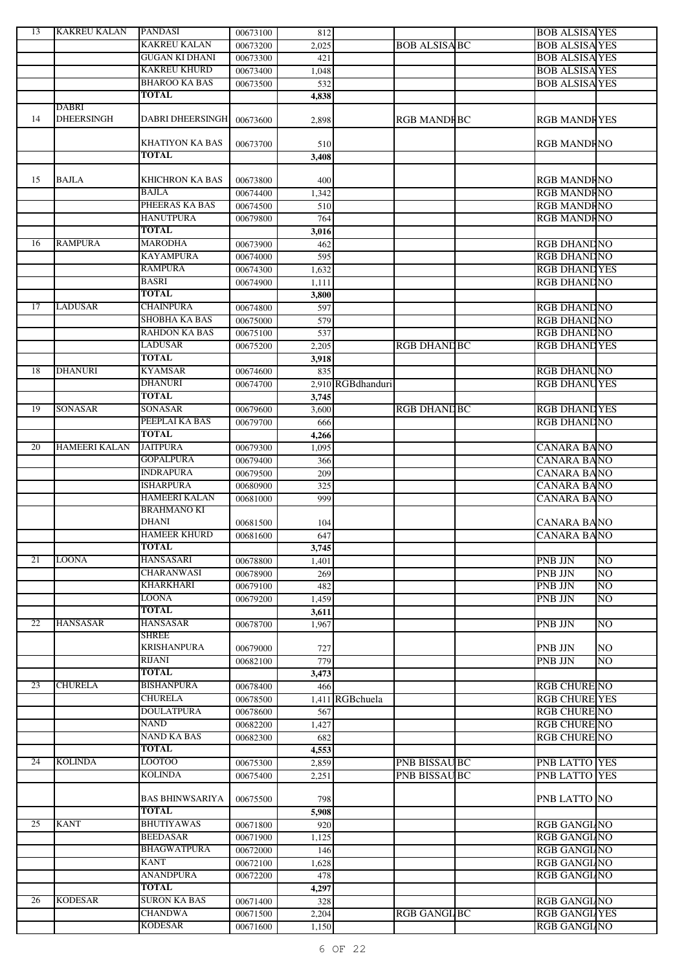| 13 | <b>KAKREU KALAN</b>  | <b>PANDASI</b>          | 00673100 | 812   |                   |                      | <b>BOB ALSISA YES</b> |                |
|----|----------------------|-------------------------|----------|-------|-------------------|----------------------|-----------------------|----------------|
|    |                      | <b>KAKREU KALAN</b>     | 00673200 | 2,025 |                   | <b>BOB ALSISABC</b>  | <b>BOB ALSISA YES</b> |                |
|    |                      | <b>GUGAN KI DHANI</b>   | 00673300 | 421   |                   |                      | <b>BOB ALSISA YES</b> |                |
|    |                      | <b>KAKREU KHURD</b>     | 00673400 | 1,048 |                   |                      | <b>BOB ALSISA YES</b> |                |
|    |                      | <b>BHAROO KA BAS</b>    | 00673500 | 532   |                   |                      | <b>BOB ALSISA YES</b> |                |
|    |                      | <b>TOTAL</b>            |          | 4,838 |                   |                      |                       |                |
|    | DABRI                |                         |          |       |                   |                      |                       |                |
| 14 | DHEERSINGH           | <b>DABRI DHEERSINGH</b> | 00673600 | 2,898 |                   | <b>RGB MANDFBC</b>   | <b>RGB MANDFYES</b>   |                |
|    |                      |                         |          |       |                   |                      |                       |                |
|    |                      | <b>KHATIYON KA BAS</b>  | 00673700 | 510   |                   |                      | <b>RGB MANDFNO</b>    |                |
|    |                      | <b>TOTAL</b>            |          | 3,408 |                   |                      |                       |                |
|    |                      |                         |          |       |                   |                      |                       |                |
| 15 | <b>BAJLA</b>         | KHICHRON KA BAS         | 00673800 | 400   |                   |                      | <b>RGB MANDFNO</b>    |                |
|    |                      | <b>BAJLA</b>            | 00674400 | 1,342 |                   |                      | <b>RGB MANDFNO</b>    |                |
|    |                      | PHEERAS KA BAS          | 00674500 | 510   |                   |                      | <b>RGB MANDFNO</b>    |                |
|    |                      | <b>HANUTPURA</b>        | 00679800 | 764   |                   |                      | <b>RGB MANDFNO</b>    |                |
|    |                      | <b>TOTAL</b>            |          | 3,016 |                   |                      |                       |                |
| 16 | <b>RAMPURA</b>       | <b>MARODHA</b>          | 00673900 | 462   |                   |                      | <b>RGB DHAND NO</b>   |                |
|    |                      | <b>KAYAMPURA</b>        | 00674000 | 595   |                   |                      | <b>RGB DHAND NO</b>   |                |
|    |                      | <b>RAMPURA</b>          | 00674300 | 1,632 |                   |                      | <b>RGB DHAND YES</b>  |                |
|    |                      | <b>BASRI</b>            | 00674900 | 1,111 |                   |                      | <b>RGB DHAND NO</b>   |                |
|    |                      | <b>TOTAL</b>            |          | 3,800 |                   |                      |                       |                |
| 17 | <b>LADUSAR</b>       | <b>CHAINPURA</b>        | 00674800 | 597   |                   |                      | <b>RGB DHAND NO</b>   |                |
|    |                      | <b>SHOBHA KA BAS</b>    | 00675000 | 579   |                   |                      | <b>RGB DHAND NO</b>   |                |
|    |                      | <b>RAHDON KA BAS</b>    | 00675100 | 537   |                   |                      | <b>RGB DHAND NO</b>   |                |
|    |                      | <b>LADUSAR</b>          |          |       |                   |                      |                       |                |
|    |                      | <b>TOTAL</b>            | 00675200 | 2,205 |                   | <b>RGB DHANDBC</b>   | <b>RGB DHAND YES</b>  |                |
|    | <b>DHANURI</b>       | <b>KYAMSAR</b>          |          | 3,918 |                   |                      |                       |                |
| 18 |                      |                         | 00674600 | 835   |                   |                      | <b>RGB DHANUNO</b>    |                |
|    |                      | <b>DHANURI</b>          | 00674700 |       | 2,910 RGBdhanduri |                      | <b>RGB DHANUYES</b>   |                |
|    |                      | <b>TOTAL</b>            |          | 3,745 |                   |                      |                       |                |
| 19 | SONASAR              | SONASAR                 | 00679600 | 3,600 |                   | <b>RGB DHANDBC</b>   | <b>RGB DHAND YES</b>  |                |
|    |                      | PEEPLAI KA BAS          | 00679700 | 666   |                   |                      | <b>RGB DHAND NO</b>   |                |
|    |                      | <b>TOTAL</b>            |          | 4,266 |                   |                      |                       |                |
| 20 | <b>HAMEERI KALAN</b> | <b>JAITPURA</b>         | 00679300 | 1,095 |                   |                      | <b>CANARA BANO</b>    |                |
|    |                      | <b>GOPALPURA</b>        | 00679400 | 366   |                   |                      | <b>CANARA BANO</b>    |                |
|    |                      | <b>INDRAPURA</b>        | 00679500 | 209   |                   |                      | <b>CANARA BANO</b>    |                |
|    |                      | <b>ISHARPURA</b>        | 00680900 | 325   |                   |                      | <b>CANARA BANO</b>    |                |
|    |                      | <b>HAMEERI KALAN</b>    | 00681000 | 999   |                   |                      | <b>CANARA BANO</b>    |                |
|    |                      | <b>BRAHMANO KI</b>      |          |       |                   |                      |                       |                |
|    |                      | <b>DHANI</b>            | 00681500 | 104   |                   |                      | <b>CANARA BANO</b>    |                |
|    |                      | <b>HAMEER KHURD</b>     | 00681600 | 647   |                   |                      | <b>CANARA BANO</b>    |                |
|    |                      | TOTAL                   |          | 3,745 |                   |                      |                       |                |
| 21 | <b>LOONA</b>         | <b>HANSASARI</b>        | 00678800 | 1,401 |                   |                      | PNB JJN               | NO.            |
|    |                      | <b>CHARANWASI</b>       |          | 269   |                   |                      | PNB JJN               | NO.            |
|    |                      | <b>KHARKHARI</b>        | 00678900 |       |                   |                      |                       |                |
|    |                      |                         | 00679100 | 482   |                   |                      | PNB JJN               | NO             |
|    |                      | <b>LOONA</b>            | 00679200 | 1,459 |                   |                      | PNB JJN               | N <sub>O</sub> |
|    |                      | <b>TOTAL</b>            |          | 3,611 |                   |                      |                       |                |
| 22 | <b>HANSASAR</b>      | <b>HANSASAR</b>         | 00678700 | 1,967 |                   |                      | PNB JJN               | NO             |
|    |                      | <b>SHREE</b>            |          |       |                   |                      |                       |                |
|    |                      | <b>KRISHANPURA</b>      | 00679000 | 727   |                   |                      | PNB JJN               | NO             |
|    |                      | <b>RIJANI</b>           | 00682100 | 779   |                   |                      | PNB JJN               | NO.            |
|    |                      | <b>TOTAL</b>            |          | 3,473 |                   |                      |                       |                |
| 23 | <b>CHURELA</b>       | <b>BISHANPURA</b>       | 00678400 | 466   |                   |                      | <b>RGB CHURE NO</b>   |                |
|    |                      | <b>CHURELA</b>          | 00678500 |       | 1.411 RGBchuela   |                      | <b>RGB CHURE YES</b>  |                |
|    |                      | <b>DOULATPURA</b>       | 00678600 | 567   |                   |                      | <b>RGB CHURE NO</b>   |                |
|    |                      | <b>NAND</b>             | 00682200 | 1,427 |                   |                      | <b>RGB CHURE NO</b>   |                |
|    |                      | <b>NAND KA BAS</b>      | 00682300 | 682   |                   |                      | <b>RGB CHURE NO</b>   |                |
|    |                      | <b>TOTAL</b>            |          | 4,553 |                   |                      |                       |                |
| 24 | <b>KOLINDA</b>       | LOOTOO                  | 00675300 | 2,859 |                   | PNB BISSAU BC        | <b>PNB LATTO YES</b>  |                |
|    |                      | <b>KOLINDA</b>          | 00675400 | 2,251 |                   | <b>PNB BISSAU BC</b> | <b>PNB LATTO YES</b>  |                |
|    |                      |                         |          |       |                   |                      |                       |                |
|    |                      | <b>BAS BHINWSARIYA</b>  | 00675500 | 798   |                   |                      | PNB LATTO NO          |                |
|    |                      | <b>TOTAL</b>            |          | 5,908 |                   |                      |                       |                |
| 25 | <b>KANT</b>          | <b>BHUTIYAWAS</b>       | 00671800 | 920   |                   |                      | <b>RGB GANGL NO</b>   |                |
|    |                      | <b>BEEDASAR</b>         | 00671900 | 1,125 |                   |                      | <b>RGB GANGL NO</b>   |                |
|    |                      | <b>BHAGWATPURA</b>      | 00672000 | 146   |                   |                      | <b>RGB GANGL NO</b>   |                |
|    |                      | <b>KANT</b>             | 00672100 | 1,628 |                   |                      | <b>RGB GANGL NO</b>   |                |
|    |                      | <b>ANANDPURA</b>        |          |       |                   |                      |                       |                |
|    |                      | <b>TOTAL</b>            | 00672200 | 478   |                   |                      | <b>RGB GANGL NO</b>   |                |
|    |                      |                         |          | 4,297 |                   |                      |                       |                |
| 26 | <b>KODESAR</b>       | <b>SURON KA BAS</b>     | 00671400 | 328   |                   |                      | <b>RGB GANGL NO</b>   |                |
|    |                      | <b>CHANDWA</b>          | 00671500 | 2,204 |                   | <b>RGB GANGL BC</b>  | <b>RGB GANGL YES</b>  |                |
|    |                      | <b>KODESAR</b>          | 00671600 | 1,150 |                   |                      | <b>RGB GANGL NO</b>   |                |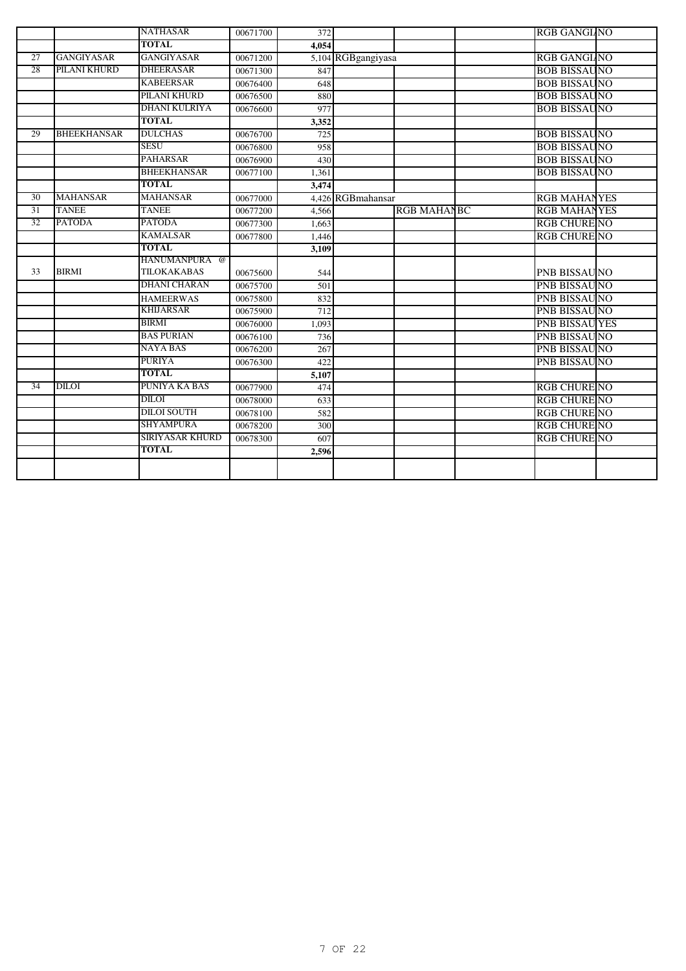|    |                    | <b>NATHASAR</b>        | 00671700 | 372   |                    | <b>RGB GANGL NO</b>   |  |
|----|--------------------|------------------------|----------|-------|--------------------|-----------------------|--|
|    |                    | <b>TOTAL</b>           |          | 4,054 |                    |                       |  |
| 27 | <b>GANGIYASAR</b>  | <b>GANGIYASAR</b>      | 00671200 |       | 5,104 RGBgangiyasa | <b>RGB GANGL NO</b>   |  |
| 28 | PILANI KHURD       | <b>DHEERASAR</b>       | 00671300 | 847   |                    | <b>BOB BISSAUNO</b>   |  |
|    |                    | <b>KABEERSAR</b>       | 00676400 | 648   |                    | <b>BOB BISSAUNO</b>   |  |
|    |                    | PILANI KHURD           | 00676500 | 880   |                    | <b>BOB BISSAUNO</b>   |  |
|    |                    | <b>DHANI KULRIYA</b>   | 00676600 | 977   |                    | <b>BOB BISSAUNO</b>   |  |
|    |                    | <b>TOTAL</b>           |          | 3,352 |                    |                       |  |
| 29 | <b>BHEEKHANSAR</b> | <b>DULCHAS</b>         | 00676700 | 725   |                    | <b>BOB BISSAUNO</b>   |  |
|    |                    | <b>SESU</b>            | 00676800 | 958   |                    | <b>BOB BISSAUNO</b>   |  |
|    |                    | <b>PAHARSAR</b>        | 00676900 | 430   |                    | <b>BOB BISSAUNO</b>   |  |
|    |                    | <b>BHEEKHANSAR</b>     | 00677100 | 1,361 |                    | <b>BOB BISSAUNO</b>   |  |
|    |                    | <b>TOTAL</b>           |          | 3,474 |                    |                       |  |
| 30 | <b>MAHANSAR</b>    | <b>MAHANSAR</b>        | 00677000 |       | 4,426 RGBmahansar  | <b>RGB MAHANYES</b>   |  |
| 31 | <b>TANEE</b>       | <b>TANEE</b>           | 00677200 | 4.566 | <b>RGB MAHANBC</b> | <b>RGB MAHANYES</b>   |  |
| 32 | <b>PATODA</b>      | <b>PATODA</b>          | 00677300 | 1,663 |                    | <b>RGB CHURE NO</b>   |  |
|    |                    | <b>KAMALSAR</b>        | 00677800 | 1,446 |                    | <b>RGB CHURE NO</b>   |  |
|    |                    | <b>TOTAL</b>           |          | 3,109 |                    |                       |  |
|    |                    | HANUMANPURA @          |          |       |                    |                       |  |
| 33 | <b>BIRMI</b>       | <b>TILOKAKABAS</b>     | 00675600 | 544   |                    | PNB BISSAU NO         |  |
|    |                    | <b>DHANI CHARAN</b>    | 00675700 | 501   |                    | PNB BISSAU NO         |  |
|    |                    | <b>HAMEERWAS</b>       | 00675800 | 832   |                    | PNB BISSAU NO         |  |
|    |                    | <b>KHIJARSAR</b>       | 00675900 | 712   |                    | PNB BISSAU NO         |  |
|    |                    | BIRMI                  | 00676000 | 1.093 |                    | <b>PNB BISSAU YES</b> |  |
|    |                    | <b>BAS PURIAN</b>      | 00676100 | 736   |                    | PNB BISSAUNO          |  |
|    |                    | <b>NAYA BAS</b>        | 00676200 | 267   |                    | PNB BISSAUNO          |  |
|    |                    | <b>PURIYA</b>          | 00676300 | 422   |                    | PNB BISSAU NO         |  |
|    |                    | <b>TOTAL</b>           |          | 5,107 |                    |                       |  |
| 34 | <b>DILOI</b>       | PUNIYA KA BAS          | 00677900 | 474   |                    | <b>RGB CHURE NO</b>   |  |
|    |                    | <b>DILOI</b>           | 00678000 | 633   |                    | <b>RGB CHURE NO</b>   |  |
|    |                    | <b>DILOI SOUTH</b>     | 00678100 | 582   |                    | <b>RGB CHURE NO</b>   |  |
|    |                    | <b>SHYAMPURA</b>       | 00678200 | 300   |                    | <b>RGB CHURE NO</b>   |  |
|    |                    | <b>SIRIYASAR KHURD</b> | 00678300 | 607   |                    | <b>RGB CHURE NO</b>   |  |
|    |                    | <b>TOTAL</b>           |          | 2,596 |                    |                       |  |
|    |                    |                        |          |       |                    |                       |  |
|    |                    |                        |          |       |                    |                       |  |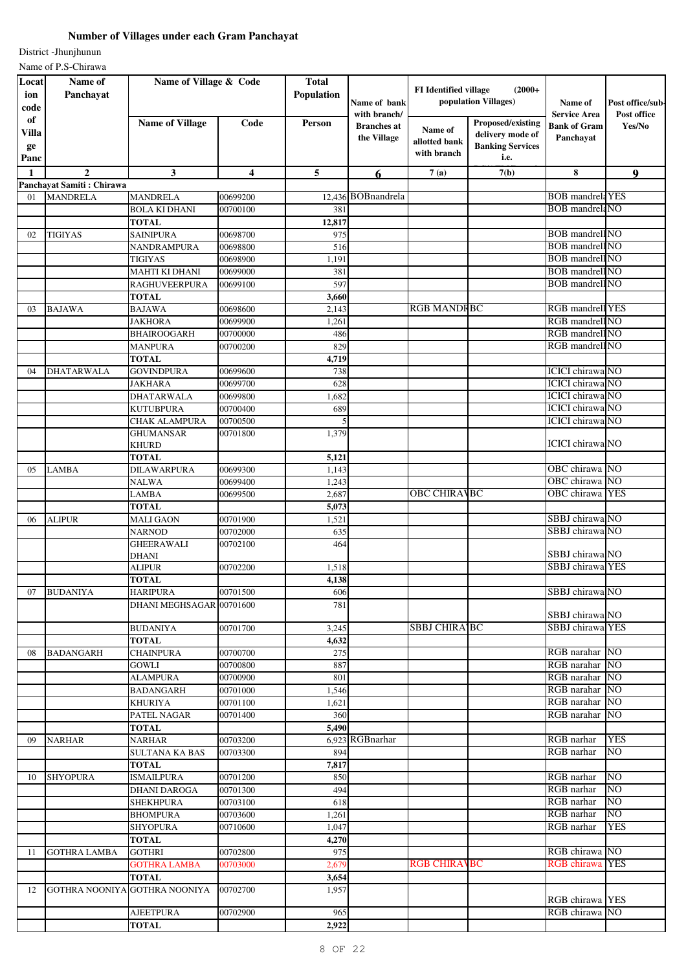|       | Name of P.S-Chirawa        |                                             |                      |              |                                    |                              |                          |                                                  |                        |
|-------|----------------------------|---------------------------------------------|----------------------|--------------|------------------------------------|------------------------------|--------------------------|--------------------------------------------------|------------------------|
| Locat | Name of                    | Name of Village & Code                      |                      | <b>Total</b> |                                    |                              |                          |                                                  |                        |
| ion   | Panchayat                  |                                             |                      | Population   |                                    | <b>FI</b> Identified village | $(2000+$                 |                                                  |                        |
| code  |                            |                                             |                      |              | Name of bank                       |                              | population Villages)     | Name of                                          | Post office/sub-       |
| of    |                            | <b>Name of Village</b>                      | Code                 | Person       | with branch/<br><b>Branches</b> at |                              | <b>Proposed/existing</b> | <b>Service Area</b><br><b>Bank of Gram</b>       | Post office<br>Yes/No  |
| Villa |                            |                                             |                      |              | the Village                        | Name of                      | delivery mode of         | Panchavat                                        |                        |
| ge    |                            |                                             |                      |              |                                    | allotted bank<br>with branch | <b>Banking Services</b>  |                                                  |                        |
| Panc  |                            |                                             |                      |              |                                    |                              | i.e.                     |                                                  |                        |
| 1     | $\overline{2}$             | 3                                           | 4                    | 5            | 6                                  | 7(a)                         | 7(b)                     | 8                                                | 9                      |
|       | Panchavat Samiti : Chirawa |                                             |                      |              |                                    |                              |                          |                                                  |                        |
| 01    | <b>MANDRELA</b>            | <b>MANDRELA</b>                             | 00699200             | 12,436       | <b>BOBnandrela</b>                 |                              |                          | <b>BOB</b> mandrels YES                          |                        |
|       |                            | <b>BOLA KI DHANI</b>                        | 00700100             | 381          |                                    |                              |                          | <b>BOB</b> mandrels NO                           |                        |
|       |                            | <b>TOTAL</b>                                |                      | 12,817       |                                    |                              |                          |                                                  |                        |
| 02    | <b>TIGIYAS</b>             | <b>SAINIPURA</b>                            | 00698700             | 975<br>516   |                                    |                              |                          | <b>BOB</b> mandrell NO<br><b>BOB</b> mandrell NO |                        |
|       |                            | <b>NANDRAMPURA</b><br><b>TIGIYAS</b>        | 00698800<br>00698900 | 1,191        |                                    |                              |                          | <b>BOB</b> mandrell NO                           |                        |
|       |                            | <b>MAHTI KI DHANI</b>                       | 00699000             | 381          |                                    |                              |                          | <b>BOB</b> mandrell NO                           |                        |
|       |                            | <b>RAGHUVEERPURA</b>                        | 00699100             | 597          |                                    |                              |                          | <b>BOB</b> mandrell NO                           |                        |
|       |                            | <b>TOTAL</b>                                |                      | 3,660        |                                    |                              |                          |                                                  |                        |
| 03    | <b>BAJAWA</b>              | <b>BAJAWA</b>                               | 00698600             | 2,143        |                                    | <b>RGB MANDRBC</b>           |                          | <b>RGB</b> mandrell YES                          |                        |
|       |                            | <b>JAKHORA</b>                              | 00699900             | 1,261        |                                    |                              |                          | RGB mandrell NO                                  |                        |
|       |                            | <b>BHAIROOGARH</b>                          | 00700000             | 486          |                                    |                              |                          | RGB mandrell NO                                  |                        |
|       |                            | <b>MANPURA</b>                              | 00700200             | 829          |                                    |                              |                          | RGB mandrell NO                                  |                        |
|       |                            | <b>TOTAL</b>                                |                      | 4,719        |                                    |                              |                          |                                                  |                        |
| 04    | <b>DHATARWALA</b>          | <b>GOVINDPURA</b>                           | 00699600             | 738          |                                    |                              |                          | <b>ICICI</b> chirawa NO                          |                        |
|       |                            | <b>JAKHARA</b>                              | 00699700             | 628          |                                    |                              |                          | <b>ICICI</b> chirawa NO                          |                        |
|       |                            | <b>DHATARWALA</b>                           | 00699800             | 1,682        |                                    |                              |                          | <b>ICICI</b> chirawa NO                          |                        |
|       |                            | <b>KUTUBPURA</b>                            | 00700400             | 689          |                                    |                              |                          | <b>ICICI</b> chirawa NO                          |                        |
|       |                            | CHAK ALAMPURA                               | 00700500             | 5            |                                    |                              |                          | <b>ICICI</b> chirawa NO                          |                        |
|       |                            | <b>GHUMANSAR</b>                            | 00701800             | 1,379        |                                    |                              |                          | <b>ICICI</b> chirawa NO                          |                        |
|       |                            | <b>KHURD</b><br><b>TOTAL</b>                |                      | 5,121        |                                    |                              |                          |                                                  |                        |
| 05    | <b>LAMBA</b>               | <b>DILAWARPURA</b>                          | 00699300             | 1,143        |                                    |                              |                          | OBC chirawa NO                                   |                        |
|       |                            | <b>NALWA</b>                                | 00699400             | 1,243        |                                    |                              |                          | OBC chirawa NO                                   |                        |
|       |                            | <b>LAMBA</b>                                | 00699500             | 2,687        |                                    | <b>OBC CHIRAVBC</b>          |                          | <b>OBC</b> chirawa YES                           |                        |
|       |                            | <b>TOTAL</b>                                |                      | 5,073        |                                    |                              |                          |                                                  |                        |
| 06    | <b>ALIPUR</b>              | <b>MALI GAON</b>                            | 00701900             | 1,521        |                                    |                              |                          | SBBJ chirawa NO                                  |                        |
|       |                            | <b>NARNOD</b>                               | 00702000             | 635          |                                    |                              |                          | SBBJ chirawa NO                                  |                        |
|       |                            | <b>GHEERAWALI</b>                           | 00702100             | 464          |                                    |                              |                          |                                                  |                        |
|       |                            | <b>DHANI</b>                                |                      |              |                                    |                              |                          | SBBJ chirawa NO                                  |                        |
|       |                            | <b>ALIPUR</b>                               | 00702200             | 1,518        |                                    |                              |                          | <b>SBBJ</b> chirawa YES                          |                        |
|       |                            | <b>TOTAL</b>                                |                      | 4,138        |                                    |                              |                          | SBBJ chirawa NO                                  |                        |
| 07    | <b>BUDANIYA</b>            | <b>HARIPURA</b><br>DHANI MEGHSAGAR 00701600 | 00701500             | 606<br>781   |                                    |                              |                          |                                                  |                        |
|       |                            |                                             |                      |              |                                    |                              |                          | SBBJ chirawa NO                                  |                        |
|       |                            | <b>BUDANIYA</b>                             | 00701700             | 3,245        |                                    | <b>SBBJ CHIRA BC</b>         |                          | SBBJ chirawa YES                                 |                        |
|       |                            | <b>TOTAL</b>                                |                      | 4,632        |                                    |                              |                          |                                                  |                        |
| 08    | <b>BADANGARH</b>           | <b>CHAINPURA</b>                            | 00700700             | 275          |                                    |                              |                          | RGB narahar NO                                   |                        |
|       |                            | GOWLI                                       | 00700800             | 887          |                                    |                              |                          | RGB narahar NO                                   |                        |
|       |                            | <b>ALAMPURA</b>                             | 00700900             | 801          |                                    |                              |                          | RGB narahar NO                                   |                        |
|       |                            | <b>BADANGARH</b>                            | 00701000             | 1,546        |                                    |                              |                          | RGB narahar NO                                   |                        |
|       |                            | <b>KHURIYA</b>                              | 00701100             | 1,621        |                                    |                              |                          | RGB narahar NO                                   |                        |
|       |                            | PATEL NAGAR                                 | 00701400             | 360          |                                    |                              |                          | RGB narahar                                      | <b>NO</b>              |
|       |                            | <b>TOTAL</b>                                |                      | 5,490        |                                    |                              |                          |                                                  |                        |
| 09    | <b>NARHAR</b>              | <b>NARHAR</b>                               | 00703200             | 6,923        | RGBnarhar                          |                              |                          | RGB narhar<br>RGB narhar                         | YES<br>$\overline{NO}$ |
|       |                            | SULTANA KA BAS<br><b>TOTAL</b>              | 00703300             | 894<br>7,817 |                                    |                              |                          |                                                  |                        |
| 10    | <b>SHYOPURA</b>            | <b>ISMAILPURA</b>                           | 00701200             | 850          |                                    |                              |                          | RGB narhar                                       | NO <sub></sub>         |
|       |                            | <b>DHANI DAROGA</b>                         | 00701300             | 494          |                                    |                              |                          | RGB narhar                                       | NO <sub></sub>         |
|       |                            | <b>SHEKHPURA</b>                            | 00703100             | 618          |                                    |                              |                          | RGB narhar                                       | NO <sub></sub>         |
|       |                            | <b>BHOMPURA</b>                             | 00703600             | 1,261        |                                    |                              |                          | RGB narhar                                       | $\overline{NO}$        |
|       |                            | <b>SHYOPURA</b>                             | 00710600             | 1,047        |                                    |                              |                          | RGB narhar                                       | <b>YES</b>             |
|       |                            | <b>TOTAL</b>                                |                      | 4,270        |                                    |                              |                          |                                                  |                        |
| -11   | <b>GOTHRA LAMBA</b>        | <b>GOTHRI</b>                               | 00702800             | 975          |                                    |                              |                          | RGB chirawa NO                                   |                        |
|       |                            | <b>GOTHRA LAMBA</b>                         | 00703000             | 2,679        |                                    | RGB CHIRAVBC                 |                          | RGB chirawa                                      | <b>YES</b>             |
|       |                            | <b>TOTAL</b>                                |                      | 3,654        |                                    |                              |                          |                                                  |                        |
| 12    |                            | GOTHRA NOONIYA GOTHRA NOONIYA               | 00702700             | 1,957        |                                    |                              |                          |                                                  |                        |
|       |                            |                                             |                      |              |                                    |                              |                          | RGB chirawa YES                                  |                        |
|       |                            | <b>AJEETPURA</b>                            | 00702900             | 965          |                                    |                              |                          | RGB chirawa NO                                   |                        |
|       |                            | <b>TOTAL</b>                                |                      | 2,922        |                                    |                              |                          |                                                  |                        |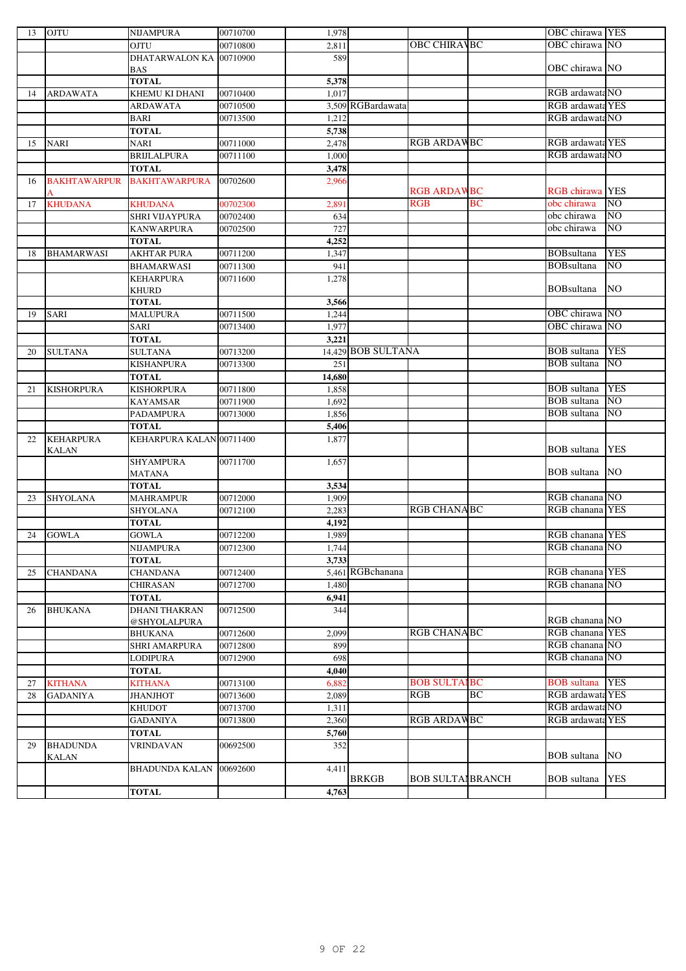| 13 | OJTU                | <b>NIJAMPURA</b>         | 00710700 | 1,978  |                    |                         |           | OBC chirawa YES         |                |
|----|---------------------|--------------------------|----------|--------|--------------------|-------------------------|-----------|-------------------------|----------------|
|    |                     | <b>OJTU</b>              | 00710800 | 2,811  |                    | <b>OBC CHIRAVBC</b>     |           | OBC chirawa NO          |                |
|    |                     | DHATARWALON KA 00710900  |          | 589    |                    |                         |           |                         |                |
|    |                     | <b>BAS</b>               |          |        |                    |                         |           | OBC chirawa NO          |                |
|    |                     | <b>TOTAL</b>             |          | 5,378  |                    |                         |           |                         |                |
| 14 | <b>ARDAWATA</b>     | <b>KHEMU KI DHANI</b>    | 00710400 | 1,017  |                    |                         |           | RGB ardawataNO          |                |
|    |                     | <b>ARDAWATA</b>          | 00710500 |        | 3,509 RGBardawata  |                         |           | <b>RGB</b> ardawata YES |                |
|    |                     | <b>BARI</b>              | 00713500 | 1,212  |                    |                         |           | RGB ardawataNO          |                |
|    |                     | <b>TOTAL</b>             |          | 5,738  |                    |                         |           |                         |                |
| 15 | <b>NARI</b>         | <b>NARI</b>              | 00711000 | 2,478  |                    | <b>RGB ARDAWBC</b>      |           | RGB ardawata YES        |                |
|    |                     | <b>BRIJLALPURA</b>       | 00711100 | 1,000  |                    |                         |           | RGB ardawataNO          |                |
|    |                     | <b>TOTAL</b>             |          | 3,478  |                    |                         |           |                         |                |
| 16 | <b>BAKHTAWARPUR</b> | <b>BAKHTAWARPURA</b>     | 00702600 | 2,966  |                    |                         |           |                         |                |
|    |                     |                          |          |        |                    | <b>RGB ARDAWBC</b>      |           | RGB chirawa YES         |                |
| 17 | <b>KHUDANA</b>      | <b>KHUDANA</b>           | 00702300 | 2,89   |                    | <b>RGB</b>              | <b>BC</b> | obc chirawa             | NO.            |
|    |                     | <b>SHRI VIJAYPURA</b>    | 00702400 | 634    |                    |                         |           | obc chirawa             | N <sub>O</sub> |
|    |                     | <b>KANWARPURA</b>        | 00702500 | 727    |                    |                         |           | obc chirawa             | NO <sub></sub> |
|    |                     | <b>TOTAL</b>             |          | 4,252  |                    |                         |           |                         |                |
| 18 | <b>BHAMARWASI</b>   | <b>AKHTAR PURA</b>       | 00711200 | 1,347  |                    |                         |           | <b>BOB</b> sultana      | <b>YES</b>     |
|    |                     | <b>BHAMARWASI</b>        | 00711300 | 941    |                    |                         |           | <b>BOB</b> sultana      | NO             |
|    |                     | <b>KEHARPURA</b>         | 00711600 | 1,278  |                    |                         |           |                         |                |
|    |                     | <b>KHURD</b>             |          |        |                    |                         |           | <b>BOB</b> sultana      | NO.            |
|    |                     | <b>TOTAL</b>             |          | 3,566  |                    |                         |           |                         |                |
| 19 | <b>SARI</b>         | <b>MALUPURA</b>          | 00711500 | 1,244  |                    |                         |           | OBC chirawa NO          |                |
|    |                     | SARI                     | 00713400 | 1,977  |                    |                         |           | OBC chirawa NO          |                |
|    |                     | <b>TOTAL</b>             |          | 3,221  |                    |                         |           |                         |                |
| 20 | <b>SULTANA</b>      | <b>SULTANA</b>           | 00713200 |        | 14,429 BOB SULTANA |                         |           | <b>BOB</b> sultana      | <b>YES</b>     |
|    |                     | <b>KISHANPURA</b>        | 00713300 | 251    |                    |                         |           | <b>BOB</b> sultana      | NO.            |
|    |                     | <b>TOTAL</b>             |          | 14,680 |                    |                         |           |                         |                |
| 21 | <b>KISHORPURA</b>   | <b>KISHORPURA</b>        | 00711800 | 1,858  |                    |                         |           | <b>BOB</b> sultana      | <b>YES</b>     |
|    |                     | <b>KAYAMSAR</b>          | 00711900 | 1,692  |                    |                         |           | <b>BOB</b> sultana      | NO.            |
|    |                     | <b>PADAMPURA</b>         | 00713000 | 1,856  |                    |                         |           | <b>BOB</b> sultana      | N <sub>O</sub> |
|    |                     | <b>TOTAL</b>             |          | 5,406  |                    |                         |           |                         |                |
| 22 | <b>KEHARPURA</b>    | KEHARPURA KALAN 00711400 |          | 1,877  |                    |                         |           |                         |                |
|    | <b>KALAN</b>        |                          |          |        |                    |                         |           | BOB sultana             | <b>YES</b>     |
|    |                     | <b>SHYAMPURA</b>         | 00711700 | 1,657  |                    |                         |           |                         |                |
|    |                     | <b>MATANA</b>            |          |        |                    |                         |           | <b>BOB</b> sultana      | <b>NO</b>      |
|    |                     | <b>TOTAL</b>             |          | 3,534  |                    |                         |           |                         |                |
| 23 | <b>SHYOLANA</b>     | <b>MAHRAMPUR</b>         | 00712000 | 1,909  |                    |                         |           | RGB chanana NO          |                |
|    |                     | <b>SHYOLANA</b>          | 00712100 | 2,283  |                    | <b>RGB CHANABC</b>      |           | RGB chanana YES         |                |
|    |                     | <b>TOTAL</b>             |          | 4,192  |                    |                         |           |                         |                |
| 24 | <b>GOWLA</b>        | <b>GOWLA</b>             | 00712200 | 1,989  |                    |                         |           | RGB chanana YES         |                |
|    |                     | <b>NIJAMPURA</b>         | 00712300 | 1,744  |                    |                         |           | RGB chanana NO          |                |
|    |                     | <b>TOTAL</b>             |          | 3,733  |                    |                         |           |                         |                |
| 25 | <b>CHANDANA</b>     | <b>CHANDANA</b>          | 00712400 |        | 5,461 RGBchanana   |                         |           | RGB chanana YES         |                |
|    |                     | <b>CHIRASAN</b>          | 00712700 | 1,480  |                    |                         |           | RGB chanana NO          |                |
|    |                     | <b>TOTAL</b>             |          | 6,941  |                    |                         |           |                         |                |
| 26 | <b>BHUKANA</b>      | <b>DHANI THAKRAN</b>     | 00712500 | 344    |                    |                         |           |                         |                |
|    |                     | @SHYOLALPURA             |          |        |                    |                         |           | RGB chanana NO          |                |
|    |                     | <b>BHUKANA</b>           | 00712600 | 2,099  |                    | <b>RGB CHANABC</b>      |           | RGB chanana YES         |                |
|    |                     | <b>SHRI AMARPURA</b>     | 00712800 | 899    |                    |                         |           | RGB chanana NO          |                |
|    |                     | <b>LODIPURA</b>          | 00712900 | 698    |                    |                         |           | RGB chanana NO          |                |
|    |                     | <b>TOTAL</b>             |          | 4,040  |                    |                         |           |                         |                |
| 27 | <b>KITHANA</b>      | <b>KITHANA</b>           | 00713100 | 6,882  |                    | <b>BOB SULTAIBC</b>     |           | <b>BOB</b> sultana      | <b>YES</b>     |
| 28 | <b>GADANIYA</b>     | <b>JHANJHOT</b>          | 00713600 | 2,089  |                    | RGB                     | BC        | RGB ardawata YES        |                |
|    |                     | <b>KHUDOT</b>            | 00713700 | 1,311  |                    |                         |           | RGB ardawataNO          |                |
|    |                     | <b>GADANIYA</b>          | 00713800 | 2,360  |                    | <b>RGB ARDAWBC</b>      |           | RGB ardawata YES        |                |
|    |                     | <b>TOTAL</b>             |          | 5,760  |                    |                         |           |                         |                |
| 29 | <b>BHADUNDA</b>     | <b>VRINDAVAN</b>         | 00692500 | 352    |                    |                         |           |                         |                |
|    | <b>KALAN</b>        |                          |          |        |                    |                         |           | <b>BOB</b> sultana      | NO.            |
|    |                     | <b>BHADUNDA KALAN</b>    | 00692600 | 4,411  |                    |                         |           |                         |                |
|    |                     |                          |          |        | <b>BRKGB</b>       | <b>BOB SULTAIBRANCH</b> |           | <b>BOB</b> sultana      | <b>YES</b>     |
|    |                     | <b>TOTAL</b>             |          | 4,763  |                    |                         |           |                         |                |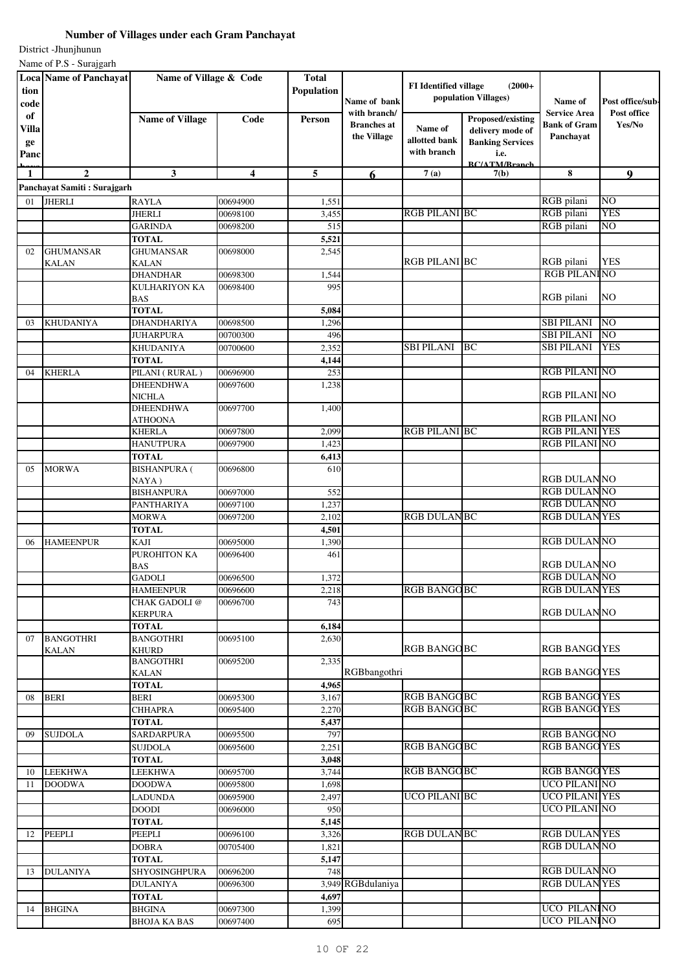District -Jhunjhunun

Name of P.S - Surajgarh

|                           | <b>Loca</b> Name of Panchayat    | Name of Village & Code                 |                         | <b>Total</b>   |                                                   |                                         |                                                                          |                                                         |                             |
|---------------------------|----------------------------------|----------------------------------------|-------------------------|----------------|---------------------------------------------------|-----------------------------------------|--------------------------------------------------------------------------|---------------------------------------------------------|-----------------------------|
| tion<br>code              |                                  |                                        |                         | Population     | Name of bank                                      | <b>FI</b> Identified village            | $(2000+$<br>population Villages)                                         | Name of                                                 | Post office/sub-            |
| of<br>Villa<br>ge<br>Panc |                                  | <b>Name of Village</b>                 | Code                    | Person         | with branch/<br><b>Branches</b> at<br>the Village | Name of<br>allotted bank<br>with branch | Proposed/existing<br>delivery mode of<br><b>Banking Services</b><br>i.e. | <b>Service Area</b><br><b>Bank of Gram</b><br>Panchayat | Post office<br>Yes/No       |
| 1                         | $\overline{2}$                   | 3                                      | $\overline{\mathbf{4}}$ | 5              | 6                                                 | 7(a)                                    | <b>RC/ATM/Rranch</b><br>7(b)                                             | 8                                                       | 9                           |
|                           | Panchayat Samiti : Surajgarh     |                                        |                         |                |                                                   |                                         |                                                                          |                                                         |                             |
| 01                        | <b>JHERLI</b>                    | <b>RAYLA</b>                           | 00694900                | 1,551          |                                                   |                                         |                                                                          | RGB pilani                                              | NO <sub>1</sub>             |
|                           |                                  | <b>JHERLI</b>                          | 00698100                | 3,455          |                                                   | <b>RGB PILANI BC</b>                    |                                                                          | RGB pilani                                              | <b>YES</b>                  |
|                           |                                  | <b>GARINDA</b>                         | 00698200                | 515            |                                                   |                                         |                                                                          | RGB pilani                                              | NO                          |
|                           |                                  | <b>TOTAL</b>                           |                         | 5,521          |                                                   |                                         |                                                                          |                                                         |                             |
| 02                        | <b>GHUMANSAR</b><br><b>KALAN</b> | <b>GHUMANSAR</b><br><b>KALAN</b>       | 00698000                | 2,545          |                                                   | <b>RGB PILANI BC</b>                    |                                                                          | RGB pilani                                              | <b>YES</b>                  |
|                           |                                  | <b>DHANDHAR</b>                        | 00698300                | 1,544          |                                                   |                                         |                                                                          | <b>RGB PILAN</b>                                        | INO                         |
|                           |                                  | KULHARIYON KA<br><b>BAS</b>            | 00698400                | 995            |                                                   |                                         |                                                                          | RGB pilani                                              | NO.                         |
|                           |                                  | <b>TOTAL</b>                           |                         | 5,084          |                                                   |                                         |                                                                          |                                                         |                             |
| 03                        | <b>KHUDANIYA</b>                 | <b>DHANDHARIYA</b><br><b>JUHARPURA</b> | 00698500<br>00700300    | 1,296<br>496   |                                                   |                                         |                                                                          | <b>SBI PILANI</b><br><b>SBI PILANI</b>                  | N <sub>O</sub><br><b>NO</b> |
|                           |                                  | <b>KHUDANIYA</b>                       | 00700600                | 2,352          |                                                   | <b>SBI PILANI</b>                       | BC                                                                       | <b>SBI PILANI</b>                                       | <b>YES</b>                  |
|                           |                                  | <b>TOTAL</b>                           |                         | 4,144          |                                                   |                                         |                                                                          |                                                         |                             |
| 04                        | <b>KHERLA</b>                    | PILANI (RURAL)                         | 00696900                | 253            |                                                   |                                         |                                                                          | <b>RGB PILANI NO</b>                                    |                             |
|                           |                                  | <b>DHEENDHWA</b><br><b>NICHLA</b>      | 00697600                | 1,238          |                                                   |                                         |                                                                          | <b>RGB PILANI NO</b>                                    |                             |
|                           |                                  | <b>DHEENDHWA</b><br><b>ATHOONA</b>     | 00697700                | 1,400          |                                                   |                                         |                                                                          | <b>RGB PILANI NO</b>                                    |                             |
|                           |                                  | <b>KHERLA</b>                          | 00697800                | 2,099          |                                                   | <b>RGB PILANI BC</b>                    |                                                                          | <b>RGB PILANI YES</b>                                   |                             |
|                           |                                  | <b>HANUTPURA</b>                       | 00697900                | 1,423          |                                                   |                                         |                                                                          | <b>RGB PILANI NO</b>                                    |                             |
|                           |                                  | <b>TOTAL</b>                           |                         | 6,413          |                                                   |                                         |                                                                          |                                                         |                             |
| 05                        | <b>MORWA</b>                     | <b>BISHANPURA (</b><br>NAYA)           | 00696800                | 610            |                                                   |                                         |                                                                          | <b>RGB DULAN NO</b>                                     |                             |
|                           |                                  | <b>BISHANPURA</b>                      | 00697000                | 552            |                                                   |                                         |                                                                          | <b>RGB DULANNO</b>                                      |                             |
|                           |                                  | <b>PANTHARIYA</b><br><b>MORWA</b>      | 00697100<br>00697200    | 1,237<br>2,102 |                                                   | <b>RGB DULANBC</b>                      |                                                                          | <b>RGB DULANNO</b><br><b>RGB DULAN YES</b>              |                             |
|                           |                                  | <b>TOTAL</b>                           |                         | 4,501          |                                                   |                                         |                                                                          |                                                         |                             |
| 06                        | <b>HAMEENPUR</b>                 | <b>KAJI</b>                            | 00695000                | 1,390          |                                                   |                                         |                                                                          | <b>RGB DULANNO</b>                                      |                             |
|                           |                                  | PUROHITON KA<br><b>BAS</b>             | 00696400                | 461            |                                                   |                                         |                                                                          | <b>RGB DULANNO</b>                                      |                             |
|                           |                                  | <b>GADOLI</b>                          | 00696500                | 1,372          |                                                   |                                         |                                                                          | <b>RGB DULANNO</b>                                      |                             |
|                           |                                  | <b>HAMEENPUR</b>                       | 00696600                | 2,218          |                                                   | RGB BANGOBC                             |                                                                          | <b>RGB DULAN YES</b>                                    |                             |
|                           |                                  | <b>CHAK GADOLI</b> @<br><b>KERPURA</b> | 00696700                | 743            |                                                   |                                         |                                                                          | <b>RGB DULANNO</b>                                      |                             |
|                           |                                  | <b>TOTAL</b>                           |                         | 6,184          |                                                   |                                         |                                                                          |                                                         |                             |
| 07                        | <b>BANGOTHRI</b><br><b>KALAN</b> | <b>BANGOTHRI</b><br><b>KHURD</b>       | 00695100                | 2,630          |                                                   | <b>RGB BANGOBC</b>                      |                                                                          | <b>RGB BANGO YES</b>                                    |                             |
|                           |                                  | <b>BANGOTHRI</b><br><b>KALAN</b>       | 00695200                | 2,335          | RGBbangothri                                      |                                         |                                                                          | <b>RGB BANGO YES</b>                                    |                             |
|                           |                                  | <b>TOTAL</b>                           |                         | 4,965          |                                                   | <b>RGB BANGOBC</b>                      |                                                                          | <b>RGB BANGO YES</b>                                    |                             |
| 08                        | <b>BERI</b>                      | <b>BERI</b><br><b>CHHAPRA</b>          | 00695300<br>00695400    | 3,167<br>2,270 |                                                   | <b>RGB BANGOBC</b>                      |                                                                          | <b>RGB BANGO YES</b>                                    |                             |
|                           |                                  | <b>TOTAL</b>                           |                         | 5,437          |                                                   |                                         |                                                                          |                                                         |                             |
| 09                        | <b>SUJDOLA</b>                   | <b>SARDARPURA</b>                      | 00695500                | 797            |                                                   |                                         |                                                                          | <b>RGB BANGONO</b>                                      |                             |
|                           |                                  | <b>SUJDOLA</b>                         | 00695600                | 2,251          |                                                   | <b>RGB BANGOBC</b>                      |                                                                          | <b>RGB BANGO YES</b>                                    |                             |
|                           |                                  | <b>TOTAL</b>                           |                         | 3,048          |                                                   |                                         |                                                                          |                                                         |                             |
| 10                        | <b>LEEKHWA</b>                   | <b>LEEKHWA</b>                         | 00695700                | 3,744          |                                                   | <b>RGB BANGOBC</b>                      |                                                                          | <b>RGB BANGO YES</b>                                    |                             |
| 11                        | <b>DOODWA</b>                    | <b>DOODWA</b>                          | 00695800                | 1,698          |                                                   |                                         |                                                                          | UCO PILANI NO                                           |                             |
|                           |                                  | <b>LADUNDA</b><br><b>DOODI</b>         | 00695900                | 2,497<br>950   |                                                   | <b>UCO PILANI BC</b>                    |                                                                          | <b>UCO PILANI YES</b><br>UCO PILANI NO                  |                             |
|                           |                                  | <b>TOTAL</b>                           | 00696000                | 5,145          |                                                   |                                         |                                                                          |                                                         |                             |
| 12                        | <b>PEEPLI</b>                    | PEEPLI                                 | 00696100                | 3,326          |                                                   | <b>RGB DULANBC</b>                      |                                                                          | <b>RGB DULAN YES</b>                                    |                             |
|                           |                                  | <b>DOBRA</b>                           | 00705400                | 1,821          |                                                   |                                         |                                                                          | <b>RGB DULANNO</b>                                      |                             |
|                           |                                  | <b>TOTAL</b>                           |                         | 5,147          |                                                   |                                         |                                                                          |                                                         |                             |
| 13                        | <b>DULANIYA</b>                  | SHYOSINGHPURA                          | 00696200                | 748            |                                                   |                                         |                                                                          | <b>RGB DULANNO</b>                                      |                             |
|                           |                                  | <b>DULANIYA</b>                        | 00696300                |                | 3,949 RGBdulaniya                                 |                                         |                                                                          | <b>RGB DULAN YES</b>                                    |                             |
|                           |                                  | <b>TOTAL</b>                           |                         | 4,697          |                                                   |                                         |                                                                          |                                                         |                             |
| 14                        | <b>BHGINA</b>                    | <b>BHGINA</b>                          | 00697300                | 1,399          |                                                   |                                         |                                                                          | UCO PILANINO                                            |                             |
|                           |                                  | <b>BHOJA KA BAS</b>                    | 00697400                | 695            |                                                   |                                         |                                                                          | UCO PILANINO                                            |                             |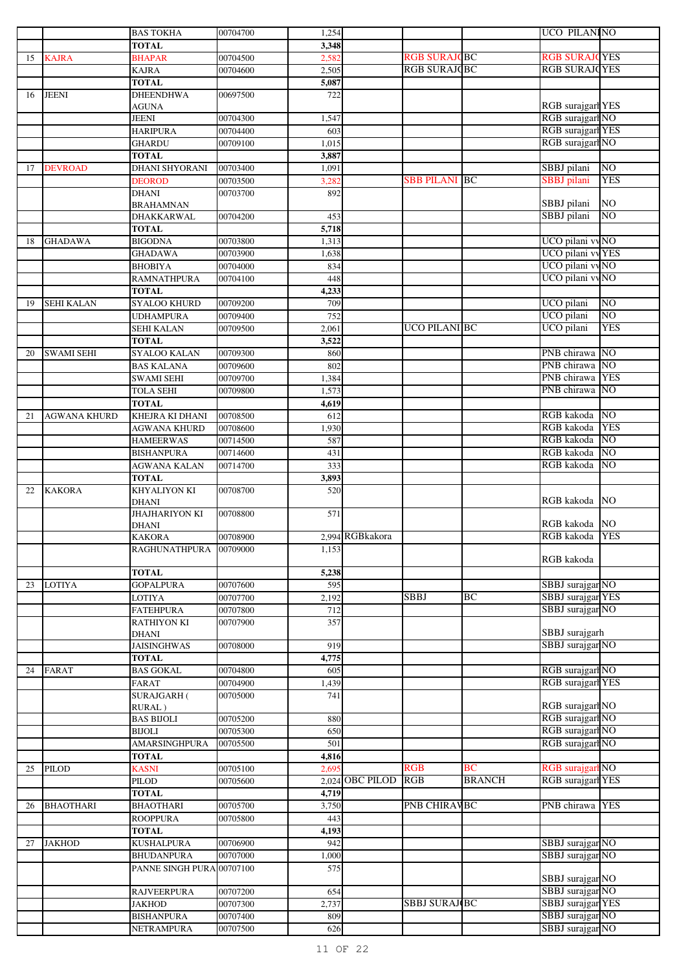|    |                     | <b>BAS TOKHA</b>                      | 00704700             | 1,254          |                 |                      |               | <b>UCO PILANINO</b>                   |                      |
|----|---------------------|---------------------------------------|----------------------|----------------|-----------------|----------------------|---------------|---------------------------------------|----------------------|
|    |                     | <b>TOTAL</b>                          |                      | 3,348          |                 |                      |               |                                       |                      |
| 15 | <b>KAJRA</b>        | <b>BHAPAR</b>                         | 00704500             | 2,582          |                 | <b>RGB SURAJCBC</b>  |               | <b>RGB SURAJCYES</b>                  |                      |
|    |                     | KAJRA                                 | 00704600             | 2,505          |                 | <b>RGB SURAJCBC</b>  |               | <b>RGB SURAJQYES</b>                  |                      |
|    |                     | <b>TOTAL</b>                          |                      | 5,087          |                 |                      |               |                                       |                      |
| 16 | <b>JEENI</b>        | <b>DHEENDHWA</b>                      | 00697500             | 722            |                 |                      |               |                                       |                      |
|    |                     | AGUNA                                 |                      |                |                 |                      |               | RGB surajgarl YES<br>RGB surajgarl NO |                      |
|    |                     | <b>JEENI</b><br><b>HARIPURA</b>       | 00704300<br>00704400 | 1,547<br>603   |                 |                      |               | <b>RGB</b> surajgarl YES              |                      |
|    |                     | <b>GHARDU</b>                         | 00709100             | 1,015          |                 |                      |               | RGB surajgarl NO                      |                      |
|    |                     | <b>TOTAL</b>                          |                      | 3,887          |                 |                      |               |                                       |                      |
| 17 | <b>DEVROAD</b>      | <b>DHANI SHYORANI</b>                 | 00703400             | 1,09           |                 |                      |               | SBBJ pilani                           | N <sub>O</sub>       |
|    |                     | <b>DEOROD</b>                         | 00703500             | 3,282          |                 | <b>SBB PILANI BC</b> |               | SBBJ pilani                           | <b>YES</b>           |
|    |                     | <b>DHANI</b>                          | 00703700             | 892            |                 |                      |               |                                       |                      |
|    |                     | <b>BRAHAMNAN</b>                      |                      |                |                 |                      |               | SBBJ pilani                           | NO                   |
|    |                     | DHAKKARWAL                            | 00704200             | 453            |                 |                      |               | SBBJ pilani                           | NO                   |
|    |                     | <b>TOTAL</b>                          |                      | 5,718          |                 |                      |               |                                       |                      |
| 18 | <b>GHADAWA</b>      | <b>BIGODNA</b>                        | 00703800             | 1,313          |                 |                      |               | UCO pilani vvNO                       |                      |
|    |                     | <b>GHADAWA</b>                        | 00703900             | 1,638          |                 |                      |               | UCO pilani vv YES                     |                      |
|    |                     | <b>BHOBIYA</b>                        | 00704000             | 834            |                 |                      |               | UCO pilani vvNO                       |                      |
|    |                     | <b>RAMNATHPURA</b>                    | 00704100             | 448            |                 |                      |               | UCO pilani vvNO                       |                      |
|    |                     | <b>TOTAL</b>                          |                      | 4,233          |                 |                      |               |                                       |                      |
| 19 | <b>SEHI KALAN</b>   | <b>SYALOO KHURD</b>                   | 00709200             | 709            |                 |                      |               | UCO pilani<br>UCO pilani              | NO<br>N <sub>O</sub> |
|    |                     | <b>UDHAMPURA</b><br><b>SEHI KALAN</b> | 00709400             | 752            |                 | <b>UCO PILANI BC</b> |               | UCO pilani                            | <b>YES</b>           |
|    |                     | <b>TOTAL</b>                          | 00709500             | 2,061<br>3,522 |                 |                      |               |                                       |                      |
| 20 | <b>SWAMI SEHI</b>   | SYALOO KALAN                          | 00709300             | 860            |                 |                      |               | PNB chirawa NO                        |                      |
|    |                     | <b>BAS KALANA</b>                     | 00709600             | 802            |                 |                      |               | PNB chirawa NO                        |                      |
|    |                     | <b>SWAMI SEHI</b>                     | 00709700             | 1,384          |                 |                      |               | PNB chirawa                           | <b>YES</b>           |
|    |                     | <b>TOLA SEHI</b>                      | 00709800             | 1,573          |                 |                      |               | PNB chirawa                           | <b>NO</b>            |
|    |                     | <b>TOTAL</b>                          |                      | 4,619          |                 |                      |               |                                       |                      |
| 21 | <b>AGWANA KHURD</b> | KHEJRA KI DHANI                       | 00708500             | 612            |                 |                      |               | RGB kakoda                            | N <sub>O</sub>       |
|    |                     | <b>AGWANA KHURD</b>                   | 00708600             | 1,930          |                 |                      |               | RGB kakoda                            | <b>YES</b>           |
|    |                     | <b>HAMEERWAS</b>                      | 00714500             | 587            |                 |                      |               | RGB kakoda                            | N <sub>0</sub>       |
|    |                     | <b>BISHANPURA</b>                     | 00714600             | 431            |                 |                      |               | RGB kakoda                            | N <sub>O</sub>       |
|    |                     | <b>AGWANA KALAN</b>                   | 00714700             | 333            |                 |                      |               | RGB kakoda                            | NO.                  |
|    |                     | <b>TOTAL</b>                          |                      | 3,893          |                 |                      |               |                                       |                      |
| 22 | <b>KAKORA</b>       | <b>KHYALIYON KI</b>                   | 00708700             | 520            |                 |                      |               | RGB kakoda                            | <b>NO</b>            |
|    |                     | <b>DHANI</b><br><b>JHAJHARIYON KI</b> | 00708800             | 571            |                 |                      |               |                                       |                      |
|    |                     | <b>DHANI</b>                          |                      |                |                 |                      |               | RGB kakoda                            | <b>NO</b>            |
|    |                     | <b>KAKORA</b>                         | 00708900             |                | 2,994 RGBkakora |                      |               | RGB kakoda YES                        |                      |
|    |                     | RAGHUNATHPURA 00709000                |                      | 1,153          |                 |                      |               |                                       |                      |
|    |                     |                                       |                      |                |                 |                      |               | RGB kakoda                            |                      |
|    |                     | <b>TOTAL</b>                          |                      | 5,238          |                 |                      |               |                                       |                      |
| 23 | <b>LOTIYA</b>       | <b>GOPALPURA</b>                      | 00707600             | 595            |                 |                      |               | SBBJ surajgar NO                      |                      |
|    |                     | <b>LOTIYA</b>                         | 00707700             | 2,192          |                 | <b>SBBJ</b>          | BC            | SBBJ surajgar YES<br>SBBJ surajgar NO |                      |
|    |                     | <b>FATEHPURA</b>                      | 00707800             | 712            |                 |                      |               |                                       |                      |
|    |                     | <b>RATHIYON KI</b><br><b>DHANI</b>    | 00707900             | 357            |                 |                      |               | SBBJ surajgarh                        |                      |
|    |                     | <b>JAISINGHWAS</b>                    | 00708000             | 919            |                 |                      |               | SBBJ surajgar NO                      |                      |
|    |                     | <b>TOTAL</b>                          |                      | 4,775          |                 |                      |               |                                       |                      |
| 24 | <b>FARAT</b>        | <b>BAS GOKAL</b>                      | 00704800             | 605            |                 |                      |               | RGB surajgarl NO                      |                      |
|    |                     | <b>FARAT</b>                          | 00704900             | 1,439          |                 |                      |               | <b>RGB</b> surajgarl YES              |                      |
|    |                     | <b>SURAJGARH (</b>                    | 00705000             | 741            |                 |                      |               |                                       |                      |
|    |                     | RURAL)                                |                      |                |                 |                      |               | RGB surajgarl NO                      |                      |
|    |                     | <b>BAS BIJOLI</b>                     | 00705200             | 880            |                 |                      |               | RGB surajgarl NO                      |                      |
|    |                     | <b>BIJOLI</b>                         | 00705300             | 650            |                 |                      |               | RGB surajgarl NO                      |                      |
|    |                     | AMARSINGHPURA                         | 00705500             | 501            |                 |                      |               | RGB surajgarl NO                      |                      |
| 25 | <b>PILOD</b>        | <b>TOTAL</b><br><b>KASNI</b>          | 00705100             | 4,816<br>2,695 |                 | <b>RGB</b>           | ВC            | <b>RGB</b> surajgarl NO               |                      |
|    |                     | PILOD                                 | 00705600             |                | 2,024 OBC PILOD | RGB                  | <b>BRANCH</b> | RGB surajgarl YES                     |                      |
|    |                     | <b>TOTAL</b>                          |                      | 4,719          |                 |                      |               |                                       |                      |
| 26 | <b>BHAOTHARI</b>    | <b>BHAOTHARI</b>                      | 00705700             | 3,750          |                 | PNB CHIRAVBC         |               | PNB chirawa YES                       |                      |
|    |                     | <b>ROOPPURA</b>                       | 00705800             | 443            |                 |                      |               |                                       |                      |
|    |                     | <b>TOTAL</b>                          |                      | 4,193          |                 |                      |               |                                       |                      |
| 27 | <b>JAKHOD</b>       | <b>KUSHALPURA</b>                     | 00706900             | 942            |                 |                      |               | SBBJ surajgar NO                      |                      |
|    |                     | <b>BHUDANPURA</b>                     | 00707000             | 1,000          |                 |                      |               | SBBJ surajgar NO                      |                      |
|    |                     | PANNE SINGH PURA 00707100             |                      | 575            |                 |                      |               |                                       |                      |
|    |                     |                                       |                      |                |                 |                      |               | SBBJ surajgar NO                      |                      |
|    |                     | <b>RAJVEERPURA</b>                    | 00707200             | 654            |                 | <b>SBBJ SURAJ(BC</b> |               | SBBJ surajgar NO<br>SBBJ surajgar YES |                      |
|    |                     | <b>JAKHOD</b>                         | 00707300             | 2,737          |                 |                      |               | SBBJ surajgar NO                      |                      |
|    |                     | <b>BISHANPURA</b>                     | 00707400             | 809            |                 |                      |               | SBBJ surajgar NO                      |                      |
|    |                     | NETRAMPURA                            | 00707500             | 626            |                 |                      |               |                                       |                      |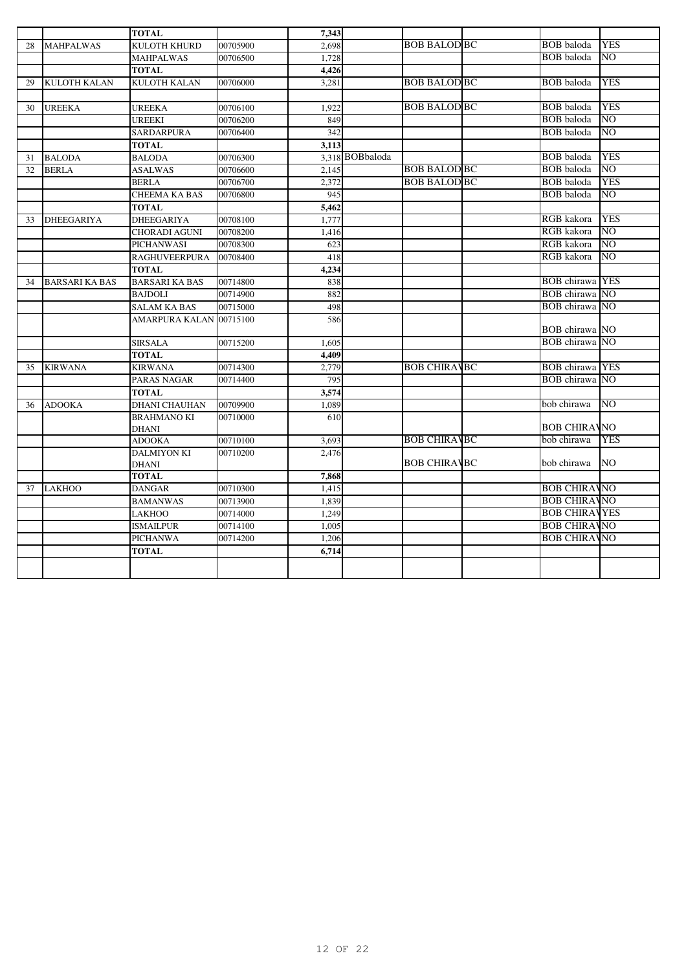|    |                       | <b>TOTAL</b>                       |          | 7,343 |                 |                     |                        |                 |
|----|-----------------------|------------------------------------|----------|-------|-----------------|---------------------|------------------------|-----------------|
| 28 | <b>MAHPALWAS</b>      | <b>KULOTH KHURD</b>                | 00705900 | 2,698 |                 | <b>BOB BALOD BC</b> | <b>BOB</b> baloda      | <b>YES</b>      |
|    |                       | <b>MAHPALWAS</b>                   | 00706500 | 1,728 |                 |                     | <b>BOB</b> baloda      | NO              |
|    |                       | <b>TOTAL</b>                       |          | 4,426 |                 |                     |                        |                 |
| 29 | <b>KULOTH KALAN</b>   | <b>KULOTH KALAN</b>                | 00706000 | 3,281 |                 | <b>BOB BALOD BC</b> | <b>BOB</b> baloda      | <b>YES</b>      |
|    |                       |                                    |          |       |                 |                     |                        |                 |
| 30 | <b>UREEKA</b>         | <b>UREEKA</b>                      | 00706100 | 1.922 |                 | <b>BOB BALOD BC</b> | <b>BOB</b> baloda      | <b>YES</b>      |
|    |                       | <b>UREEKI</b>                      | 00706200 | 849   |                 |                     | <b>BOB</b> baloda      | $\overline{NO}$ |
|    |                       | <b>SARDARPURA</b>                  | 00706400 | 342   |                 |                     | <b>BOB</b> baloda      | $\overline{NO}$ |
|    |                       | <b>TOTAL</b>                       |          | 3,113 |                 |                     |                        |                 |
| 31 | <b>BALODA</b>         | <b>BALODA</b>                      | 00706300 |       | 3.318 BOBbaloda |                     | <b>BOB</b> baloda      | <b>YES</b>      |
| 32 | <b>BERLA</b>          | <b>ASALWAS</b>                     | 00706600 | 2.145 |                 | <b>BOB BALOD BC</b> | <b>BOB</b> baloda      | NO              |
|    |                       | <b>BERLA</b>                       | 00706700 | 2,372 |                 | <b>BOB BALOD BC</b> | <b>BOB</b> baloda      | <b>YES</b>      |
|    |                       | <b>CHEEMA KA BAS</b>               | 00706800 | 945   |                 |                     | <b>BOB</b> baloda      | N <sub>O</sub>  |
|    |                       | <b>TOTAL</b>                       |          | 5,462 |                 |                     |                        |                 |
| 33 | <b>DHEEGARIYA</b>     | <b>DHEEGARIYA</b>                  | 00708100 | 1.777 |                 |                     | RGB kakora             | <b>YES</b>      |
|    |                       | <b>CHORADI AGUNI</b>               | 00708200 | 1,416 |                 |                     | RGB kakora             | NO              |
|    |                       | <b>PICHANWASI</b>                  | 00708300 | 623   |                 |                     | RGB kakora             | N <sub>O</sub>  |
|    |                       | <b>RAGHUVEERPURA</b>               | 00708400 | 418   |                 |                     | RGB kakora             | NO              |
|    |                       | <b>TOTAL</b>                       |          | 4,234 |                 |                     |                        |                 |
| 34 | <b>BARSARI KA BAS</b> | <b>BARSARI KA BAS</b>              | 00714800 | 838   |                 |                     | <b>BOB</b> chirawa YES |                 |
|    |                       | <b>BAJDOLI</b>                     | 00714900 | 882   |                 |                     | BOB chirawa NO         |                 |
|    |                       | <b>SALAM KA BAS</b>                | 00715000 | 498   |                 |                     | <b>BOB</b> chirawa     | N <sub>O</sub>  |
|    |                       | AMARPURA KALAN 00715100            |          | 586   |                 |                     | <b>BOB</b> chirawa     | NO <sub>1</sub> |
|    |                       | <b>SIRSALA</b>                     | 00715200 | 1,605 |                 |                     | <b>BOB</b> chirawa NO  |                 |
|    |                       | <b>TOTAL</b>                       |          | 4,409 |                 |                     |                        |                 |
| 35 | <b>KIRWANA</b>        | <b>KIRWANA</b>                     | 00714300 | 2,779 |                 | <b>BOB CHIRAVBC</b> | <b>BOB</b> chirawa YES |                 |
|    |                       | PARAS NAGAR                        | 00714400 | 795   |                 |                     | <b>BOB</b> chirawa     | N <sub>O</sub>  |
|    |                       | <b>TOTAL</b>                       |          | 3,574 |                 |                     |                        |                 |
| 36 | <b>ADOOKA</b>         | <b>DHANI CHAUHAN</b>               | 00709900 | 1.089 |                 |                     | bob chirawa            | NO              |
|    |                       | <b>BRAHMANO KI</b><br><b>DHANI</b> | 00710000 | 610   |                 |                     | <b>BOB CHIRAVNO</b>    |                 |
|    |                       | <b>ADOOKA</b>                      | 00710100 | 3,693 |                 | <b>BOB CHIRAVBC</b> | bob chirawa            | <b>YES</b>      |
|    |                       | <b>DALMIYON KI</b><br><b>DHANI</b> | 00710200 | 2,476 |                 | <b>BOB CHIRAVBC</b> | bob chirawa            | NO              |
|    |                       | <b>TOTAL</b>                       |          | 7,868 |                 |                     |                        |                 |
| 37 | <b>LAKHOO</b>         | <b>DANGAR</b>                      | 00710300 | 1,415 |                 |                     | <b>BOB CHIRAVNO</b>    |                 |
|    |                       | <b>BAMANWAS</b>                    | 00713900 | 1,839 |                 |                     | <b>BOB CHIRAVNO</b>    |                 |
|    |                       | <b>LAKHOO</b>                      | 00714000 | 1,249 |                 |                     | <b>BOB CHIRAVYES</b>   |                 |
|    |                       | <b>ISMAILPUR</b>                   | 00714100 | 1,005 |                 |                     | <b>BOB CHIRAVNO</b>    |                 |
|    |                       | <b>PICHANWA</b>                    | 00714200 | 1,206 |                 |                     | <b>BOB CHIRAVNO</b>    |                 |
|    |                       | <b>TOTAL</b>                       |          | 6.714 |                 |                     |                        |                 |
|    |                       |                                    |          |       |                 |                     |                        |                 |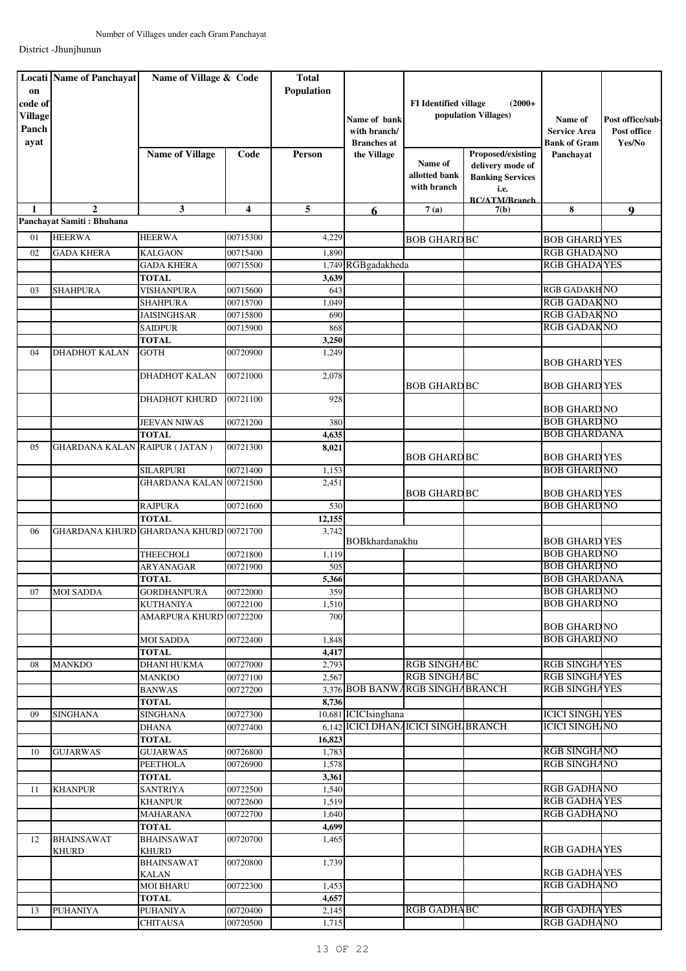|                | <b>Locati Name of Panchayat</b>      | Name of Village & Code                      |                         | <b>Total</b>   |                                     |                              |                              |                                           |                  |
|----------------|--------------------------------------|---------------------------------------------|-------------------------|----------------|-------------------------------------|------------------------------|------------------------------|-------------------------------------------|------------------|
| on             |                                      |                                             |                         | Population     |                                     |                              |                              |                                           |                  |
| code of        |                                      |                                             |                         |                |                                     | <b>FI</b> Identified village | $(2000+$                     |                                           |                  |
| <b>Village</b> |                                      |                                             |                         |                | Name of bank                        |                              | population Villages)         | Name of                                   | Post office/sub- |
| Panch          |                                      |                                             |                         |                | with branch/                        |                              |                              | <b>Service Area</b>                       | Post office      |
| ayat           |                                      |                                             |                         |                | <b>Branches</b> at                  |                              |                              | <b>Bank of Gram</b>                       | Yes/No           |
|                |                                      | <b>Name of Village</b>                      | Code                    | <b>Person</b>  | the Village                         |                              | Proposed/existing            | Panchayat                                 |                  |
|                |                                      |                                             |                         |                |                                     | Name of                      | delivery mode of             |                                           |                  |
|                |                                      |                                             |                         |                |                                     | allotted bank                | <b>Banking Services</b>      |                                           |                  |
|                |                                      |                                             |                         |                |                                     | with branch                  | i.e.<br><b>BC/ATM/Branch</b> |                                           |                  |
| 1              | $\overline{2}$                       | 3                                           | $\overline{\mathbf{4}}$ | 5              | 6                                   | 7(a)                         | 7(b)                         | 8                                         | 9                |
|                | Panchayat Samiti: Bhuhana            |                                             |                         |                |                                     |                              |                              |                                           |                  |
| 01             | <b>HEERWA</b>                        | <b>HEERWA</b>                               | 00715300                | 4,229          |                                     |                              |                              |                                           |                  |
|                |                                      |                                             |                         |                |                                     | <b>BOB GHARD BC</b>          |                              | <b>BOB GHARD YES</b>                      |                  |
| 02             | <b>GADA KHERA</b>                    | <b>KALGAON</b>                              | 00715400                | 1,890          |                                     |                              |                              | <b>RGB GHADANO</b>                        |                  |
|                |                                      | <b>GADA KHERA</b>                           | 00715500                | 1,749          | RGBgadakheda                        |                              |                              | <b>RGB GHADAYES</b>                       |                  |
|                |                                      | <b>TOTAL</b>                                |                         | 3,639          |                                     |                              |                              | <b>RGB GADAKH NO</b>                      |                  |
| 03             | <b>SHAHPURA</b>                      | <b>VISHANPURA</b>                           | 00715600                | 643            |                                     |                              |                              | <b>RGB GADAKNO</b>                        |                  |
|                |                                      | <b>SHAHPURA</b><br><b>JAISINGHSAR</b>       | 00715700<br>00715800    | 1,049<br>690   |                                     |                              |                              | <b>RGB GADAKNO</b>                        |                  |
|                |                                      | <b>SAIDPUR</b>                              | 00715900                | 868            |                                     |                              |                              | RGB GADAKNO                               |                  |
|                |                                      | <b>TOTAL</b>                                |                         | 3,250          |                                     |                              |                              |                                           |                  |
| 04             | <b>DHADHOT KALAN</b>                 | <b>GOTH</b>                                 | 00720900                | 1,249          |                                     |                              |                              |                                           |                  |
|                |                                      |                                             |                         |                |                                     |                              |                              | <b>BOB GHARD YES</b>                      |                  |
|                |                                      | <b>DHADHOT KALAN</b>                        | 00721000                | 2,078          |                                     |                              |                              |                                           |                  |
|                |                                      |                                             |                         |                |                                     | <b>BOB GHARD BC</b>          |                              | <b>BOB GHARD YES</b>                      |                  |
|                |                                      | <b>DHADHOT KHURD</b>                        | 00721100                | 928            |                                     |                              |                              |                                           |                  |
|                |                                      |                                             |                         |                |                                     |                              |                              | <b>BOB GHARD NO</b>                       |                  |
|                |                                      | <b>JEEVAN NIWAS</b>                         | 00721200                | 380            |                                     |                              |                              | <b>BOB GHARD NO</b>                       |                  |
|                |                                      | <b>TOTAL</b>                                |                         | 4,635          |                                     |                              |                              | <b>BOB GHARDANA</b>                       |                  |
| 05             | <b>GHARDANA KALAN RAIPUR (JATAN)</b> |                                             | 00721300                | 8,021          |                                     |                              |                              |                                           |                  |
|                |                                      |                                             |                         |                |                                     | <b>BOB GHARD BC</b>          |                              | <b>BOB GHARD YES</b>                      |                  |
|                |                                      | <b>SILARPURI</b><br>GHARDANA KALAN 00721500 | 00721400                | 1,153<br>2,451 |                                     |                              |                              | <b>BOB GHARDNO</b>                        |                  |
|                |                                      |                                             |                         |                |                                     | BOB GHARD BC                 |                              | <b>BOB GHARD YES</b>                      |                  |
|                |                                      | <b>RAJPURA</b>                              | 00721600                | 530            |                                     |                              |                              | <b>BOB GHARDNO</b>                        |                  |
|                |                                      | <b>TOTAL</b>                                |                         | 12,155         |                                     |                              |                              |                                           |                  |
| 06             |                                      | GHARDANA KHURD GHARDANA KHURD 00721700      |                         | 3,742          |                                     |                              |                              |                                           |                  |
|                |                                      |                                             |                         |                | BOBkhardanakhu                      |                              |                              | <b>BOB GHARD YES</b>                      |                  |
|                |                                      | <b>THEECHOLI</b>                            | 00721800                | 1,119          |                                     |                              |                              | <b>BOB GHARD NO</b>                       |                  |
|                |                                      | ARYANAGAR                                   | 00721900                | 505            |                                     |                              |                              | <b>BOB GHARD NO</b>                       |                  |
|                |                                      | <b>TOTAL</b>                                |                         | 5,366          |                                     |                              |                              | <b>BOB GHARDANA</b>                       |                  |
| 07             | <b>MOI SADDA</b>                     | <b>GORDHANPURA</b>                          | 00722000                | 359            |                                     |                              |                              | <b>BOB GHARD NO</b>                       |                  |
|                |                                      | <b>KUTHANIYA</b>                            | 00722100                | 1,510          |                                     |                              |                              | <b>BOB GHARDNO</b>                        |                  |
|                |                                      | AMARPURA KHURD 00722200                     |                         | 700            |                                     |                              |                              |                                           |                  |
|                |                                      | <b>MOI SADDA</b>                            | 00722400                |                |                                     |                              |                              | <b>BOB GHARDNO</b><br><b>BOB GHARDNO</b>  |                  |
|                |                                      |                                             |                         | 1,848          |                                     |                              |                              |                                           |                  |
| 08             | <b>MANKDO</b>                        | <b>TOTAL</b><br><b>DHANI HUKMA</b>          | 00727000                | 4,417<br>2,793 |                                     | <b>RGB SINGHABC</b>          |                              | <b>RGB SINGHAYES</b>                      |                  |
|                |                                      | <b>MANKDO</b>                               | 00727100                | 2,567          |                                     | <b>RGB SINGHABC</b>          |                              | <b>RGB SINGHAYES</b>                      |                  |
|                |                                      | <b>BANWAS</b>                               | 00727200                |                | 3,376 BOB BANWARGB SINGHABRANCH     |                              |                              | <b>RGB SINGHAYES</b>                      |                  |
|                |                                      | <b>TOTAL</b>                                |                         | 8,736          |                                     |                              |                              |                                           |                  |
| 09             | <b>SINGHANA</b>                      | <b>SINGHANA</b>                             | 00727300                |                | 10,681 ICICIsinghana                |                              |                              | <b>ICICI SINGHIYES</b>                    |                  |
|                |                                      | <b>DHANA</b>                                | 00727400                |                | 6,142 ICICI DHANAICICI SINGH BRANCH |                              |                              | <b>ICICI SINGHANO</b>                     |                  |
|                |                                      | <b>TOTAL</b>                                |                         | 16,823         |                                     |                              |                              |                                           |                  |
| 10             | <b>GUJARWAS</b>                      | <b>GUJARWAS</b>                             | 00726800                | 1,783          |                                     |                              |                              | <b>RGB SINGHANO</b>                       |                  |
|                |                                      | <b>PEETHOLA</b>                             | 00726900                | 1,578          |                                     |                              |                              | <b>RGB SINGHANO</b>                       |                  |
|                |                                      | <b>TOTAL</b>                                |                         | 3,361          |                                     |                              |                              |                                           |                  |
| 11             | <b>KHANPUR</b>                       | <b>SANTRIYA</b>                             | 00722500                | 1,540          |                                     |                              |                              | <b>RGB GADHANO</b>                        |                  |
|                |                                      | <b>KHANPUR</b>                              | 00722600                | 1,519          |                                     |                              |                              | <b>RGB GADHAYES</b>                       |                  |
|                |                                      | <b>MAHARANA</b>                             | 00722700                | 1,640          |                                     |                              |                              | <b>RGB GADHANO</b>                        |                  |
|                |                                      | <b>TOTAL</b>                                |                         | 4,699          |                                     |                              |                              |                                           |                  |
| 12             | <b>BHAINSAWAT</b>                    | <b>BHAINSAWAT</b>                           | 00720700                | 1,465          |                                     |                              |                              |                                           |                  |
|                | <b>KHURD</b>                         | <b>KHURD</b>                                |                         |                |                                     |                              |                              | <b>RGB GADHAYES</b>                       |                  |
|                |                                      | <b>BHAINSAWAT</b>                           | 00720800                | 1,739          |                                     |                              |                              |                                           |                  |
|                |                                      | <b>KALAN</b>                                |                         |                |                                     |                              |                              | <b>RGB GADHAYES</b><br><b>RGB GADHANO</b> |                  |
|                |                                      | <b>MOI BHARU</b><br><b>TOTAL</b>            | 00722300                | 1,453<br>4,657 |                                     |                              |                              |                                           |                  |
| 13             | <b>PUHANIYA</b>                      | <b>PUHANIYA</b>                             | 00720400                | 2,145          |                                     | <b>RGB GADHABC</b>           |                              | <b>RGB GADHAYES</b>                       |                  |
|                |                                      | <b>CHITAUSA</b>                             | 00720500                | 1,715          |                                     |                              |                              | <b>RGB GADHANO</b>                        |                  |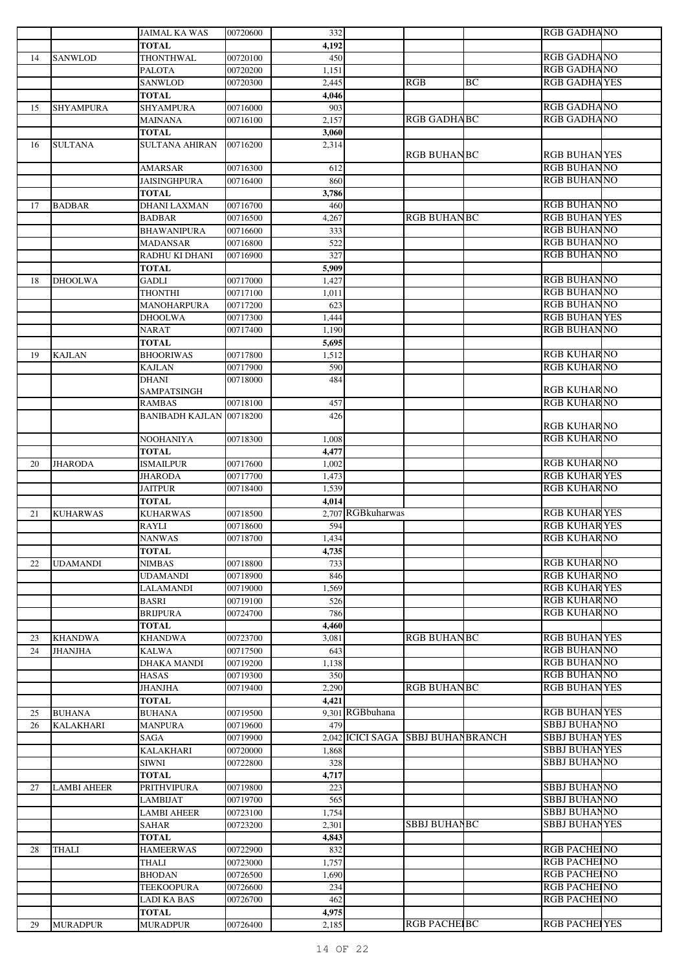|    |                    | <b>JAIMAL KA WAS</b>            | 00720600 | 332   |                   |                         |    | <b>RGB GADHANO</b>    |  |
|----|--------------------|---------------------------------|----------|-------|-------------------|-------------------------|----|-----------------------|--|
|    |                    | <b>TOTAL</b>                    |          | 4,192 |                   |                         |    |                       |  |
| 14 | <b>SANWLOD</b>     | THONTHWAL                       | 00720100 | 450   |                   |                         |    | <b>RGB GADHANO</b>    |  |
|    |                    | <b>PALOTA</b>                   | 00720200 | 1,151 |                   |                         |    | <b>RGB GADHANO</b>    |  |
|    |                    | <b>SANWLOD</b>                  | 00720300 | 2,445 |                   | RGB                     | BC | <b>RGB GADHAYES</b>   |  |
|    |                    | <b>TOTAL</b>                    |          | 4,046 |                   |                         |    |                       |  |
|    | <b>SHYAMPURA</b>   | <b>SHYAMPURA</b>                | 00716000 | 903   |                   |                         |    | <b>RGB GADHANO</b>    |  |
| 15 |                    |                                 |          |       |                   | <b>RGB GADHABC</b>      |    | <b>RGB GADHANO</b>    |  |
|    |                    | <b>MAINANA</b>                  | 00716100 | 2,157 |                   |                         |    |                       |  |
|    |                    | <b>TOTAL</b>                    |          | 3,060 |                   |                         |    |                       |  |
| 16 | <b>SULTANA</b>     | <b>SULTANA AHIRAN</b>           | 00716200 | 2,314 |                   |                         |    |                       |  |
|    |                    |                                 |          |       |                   | <b>RGB BUHANBC</b>      |    | <b>RGB BUHANYES</b>   |  |
|    |                    | <b>AMARSAR</b>                  | 00716300 | 612   |                   |                         |    | <b>RGB BUHANNO</b>    |  |
|    |                    | <b>JAISINGHPURA</b>             | 00716400 | 860   |                   |                         |    | <b>RGB BUHANNO</b>    |  |
|    |                    | <b>TOTAL</b>                    |          | 3,786 |                   |                         |    |                       |  |
| 17 | <b>BADBAR</b>      | <b>DHANI LAXMAN</b>             | 00716700 | 460   |                   |                         |    | <b>RGB BUHANNO</b>    |  |
|    |                    | <b>BADBAR</b>                   | 00716500 | 4,267 |                   | <b>RGB BUHANBC</b>      |    | <b>RGB BUHANYES</b>   |  |
|    |                    | <b>BHAWANIPURA</b>              | 00716600 | 333   |                   |                         |    | <b>RGB BUHANNO</b>    |  |
|    |                    | <b>MADANSAR</b>                 | 00716800 | 522   |                   |                         |    | <b>RGB BUHANNO</b>    |  |
|    |                    | RADHU KI DHANI                  | 00716900 | 327   |                   |                         |    | <b>RGB BUHANNO</b>    |  |
|    |                    | <b>TOTAL</b>                    |          | 5,909 |                   |                         |    |                       |  |
|    | <b>DHOOLWA</b>     | <b>GADLI</b>                    | 00717000 | 1,427 |                   |                         |    | <b>RGB BUHANNO</b>    |  |
| 18 |                    |                                 |          |       |                   |                         |    |                       |  |
|    |                    | <b>THONTHI</b>                  | 00717100 | 1,011 |                   |                         |    | <b>RGB BUHANNO</b>    |  |
|    |                    | <b>MANOHARPURA</b>              | 00717200 | 623   |                   |                         |    | <b>RGB BUHANNO</b>    |  |
|    |                    | <b>DHOOLWA</b>                  | 00717300 | 1,444 |                   |                         |    | <b>RGB BUHANYES</b>   |  |
|    |                    | <b>NARAT</b>                    | 00717400 | 1,190 |                   |                         |    | <b>RGB BUHANNO</b>    |  |
|    |                    | <b>TOTAL</b>                    |          | 5,695 |                   |                         |    |                       |  |
| 19 | <b>KAJLAN</b>      | <b>BHOORIWAS</b>                | 00717800 | 1,512 |                   |                         |    | <b>RGB KUHARNO</b>    |  |
|    |                    | <b>KAJLAN</b>                   | 00717900 | 590   |                   |                         |    | <b>RGB KUHARNO</b>    |  |
|    |                    | <b>DHANI</b>                    | 00718000 | 484   |                   |                         |    |                       |  |
|    |                    | SAMPATSINGH                     |          |       |                   |                         |    | <b>RGB KUHARNO</b>    |  |
|    |                    | <b>RAMBAS</b>                   | 00718100 | 457   |                   |                         |    | <b>RGB KUHARNO</b>    |  |
|    |                    | <b>BANIBADH KAJLAN 00718200</b> |          | 426   |                   |                         |    |                       |  |
|    |                    |                                 |          |       |                   |                         |    | <b>RGB KUHARNO</b>    |  |
|    |                    | <b>NOOHANIYA</b>                | 00718300 | 1,008 |                   |                         |    | <b>RGB KUHARNO</b>    |  |
|    |                    |                                 |          |       |                   |                         |    |                       |  |
|    |                    | <b>TOTAL</b>                    |          | 4,477 |                   |                         |    |                       |  |
| 20 | <b>JHARODA</b>     | ISMAILPUR                       | 00717600 | 1,002 |                   |                         |    | <b>RGB KUHARNO</b>    |  |
|    |                    | <b>JHARODA</b>                  | 00717700 | 1,473 |                   |                         |    | <b>RGB KUHAR YES</b>  |  |
|    |                    | <b>JAITPUR</b>                  | 00718400 | 1,539 |                   |                         |    | <b>RGB KUHAR NO</b>   |  |
|    |                    | <b>TOTAL</b>                    |          | 4,014 |                   |                         |    |                       |  |
| 21 | <b>KUHARWAS</b>    | <b>KUHARWAS</b>                 | 00718500 |       | 2,707 RGBkuharwas |                         |    | <b>RGB KUHARYES</b>   |  |
|    |                    | RAYLI                           | 00718600 | 594   |                   |                         |    | <b>RGB KUHAR YES</b>  |  |
|    |                    | <b>NANWAS</b>                   | 00718700 | 1,434 |                   |                         |    | <b>RGB KUHARNO</b>    |  |
|    |                    | <b>TOTAL</b>                    |          | 4,735 |                   |                         |    |                       |  |
|    |                    |                                 | 00718800 | 733   |                   |                         |    | <b>RGB KUHARNO</b>    |  |
| 22 | <b>UDAMANDI</b>    | <b>NIMBAS</b>                   |          |       |                   |                         |    |                       |  |
|    |                    | <b>UDAMANDI</b>                 | 00718900 | 846   |                   |                         |    | <b>RGB KUHARNO</b>    |  |
|    |                    | <b>LALAMANDI</b>                | 00719000 | 1,569 |                   |                         |    | <b>RGB KUHAR YES</b>  |  |
|    |                    | <b>BASRI</b>                    | 00719100 | 526   |                   |                         |    | <b>RGB KUHAR NO</b>   |  |
|    |                    | <b>BRIJPURA</b>                 | 00724700 | 786   |                   |                         |    | <b>RGB KUHARNO</b>    |  |
|    |                    | <b>TOTAL</b>                    |          | 4,460 |                   |                         |    |                       |  |
| 23 | <b>KHANDWA</b>     | <b>KHANDWA</b>                  | 00723700 | 3,081 |                   | <b>RGB BUHANBC</b>      |    | <b>RGB BUHANYES</b>   |  |
| 24 | <b>JHANJHA</b>     | <b>KALWA</b>                    | 00717500 | 643   |                   |                         |    | <b>RGB BUHANNO</b>    |  |
|    |                    | <b>DHAKA MANDI</b>              | 00719200 | 1,138 |                   |                         |    | <b>RGB BUHANNO</b>    |  |
|    |                    | <b>HASAS</b>                    | 00719300 | 350   |                   |                         |    | <b>RGB BUHANNO</b>    |  |
|    |                    | <b>JHANJHA</b>                  | 00719400 | 2,290 |                   | <b>RGB BUHANBC</b>      |    | <b>RGB BUHANYES</b>   |  |
|    |                    |                                 |          |       |                   |                         |    |                       |  |
|    |                    | <b>TOTAL</b>                    |          | 4,421 |                   |                         |    |                       |  |
| 25 | <b>BUHANA</b>      | <b>BUHANA</b>                   | 00719500 |       | 9,301 RGBbuhana   |                         |    | <b>RGB BUHANYES</b>   |  |
| 26 | <b>KALAKHARI</b>   | <b>MANPURA</b>                  | 00719600 | 479   |                   |                         |    | <b>SBBJ BUHANNO</b>   |  |
|    |                    | SAGA                            | 00719900 |       | 2.042 ICICI SAGA  | <b>SBBJ BUHANBRANCH</b> |    | <b>SBBJ BUHANYES</b>  |  |
|    |                    | <b>KALAKHARI</b>                | 00720000 | 1,868 |                   |                         |    | <b>SBBJ BUHANYES</b>  |  |
|    |                    | <b>SIWNI</b>                    | 00722800 | 328   |                   |                         |    | <b>SBBJ BUHANNO</b>   |  |
|    |                    | <b>TOTAL</b>                    |          | 4,717 |                   |                         |    |                       |  |
| 27 | <b>LAMBI AHEER</b> | <b>PRITHVIPURA</b>              | 00719800 | 223   |                   |                         |    | <b>SBBJ BUHANNO</b>   |  |
|    |                    | <b>LAMBIJAT</b>                 | 00719700 | 565   |                   |                         |    | <b>SBBJ BUHANNO</b>   |  |
|    |                    | <b>LAMBI AHEER</b>              | 00723100 | 1,754 |                   |                         |    | <b>SBBJ BUHANNO</b>   |  |
|    |                    |                                 |          |       |                   |                         |    |                       |  |
|    |                    | <b>SAHAR</b>                    | 00723200 | 2,301 |                   | <b>SBBJ BUHANBC</b>     |    | <b>SBBJ BUHANYES</b>  |  |
|    |                    | <b>TOTAL</b>                    |          | 4,843 |                   |                         |    |                       |  |
| 28 | <b>THALI</b>       | <b>HAMEERWAS</b>                | 00722900 | 832   |                   |                         |    | <b>RGB PACHEINO</b>   |  |
|    |                    | <b>THALI</b>                    | 00723000 | 1,757 |                   |                         |    | <b>RGB PACHEINO</b>   |  |
|    |                    | <b>BHODAN</b>                   | 00726500 | 1,690 |                   |                         |    | <b>RGB PACHEINO</b>   |  |
|    |                    | <b>TEEKOOPURA</b>               | 00726600 | 234   |                   |                         |    | <b>RGB PACHEINO</b>   |  |
|    |                    | <b>LADI KA BAS</b>              | 00726700 | 462   |                   |                         |    | <b>RGB PACHEINO</b>   |  |
|    |                    | <b>TOTAL</b>                    |          | 4,975 |                   |                         |    |                       |  |
| 29 | <b>MURADPUR</b>    | <b>MURADPUR</b>                 | 00726400 | 2,185 |                   | <b>RGB PACHE BC</b>     |    | <b>RGB PACHEI YES</b> |  |
|    |                    |                                 |          |       |                   |                         |    |                       |  |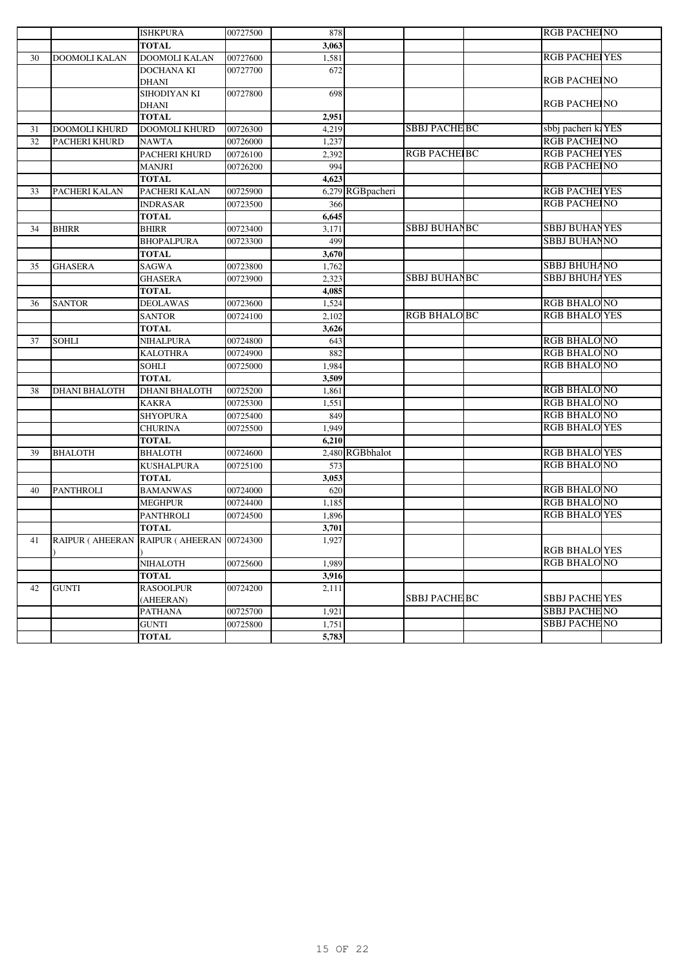|    |                                          | <b>ISHKPURA</b>             | 00727500 | 878   |                  |                      | <b>RGB PACHEINO</b>   |  |
|----|------------------------------------------|-----------------------------|----------|-------|------------------|----------------------|-----------------------|--|
|    |                                          | <b>TOTAL</b>                |          | 3,063 |                  |                      |                       |  |
| 30 | <b>DOOMOLI KALAN</b>                     | <b>DOOMOLI KALAN</b>        | 00727600 | 1,581 |                  |                      | <b>RGB PACHEI YES</b> |  |
|    |                                          | <b>DOCHANA KI</b>           | 00727700 | 672   |                  |                      |                       |  |
|    |                                          | <b>DHANI</b>                |          |       |                  |                      | <b>RGB PACHEINO</b>   |  |
|    |                                          | SIHODIYAN KI                | 00727800 | 698   |                  |                      |                       |  |
|    |                                          | <b>DHANI</b>                |          |       |                  |                      | <b>RGB PACHEINO</b>   |  |
|    |                                          | <b>TOTAL</b>                |          | 2,951 |                  |                      |                       |  |
| 31 | <b>DOOMOLI KHURD</b>                     | <b>DOOMOLI KHURD</b>        | 00726300 | 4,219 |                  | <b>SBBJ PACHE BC</b> | sbbj pacheri k: YES   |  |
| 32 | PACHERI KHURD                            | <b>NAWTA</b>                | 00726000 | 1,237 |                  |                      | <b>RGB PACHEINO</b>   |  |
|    |                                          | PACHERI KHURD               | 00726100 | 2,392 |                  | <b>RGB PACHEIBC</b>  | <b>RGB PACHEI YES</b> |  |
|    |                                          | <b>MANJRI</b>               | 00726200 | 994   |                  |                      | <b>RGB PACHEINO</b>   |  |
|    |                                          | <b>TOTAL</b>                |          | 4,623 |                  |                      |                       |  |
| 33 | PACHERI KALAN                            | PACHERI KALAN               | 00725900 |       | 6,279 RGBpacheri |                      | <b>RGB PACHE YES</b>  |  |
|    |                                          | <b>INDRASAR</b>             | 00723500 | 366   |                  |                      | <b>RGB PACHEINO</b>   |  |
|    |                                          | <b>TOTAL</b>                |          | 6,645 |                  |                      |                       |  |
| 34 | <b>BHIRR</b>                             | <b>BHIRR</b>                | 00723400 | 3,171 |                  | <b>SBBJ BUHANBC</b>  | <b>SBBJ BUHANYES</b>  |  |
|    |                                          | <b>BHOPALPURA</b>           | 00723300 | 499   |                  |                      | <b>SBBJ BUHANNO</b>   |  |
|    |                                          | <b>TOTAL</b>                |          | 3,670 |                  |                      |                       |  |
| 35 | <b>GHASERA</b>                           | <b>SAGWA</b>                | 00723800 | 1,762 |                  |                      | <b>SBBJ BHUHANO</b>   |  |
|    |                                          | <b>GHASERA</b>              | 00723900 | 2,323 |                  | <b>SBBJ BUHANBC</b>  | <b>SBBJ BHUHAYES</b>  |  |
|    |                                          | <b>TOTAL</b>                |          | 4,085 |                  |                      |                       |  |
| 36 | <b>SANTOR</b>                            | <b>DEOLAWAS</b>             | 00723600 | 1,524 |                  |                      | <b>RGB BHALONO</b>    |  |
|    |                                          | <b>SANTOR</b>               | 00724100 | 2,102 |                  | <b>RGB BHALO BC</b>  | <b>RGB BHALO YES</b>  |  |
|    |                                          | <b>TOTAL</b>                |          | 3,626 |                  |                      |                       |  |
| 37 | <b>SOHLI</b>                             | NIHALPURA                   | 00724800 | 643   |                  |                      | <b>RGB BHALONO</b>    |  |
|    |                                          | <b>KALOTHRA</b>             | 00724900 | 882   |                  |                      | <b>RGB BHALONO</b>    |  |
|    |                                          | SOHLI                       | 00725000 | 1,984 |                  |                      | <b>RGB BHALONO</b>    |  |
|    |                                          | <b>TOTAL</b>                |          | 3,509 |                  |                      |                       |  |
| 38 | <b>DHANI BHALOTH</b>                     | <b>DHANI BHALOTH</b>        | 00725200 | 1,861 |                  |                      | <b>RGB BHALONO</b>    |  |
|    |                                          | <b>KAKRA</b>                | 00725300 | 1,551 |                  |                      | <b>RGB BHALONO</b>    |  |
|    |                                          | <b>SHYOPURA</b>             | 00725400 | 849   |                  |                      | <b>RGB BHALONO</b>    |  |
|    |                                          | <b>CHURINA</b>              | 00725500 | 1,949 |                  |                      | <b>RGB BHALO YES</b>  |  |
|    |                                          | <b>TOTAL</b>                |          | 6,210 |                  |                      |                       |  |
| 39 | <b>BHALOTH</b>                           | <b>BHALOTH</b>              | 00724600 |       | 2,480 RGBbhalot  |                      | <b>RGB BHALO YES</b>  |  |
|    |                                          | <b>KUSHALPURA</b>           | 00725100 | 573   |                  |                      | <b>RGB BHALONO</b>    |  |
|    |                                          | <b>TOTAL</b>                |          | 3,053 |                  |                      |                       |  |
| 40 | <b>PANTHROLI</b>                         | <b>BAMANWAS</b>             | 00724000 | 620   |                  |                      | <b>RGB BHALONO</b>    |  |
|    |                                          | <b>MEGHPUR</b>              | 00724400 | 1,185 |                  |                      | <b>RGB BHALONO</b>    |  |
|    |                                          | <b>PANTHROLI</b>            | 00724500 | 1,896 |                  |                      | <b>RGB BHALO YES</b>  |  |
|    |                                          | <b>TOTAL</b>                |          | 3,701 |                  |                      |                       |  |
| 41 | RAIPUR (AHEERAN RAIPUR (AHEERAN 00724300 |                             |          | 1,927 |                  |                      | <b>RGB BHALO YES</b>  |  |
|    |                                          |                             |          |       |                  |                      | <b>RGB BHALONO</b>    |  |
|    |                                          | <b>NIHALOTH</b>             | 00725600 | 1,989 |                  |                      |                       |  |
|    |                                          | <b>TOTAL</b>                |          | 3,916 |                  |                      |                       |  |
| 42 | <b>GUNTI</b>                             | <b>RASOOLPUR</b>            | 00724200 | 2,111 |                  | <b>SBBJ PACHE BC</b> | <b>SBBJ PACHE YES</b> |  |
|    |                                          | (AHEERAN)<br><b>PATHANA</b> | 00725700 | 1,921 |                  |                      | <b>SBBJ PACHE NO</b>  |  |
|    |                                          | <b>GUNTI</b>                | 00725800 | 1,751 |                  |                      | <b>SBBJ PACHENO</b>   |  |
|    |                                          | <b>TOTAL</b>                |          |       |                  |                      |                       |  |
|    |                                          |                             |          | 5,783 |                  |                      |                       |  |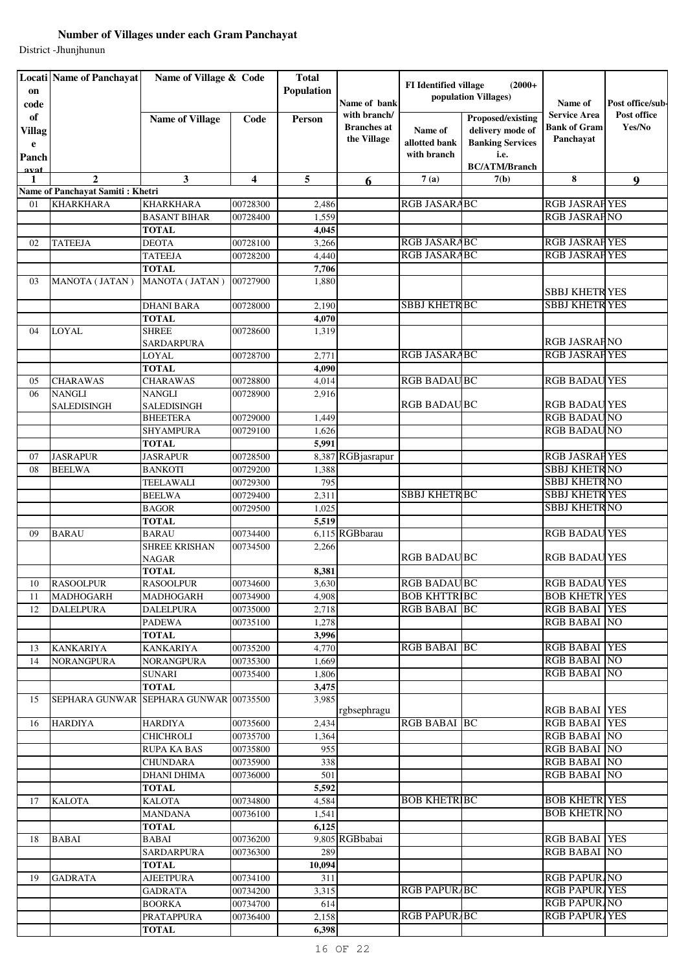|               | <b>Locati Name of Panchayat</b>  | Name of Village & Code                 |                      | <b>Total</b>   |                    |                       |                              |                                               |                  |
|---------------|----------------------------------|----------------------------------------|----------------------|----------------|--------------------|-----------------------|------------------------------|-----------------------------------------------|------------------|
| on            |                                  |                                        |                      | Population     |                    | FI Identified village | $(2000+$                     |                                               |                  |
| code          |                                  |                                        |                      |                | Name of bank       |                       | population Villages)         | Name of                                       | Post office/sub- |
| of            |                                  | <b>Name of Village</b>                 | Code                 | Person         | with branch/       |                       | Proposed/existing            | <b>Service Area</b>                           | Post office      |
| <b>Villag</b> |                                  |                                        |                      |                | <b>Branches</b> at | Name of               | delivery mode of             | <b>Bank of Gram</b>                           | Yes/No           |
| e             |                                  |                                        |                      |                | the Village        | allotted bank         | <b>Banking Services</b>      | Panchayat                                     |                  |
| Panch         |                                  |                                        |                      |                |                    | with branch           | i.e.<br><b>BC/ATM/Branch</b> |                                               |                  |
| avat<br>1     | $\overline{2}$                   | 3                                      | 4                    | 5              | 6                  | 7(a)                  | 7(b)                         | 8                                             | $\boldsymbol{Q}$ |
|               | Name of Panchayat Samiti: Khetri |                                        |                      |                |                    |                       |                              |                                               |                  |
| 01            | <b>KHARKHARA</b>                 | <b>KHARKHARA</b>                       | 00728300             | 2,486          |                    | <b>RGB JASARABC</b>   |                              | <b>RGB JASRAPYES</b>                          |                  |
|               |                                  | <b>BASANT BIHAR</b>                    | 00728400             | 1,559          |                    |                       |                              | <b>RGB JASRAPNO</b>                           |                  |
|               |                                  | <b>TOTAL</b>                           |                      | 4,045          |                    |                       |                              |                                               |                  |
| 02            | <b>TATEEJA</b>                   | <b>DEOTA</b>                           | 00728100             | 3,266          |                    | <b>RGB JASARABC</b>   |                              | <b>RGB JASRAPYES</b>                          |                  |
|               |                                  | <b>TATEEJA</b>                         | 00728200             | 4,440          |                    | RGB JASARABC          |                              | <b>RGB JASRAPYES</b>                          |                  |
|               |                                  | <b>TOTAL</b>                           |                      | 7,706          |                    |                       |                              |                                               |                  |
| 03            | MANOTA (JATAN)                   | MANOTA (JATAN)                         | 00727900             | 1,880          |                    |                       |                              |                                               |                  |
|               |                                  |                                        | 00728000             | 2,190          |                    | <b>SBBJ KHETRBC</b>   |                              | <b>SBBJ KHETRYES</b><br><b>SBBJ KHETR YES</b> |                  |
|               |                                  | <b>DHANI BARA</b><br><b>TOTAL</b>      |                      | 4,070          |                    |                       |                              |                                               |                  |
| 04            | <b>LOYAL</b>                     | <b>SHREE</b>                           | 00728600             | 1,319          |                    |                       |                              |                                               |                  |
|               |                                  | SARDARPURA                             |                      |                |                    |                       |                              | <b>RGB JASRAPNO</b>                           |                  |
|               |                                  | LOYAL                                  | 00728700             | 2,771          |                    | <b>RGB JASARABC</b>   |                              | <b>RGB JASRAPYES</b>                          |                  |
|               |                                  | <b>TOTAL</b>                           |                      | 4,090          |                    |                       |                              |                                               |                  |
| 05            | <b>CHARAWAS</b>                  | <b>CHARAWAS</b>                        | 00728800             | 4,014          |                    | <b>RGB BADAU BC</b>   |                              | <b>RGB BADAU YES</b>                          |                  |
| 06            | <b>NANGLI</b>                    | <b>NANGLI</b>                          | 00728900             | 2,916          |                    |                       |                              |                                               |                  |
|               | SALEDISINGH                      | <b>SALEDISINGH</b>                     |                      |                |                    | <b>RGB BADAU BC</b>   |                              | <b>RGB BADAU YES</b>                          |                  |
|               |                                  | <b>BHEETERA</b>                        | 00729000             | 1,449          |                    |                       |                              | <b>RGB BADAUNO</b>                            |                  |
|               |                                  | <b>SHYAMPURA</b>                       | 00729100             | 1,626          |                    |                       |                              | <b>RGB BADAUNO</b>                            |                  |
|               |                                  | <b>TOTAL</b>                           |                      | 5,991          |                    |                       |                              |                                               |                  |
| 07            | <b>JASRAPUR</b>                  | <b>JASRAPUR</b>                        | 00728500             |                | 8,387 RGBjasrapur  |                       |                              | <b>RGB JASRAPYES</b>                          |                  |
| 08            | <b>BEELWA</b>                    | <b>BANKOTI</b>                         | 00729200             | 1,388          |                    |                       |                              | <b>SBBJ KHETRNO</b>                           |                  |
|               |                                  | <b>TEELAWALI</b><br><b>BEELWA</b>      | 00729300<br>00729400 | 795<br>2,311   |                    | <b>SBBJ KHETRBC</b>   |                              | <b>SBBJ KHETRNO</b><br><b>SBBJ KHETR YES</b>  |                  |
|               |                                  | <b>BAGOR</b>                           | 00729500             | 1,025          |                    |                       |                              | <b>SBBJ KHETRNO</b>                           |                  |
|               |                                  | <b>TOTAL</b>                           |                      | 5,519          |                    |                       |                              |                                               |                  |
| 09            | <b>BARAU</b>                     | <b>BARAU</b>                           | 00734400             |                | 6,115 RGBbarau     |                       |                              | <b>RGB BADAU YES</b>                          |                  |
|               |                                  | <b>SHREE KRISHAN</b>                   | 00734500             | 2,266          |                    |                       |                              |                                               |                  |
|               |                                  | NAGAR                                  |                      |                |                    | <b>RGB BADAU BC</b>   |                              | <b>RGB BADAU YES</b>                          |                  |
|               |                                  | <b>TOTAL</b>                           |                      | 8,381          |                    |                       |                              |                                               |                  |
| 10            | <b>RASOOLPUR</b>                 | <b>RASOOLPUR</b>                       | 00734600             | 3,630          |                    | <b>RGB BADAU BC</b>   |                              | <b>RGB BADAU YES</b>                          |                  |
| 11            | <b>MADHOGARH</b>                 | <b>MADHOGARH</b>                       | 00734900             | 4,908          |                    | <b>BOB KHTTRIBC</b>   |                              | <b>BOB KHETRIYES</b>                          |                  |
| 12            | <b>DALELPURA</b>                 | <b>DALELPURA</b>                       | 00735000             | 2,718          |                    | <b>RGB BABAI BC</b>   |                              | <b>RGB BABAI</b> YES                          |                  |
|               |                                  | <b>PADEWA</b>                          | 00735100             | 1,278          |                    |                       |                              | <b>RGB BABAI NO</b>                           |                  |
|               |                                  | <b>TOTAL</b>                           |                      | 3,996          |                    |                       |                              |                                               |                  |
| 13            | <b>KANKARIYA</b>                 | <b>KANKARIYA</b>                       | 00735200             | 4,770          |                    | <b>RGB BABAI BC</b>   |                              | <b>RGB BABAI YES</b>                          |                  |
| 14            | <b>NORANGPURA</b>                | NORANGPURA                             | 00735300             | 1,669          |                    |                       |                              | <b>RGB BABAI NO</b><br><b>RGB BABAI NO</b>    |                  |
|               |                                  | <b>SUNARI</b><br><b>TOTAL</b>          | 00735400             | 1,806<br>3,475 |                    |                       |                              |                                               |                  |
| 15            |                                  | SEPHARA GUNWAR SEPHARA GUNWAR 00735500 |                      | 3,985          |                    |                       |                              |                                               |                  |
|               |                                  |                                        |                      |                | rgbsephragu        |                       |                              | <b>RGB BABAI YES</b>                          |                  |
| 16            | <b>HARDIYA</b>                   | HARDIYA                                | 00735600             | 2,434          |                    | <b>RGB BABAI BC</b>   |                              | <b>RGB BABAI</b> YES                          |                  |
|               |                                  | <b>CHICHROLI</b>                       | 00735700             | 1,364          |                    |                       |                              | <b>RGB BABAI NO</b>                           |                  |
|               |                                  | <b>RUPA KA BAS</b>                     | 00735800             | 955            |                    |                       |                              | <b>RGB BABAI NO</b>                           |                  |
|               |                                  | <b>CHUNDARA</b>                        | 00735900             | 338            |                    |                       |                              | <b>RGB BABAI NO</b>                           |                  |
|               |                                  | <b>DHANI DHIMA</b>                     | 00736000             | 501            |                    |                       |                              | <b>RGB BABAI NO</b>                           |                  |
|               |                                  | <b>TOTAL</b>                           |                      | 5,592          |                    |                       |                              |                                               |                  |
| 17            | <b>KALOTA</b>                    | <b>KALOTA</b>                          | 00734800             | 4,584          |                    | <b>BOB KHETRIBC</b>   |                              | <b>BOB KHETRIYES</b>                          |                  |
|               |                                  | <b>MANDANA</b>                         | 00736100             | 1,541          |                    |                       |                              | <b>BOB KHETRINO</b>                           |                  |
|               |                                  | <b>TOTAL</b>                           |                      | 6,125          |                    |                       |                              |                                               |                  |
| 18            | <b>BABAI</b>                     | BABAI                                  | 00736200             |                | 9,805 RGBbabai     |                       |                              | <b>RGB BABAI</b> YES                          |                  |
|               |                                  | SARDARPURA                             | 00736300             | 289            |                    |                       |                              | RGB BABAI NO                                  |                  |
|               |                                  | <b>TOTAL</b><br><b>AJEETPURA</b>       | 00734100             | 10,094         |                    |                       |                              | <b>RGB PAPURANO</b>                           |                  |
| 19            | <b>GADRATA</b>                   | <b>GADRATA</b>                         | 00734200             | 311<br>3,315   |                    | <b>RGB PAPUR BC</b>   |                              | <b>RGB PAPURAYES</b>                          |                  |
|               |                                  | <b>BOORKA</b>                          | 00734700             | 614            |                    |                       |                              | <b>RGB PAPURANO</b>                           |                  |
|               |                                  | PRATAPPURA                             | 00736400             | 2,158          |                    | <b>RGB PAPUR BC</b>   |                              | <b>RGB PAPURAYES</b>                          |                  |
|               |                                  | <b>TOTAL</b>                           |                      | 6,398          |                    |                       |                              |                                               |                  |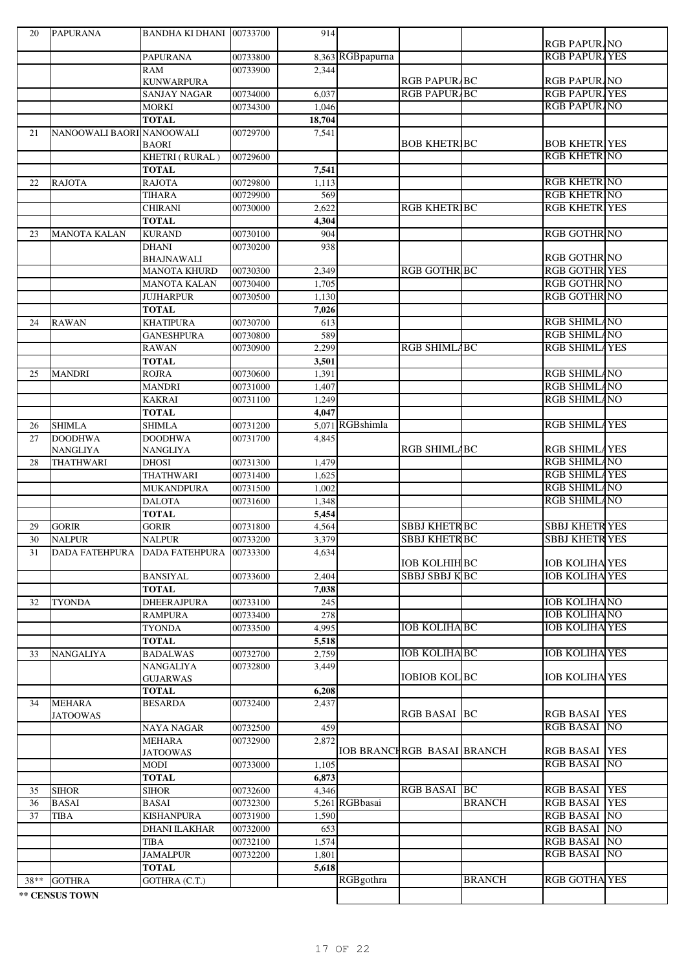| 20       | <b>PAPURANA</b>                        | <b>BANDHA KI DHANI 00733700</b>    |                       | 914          |                                   |                                        |               |                       |                |
|----------|----------------------------------------|------------------------------------|-----------------------|--------------|-----------------------------------|----------------------------------------|---------------|-----------------------|----------------|
|          |                                        |                                    |                       |              |                                   |                                        |               | <b>RGB PAPURANO</b>   |                |
|          |                                        | <b>PAPURANA</b>                    | 00733800              |              | 8,363 RGBpapurna                  |                                        |               | <b>RGB PAPUR/YES</b>  |                |
|          |                                        | RAM<br><b>KUNWARPURA</b>           | 00733900              | 2,344        |                                   | <b>RGB PAPUR BC</b>                    |               | <b>RGB PAPUR/NO</b>   |                |
|          |                                        | <b>SANJAY NAGAR</b>                | 00734000              | 6,037        |                                   | <b>RGB PAPUR BC</b>                    |               | <b>RGB PAPURAYES</b>  |                |
|          |                                        | <b>MORKI</b>                       | 00734300              | 1,046        |                                   |                                        |               | <b>RGB PAPURANO</b>   |                |
|          |                                        | <b>TOTAL</b>                       |                       | 18,704       |                                   |                                        |               |                       |                |
| 21       | NANOOWALI BAORI NANOOWALI              |                                    | 00729700              | 7,541        |                                   |                                        |               |                       |                |
|          |                                        | <b>BAORI</b>                       |                       |              |                                   | <b>BOB KHETRIBC</b>                    |               | <b>BOB KHETRIYES</b>  |                |
|          |                                        | KHETRI (RURAL)                     | 00729600              |              |                                   |                                        |               | <b>RGB KHETRINO</b>   |                |
|          |                                        | <b>TOTAL</b>                       |                       | 7,541        |                                   |                                        |               |                       |                |
| 22       | <b>RAJOTA</b>                          | <b>RAJOTA</b>                      | 00729800              | 1,113        |                                   |                                        |               | <b>RGB KHETRINO</b>   |                |
|          |                                        | <b>TIHARA</b>                      | 00729900              | 569          |                                   |                                        |               | <b>RGB KHETRINO</b>   |                |
|          |                                        | <b>CHIRANI</b>                     | 00730000              | 2,622        |                                   | <b>RGB KHETRIBC</b>                    |               | <b>RGB KHETRIYES</b>  |                |
|          |                                        | <b>TOTAL</b>                       |                       | 4,304        |                                   |                                        |               |                       |                |
| 23       | <b>MANOTA KALAN</b>                    | <b>KURAND</b>                      | 00730100              | 904          |                                   |                                        |               | <b>RGB GOTHR NO</b>   |                |
|          |                                        | <b>DHANI</b><br><b>BHAJNAWALI</b>  | 00730200              | 938          |                                   |                                        |               | <b>RGB GOTHR NO</b>   |                |
|          |                                        | <b>MANOTA KHURD</b>                | 00730300              | 2,349        |                                   | <b>RGB GOTHR BC</b>                    |               | <b>RGB GOTHR YES</b>  |                |
|          |                                        | <b>MANOTA KALAN</b>                | 00730400              | 1,705        |                                   |                                        |               | <b>RGB GOTHR NO</b>   |                |
|          |                                        | <b>JUJHARPUR</b>                   | 00730500              | 1,130        |                                   |                                        |               | <b>RGB GOTHR NO</b>   |                |
|          |                                        | <b>TOTAL</b>                       |                       | 7,026        |                                   |                                        |               |                       |                |
| 24       | <b>RAWAN</b>                           | <b>KHATIPURA</b>                   | 00730700              | 613          |                                   |                                        |               | <b>RGB SHIMLANO</b>   |                |
|          |                                        | <b>GANESHPURA</b>                  | 00730800              | 589          |                                   |                                        |               | <b>RGB SHIMLANO</b>   |                |
|          |                                        | <b>RAWAN</b>                       | 00730900              | 2,299        |                                   | <b>RGB SHIMLABC</b>                    |               | <b>RGB SHIMLAYES</b>  |                |
|          |                                        | <b>TOTAL</b>                       |                       | 3,501        |                                   |                                        |               |                       |                |
| 25       | <b>MANDRI</b>                          | <b>ROJRA</b>                       | 00730600              | 1,391        |                                   |                                        |               | <b>RGB SHIMLANO</b>   |                |
|          |                                        | <b>MANDRI</b>                      | 00731000              | 1,407        |                                   |                                        |               | <b>RGB SHIMLANO</b>   |                |
|          |                                        | <b>KAKRAI</b>                      | 00731100              | 1,249        |                                   |                                        |               | <b>RGB SHIMLANO</b>   |                |
|          |                                        | <b>TOTAL</b>                       |                       | 4,047        |                                   |                                        |               |                       |                |
| 26<br>27 | <b>SHIMLA</b><br><b>DOODHWA</b>        | <b>SHIMLA</b><br><b>DOODHWA</b>    | 00731200<br>00731700  | 4,845        | 5,071 RGBshimla                   |                                        |               | <b>RGB SHIMLAYES</b>  |                |
|          | <b>NANGLIYA</b>                        | <b>NANGLIYA</b>                    |                       |              |                                   | <b>RGB SHIMLABC</b>                    |               | <b>RGB SHIMLAYES</b>  |                |
| 28       | <b>THATHWARI</b>                       | <b>DHOSI</b>                       | 00731300              | 1,479        |                                   |                                        |               | <b>RGB SHIMLANO</b>   |                |
|          |                                        | <b>THATHWARI</b>                   | $\overline{0073}1400$ | 1,625        |                                   |                                        |               | <b>RGB SHIMLAYES</b>  |                |
|          |                                        | <b>MUKANDPURA</b>                  | 00731500              | 1,002        |                                   |                                        |               | <b>RGB SHIMLANO</b>   |                |
|          |                                        | <b>DALOTA</b>                      | 00731600              | 1,348        |                                   |                                        |               | <b>RGB SHIMLANO</b>   |                |
|          |                                        | <b>TOTAL</b>                       |                       | 5,454        |                                   |                                        |               |                       |                |
| 29       | <b>GORIR</b>                           | <b>GORIR</b>                       | 00731800              | 4,564        |                                   | <b>SBBJ KHETRBC</b>                    |               | <b>SBBJ KHETR YES</b> |                |
| 30       | <b>NALPUR</b>                          | <b>NALPUR</b>                      | 00733200              | 3.379        |                                   | <b>SBBJ KHETRBC</b>                    |               | <b>SBBJ KHETR YES</b> |                |
| 31       | DADA FATEHPURA DADA FATEHPURA 00733300 |                                    |                       | 4,634        |                                   |                                        |               |                       |                |
|          |                                        |                                    |                       |              |                                   | ІОВ КОІНІН ВС<br><b>SBBJ SBBJ K BC</b> |               | <b>IOB KOLIHA YES</b> |                |
|          |                                        | <b>BANSIYAL</b>                    | 00733600              | 2,404        |                                   |                                        |               | <b>IOB KOLIHA YES</b> |                |
| 32       | <b>TYONDA</b>                          | <b>TOTAL</b><br><b>DHEERAJPURA</b> | 00733100              | 7,038<br>245 |                                   |                                        |               | <b>IOB KOLIHANO</b>   |                |
|          |                                        | <b>RAMPURA</b>                     | 00733400              | 278          |                                   |                                        |               | <b>IOB KOLIHANO</b>   |                |
|          |                                        | <b>TYONDA</b>                      | 00733500              | 4,995        |                                   | <b>IOB KOLIHA BC</b>                   |               | <b>IOB KOLIHA YES</b> |                |
|          |                                        | <b>TOTAL</b>                       |                       | 5,518        |                                   |                                        |               |                       |                |
| 33       | <b>NANGALIYA</b>                       | <b>BADALWAS</b>                    | 00732700              | 2,759        |                                   | <b>IOB KOLIHA BC</b>                   |               | <b>IOB KOLIHA YES</b> |                |
|          |                                        | <b>NANGALIYA</b>                   | 00732800              | 3,449        |                                   |                                        |               |                       |                |
|          |                                        | <b>GUJARWAS</b>                    |                       |              |                                   | <b>IOBIOB KOLBC</b>                    |               | <b>IOB KOLIHA YES</b> |                |
|          |                                        | <b>TOTAL</b>                       |                       | 6,208        |                                   |                                        |               |                       |                |
| 34       | <b>MEHARA</b>                          | <b>BESARDA</b>                     | 00732400              | 2,437        |                                   |                                        |               |                       |                |
|          | <b>JATOOWAS</b>                        |                                    |                       |              |                                   | <b>RGB BASAI BC</b>                    |               | <b>RGB BASAI YES</b>  | N <sub>O</sub> |
|          |                                        | <b>NAYA NAGAR</b>                  | 00732500              | 459          |                                   |                                        |               | <b>RGB BASAI</b>      |                |
|          |                                        | <b>MEHARA</b><br><b>JATOOWAS</b>   | 00732900              | 2,872        | <b>IOB BRANCHRGB BASAI BRANCH</b> |                                        |               | <b>RGB BASAI</b>      | <b>YES</b>     |
|          |                                        | <b>MODI</b>                        | 00733000              | 1,105        |                                   |                                        |               | <b>RGB BASAI</b>      | NO.            |
|          |                                        | <b>TOTAL</b>                       |                       | 6,873        |                                   |                                        |               |                       |                |
| 35       | <b>SIHOR</b>                           | <b>SIHOR</b>                       | 00732600              | 4,346        |                                   | <b>RGB BASAI BC</b>                    |               | <b>RGB BASAI</b>      | <b>YES</b>     |
| 36       | <b>BASAI</b>                           | <b>BASAI</b>                       | 00732300              |              | 5,261 RGBbasai                    |                                        | <b>BRANCH</b> | <b>RGB BASAI</b>      | <b>YES</b>     |
| 37       | <b>TIBA</b>                            | <b>KISHANPURA</b>                  | 00731900              | 1,590        |                                   |                                        |               | <b>RGB BASAI NO</b>   |                |
|          |                                        | <b>DHANI ILAKHAR</b>               | 00732000              | 653          |                                   |                                        |               | <b>RGB BASAI</b>      | N <sub>0</sub> |
|          |                                        | <b>TIBA</b>                        | 00732100              | 1,574        |                                   |                                        |               | <b>RGB BASAI</b>      | NO             |
|          |                                        | <b>JAMALPUR</b>                    | 00732200              | 1,801        |                                   |                                        |               | <b>RGB BASAI</b>      | <b>NO</b>      |
|          |                                        | <b>TOTAL</b>                       |                       | 5,618        |                                   |                                        |               |                       |                |
| $38**$   | <b>GOTHRA</b>                          | GOTHRA (C.T.)                      |                       |              | RGBgothra                         |                                        | <b>BRANCH</b> | <b>RGB GOTHA YES</b>  |                |
|          | ** CENSUS TOWN                         |                                    |                       |              |                                   |                                        |               |                       |                |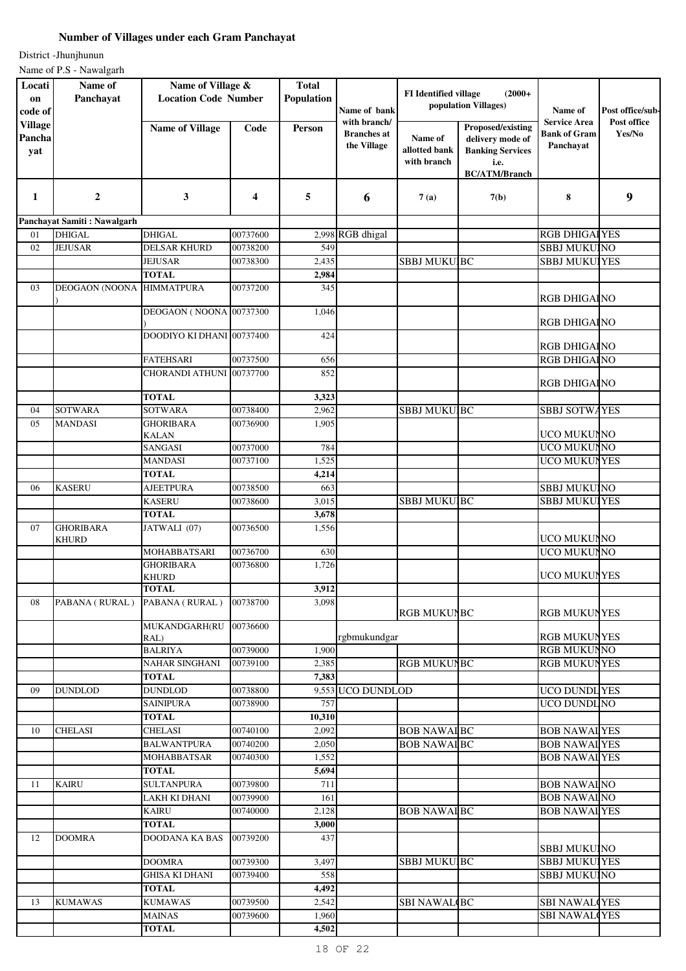District -Jhunjhunun

Name of P.S - Nawalgarh

| Locati         | Name of                     | Name of Village $\overline{\mathcal{X}}$ |          | <b>Total</b> |                    |                       |                                       |                       |                  |
|----------------|-----------------------------|------------------------------------------|----------|--------------|--------------------|-----------------------|---------------------------------------|-----------------------|------------------|
| on             | Panchayat                   | <b>Location Code Number</b>              |          | Population   |                    | FI Identified village | $(2000+$                              |                       |                  |
| code of        |                             |                                          |          |              | Name of bank       |                       | population Villages)                  | Name of               | Post office/sub- |
| <b>Village</b> |                             |                                          |          |              | with branch/       |                       |                                       | <b>Service Area</b>   | Post office      |
| Pancha         |                             | <b>Name of Village</b>                   | Code     | Person       | <b>Branches</b> at | Name of               | Proposed/existing<br>delivery mode of | <b>Bank of Gram</b>   | Yes/No           |
| yat            |                             |                                          |          |              | the Village        | allotted bank         | <b>Banking Services</b>               | Panchayat             |                  |
|                |                             |                                          |          |              |                    | with branch           | i.e.                                  |                       |                  |
|                |                             |                                          |          |              |                    |                       | <b>BC/ATM/Branch</b>                  |                       |                  |
|                |                             |                                          |          |              |                    |                       |                                       |                       |                  |
| 1              | $\boldsymbol{2}$            | 3                                        | 4        | 5            | 6                  | 7(a)                  | 7(b)                                  | 8                     | 9                |
|                |                             |                                          |          |              |                    |                       |                                       |                       |                  |
|                | Panchayat Samiti: Nawalgarh |                                          |          |              |                    |                       |                                       |                       |                  |
| 01             | <b>DHIGAL</b>               | <b>DHIGAL</b>                            | 00737600 |              | 2,998 RGB dhigal   |                       |                                       | <b>RGB DHIGAI YES</b> |                  |
| 02             | <b>JEJUSAR</b>              | <b>DELSAR KHURD</b>                      | 00738200 | 549          |                    |                       |                                       | <b>SBBJ MUKU NO</b>   |                  |
|                |                             | <b>JEJUSAR</b>                           | 00738300 | 2,435        |                    | <b>SBBJ MUKUIBC</b>   |                                       | <b>SBBJ MUKUI YES</b> |                  |
|                |                             | <b>TOTAL</b>                             |          | 2,984        |                    |                       |                                       |                       |                  |
| 03             | DEOGAON (NOONA HIMMATPURA   |                                          | 00737200 | 345          |                    |                       |                                       |                       |                  |
|                |                             |                                          |          |              |                    |                       |                                       | <b>RGB DHIGAINO</b>   |                  |
|                |                             | DEOGAON (NOONA 00737300                  |          | 1,046        |                    |                       |                                       |                       |                  |
|                |                             |                                          |          |              |                    |                       |                                       | <b>RGB DHIGAINO</b>   |                  |
|                |                             | DOODIYO KI DHANI 00737400                |          | 424          |                    |                       |                                       | <b>RGB DHIGAINO</b>   |                  |
|                |                             | <b>FATEHSARI</b>                         | 00737500 | 656          |                    |                       |                                       | <b>RGB DHIGAINO</b>   |                  |
|                |                             | CHORANDI ATHUNI 00737700                 |          | 852          |                    |                       |                                       |                       |                  |
|                |                             |                                          |          |              |                    |                       |                                       | <b>RGB DHIGAINO</b>   |                  |
|                |                             | <b>TOTAL</b>                             |          | 3,323        |                    |                       |                                       |                       |                  |
| 04             | <b>SOTWARA</b>              | <b>SOTWARA</b>                           | 00738400 | 2,962        |                    | <b>SBBJ MUKUIBC</b>   |                                       | <b>SBBJ SOTWAYES</b>  |                  |
| 05             | <b>MANDASI</b>              | <b>GHORIBARA</b>                         | 00736900 | 1,905        |                    |                       |                                       |                       |                  |
|                |                             | <b>KALAN</b>                             |          |              |                    |                       |                                       | UCO MUKUNO            |                  |
|                |                             | SANGASI                                  | 00737000 | 784          |                    |                       |                                       | <b>UCO MUKUNO</b>     |                  |
|                |                             | <b>MANDASI</b>                           | 00737100 | 1,525        |                    |                       |                                       | <b>UCO MUKUI YES</b>  |                  |
|                |                             | <b>TOTAL</b>                             |          | 4,214        |                    |                       |                                       |                       |                  |
| 06             | <b>KASERU</b>               | <b>AJEETPURA</b>                         | 00738500 | 663          |                    |                       |                                       | <b>SBBJ MUKUINO</b>   |                  |
|                |                             | <b>KASERU</b>                            | 00738600 | 3,015        |                    | <b>SBBJ MUKUIBC</b>   |                                       | <b>SBBJ MUKUI YES</b> |                  |
|                |                             | <b>TOTAL</b>                             |          | 3,678        |                    |                       |                                       |                       |                  |
| 07             | <b>GHORIBARA</b>            | JATWALI (07)                             | 00736500 | 1,556        |                    |                       |                                       |                       |                  |
|                | <b>KHURD</b>                |                                          |          |              |                    |                       |                                       | UCO MUKUNO            |                  |
|                |                             | <b>MOHABBATSARI</b>                      | 00736700 | 630          |                    |                       |                                       | UCO MUKUI NO          |                  |
|                |                             | <b>GHORIBARA</b>                         | 00736800 | 1,726        |                    |                       |                                       |                       |                  |
|                |                             | <b>KHURD</b>                             |          |              |                    |                       |                                       | <b>UCO MUKUI YES</b>  |                  |
|                |                             | <b>TOTAL</b>                             |          | 3,912        |                    |                       |                                       |                       |                  |
| 08             | PABANA (RURAL)              | PABANA (RURAL)                           | 00738700 | 3,098        |                    |                       |                                       |                       |                  |
|                |                             |                                          |          |              |                    | <b>RGB MUKUNBC</b>    |                                       | <b>RGB MUKUNYES</b>   |                  |
|                |                             | MUKANDGARH(RU                            | 00736600 |              | rgbmukundgar       |                       |                                       | <b>RGB MUKUN YES</b>  |                  |
|                |                             | RAL)<br><b>BALRIYA</b>                   | 00739000 | 1,900        |                    |                       |                                       | <b>RGB MUKUNNO</b>    |                  |
|                |                             | <b>NAHAR SINGHANI</b>                    | 00739100 | 2,385        |                    | <b>RGB MUKUNBC</b>    |                                       | <b>RGB MUKUN YES</b>  |                  |
|                |                             | <b>TOTAL</b>                             |          | 7,383        |                    |                       |                                       |                       |                  |
| 09             | <b>DUNDLOD</b>              | <b>DUNDLOD</b>                           | 00738800 |              | 9,553 UCO DUNDLOD  |                       |                                       | <b>UCO DUNDL YES</b>  |                  |
|                |                             | <b>SAINIPURA</b>                         | 00738900 | 757          |                    |                       |                                       | <b>UCO DUNDL NO</b>   |                  |
|                |                             | <b>TOTAL</b>                             |          | 10,310       |                    |                       |                                       |                       |                  |
| 10             | <b>CHELASI</b>              | <b>CHELASI</b>                           | 00740100 | 2,092        |                    | <b>BOB NAWAI BC</b>   |                                       | <b>BOB NAWAI YES</b>  |                  |
|                |                             | <b>BALWANTPURA</b>                       | 00740200 | 2,050        |                    | <b>BOB NAWAI BC</b>   |                                       | <b>BOB NAWAI YES</b>  |                  |
|                |                             | <b>MOHABBATSAR</b>                       | 00740300 | 1,552        |                    |                       |                                       |                       |                  |
|                |                             |                                          |          |              |                    |                       |                                       | <b>BOB NAWAI YES</b>  |                  |
|                |                             | <b>TOTAL</b>                             | 00739800 | 5,694<br>711 |                    |                       |                                       |                       |                  |
| 11             | <b>KAIRU</b>                | <b>SULTANPURA</b><br>LAKH KI DHANI       | 00739900 |              |                    |                       |                                       | <b>BOB NAWAI NO</b>   |                  |
|                |                             | <b>KAIRU</b>                             |          | 161<br>2,128 |                    |                       |                                       | <b>BOB NAWAI NO</b>   |                  |
|                |                             |                                          | 00740000 |              |                    | <b>BOB NAWAI BC</b>   |                                       | <b>BOB NAWAI YES</b>  |                  |
|                |                             | <b>TOTAL</b>                             |          | 3,000        |                    |                       |                                       |                       |                  |
| 12             | <b>DOOMRA</b>               | DOODANA KA BAS                           | 00739200 | 437          |                    |                       |                                       | SBBJ MUKUINO          |                  |
|                |                             | <b>DOOMRA</b>                            | 00739300 | 3,497        |                    | <b>SBBJ MUKUIBC</b>   |                                       | <b>SBBJ MUKUI YES</b> |                  |
|                |                             | <b>GHISA KI DHANI</b>                    | 00739400 | 558          |                    |                       |                                       | <b>SBBJ MUKUINO</b>   |                  |
|                |                             | <b>TOTAL</b>                             |          | 4,492        |                    |                       |                                       |                       |                  |
| 13             | <b>KUMAWAS</b>              | <b>KUMAWAS</b>                           | 00739500 | 2,542        |                    | <b>SBI NAWALOBC</b>   |                                       | <b>SBI NAWAL</b> YES  |                  |
|                |                             | <b>MAINAS</b>                            | 00739600 | 1,960        |                    |                       |                                       | <b>SBI NAWALI YES</b> |                  |
|                |                             |                                          |          |              |                    |                       |                                       |                       |                  |
|                |                             | <b>TOTAL</b>                             |          | 4,502        |                    |                       |                                       |                       |                  |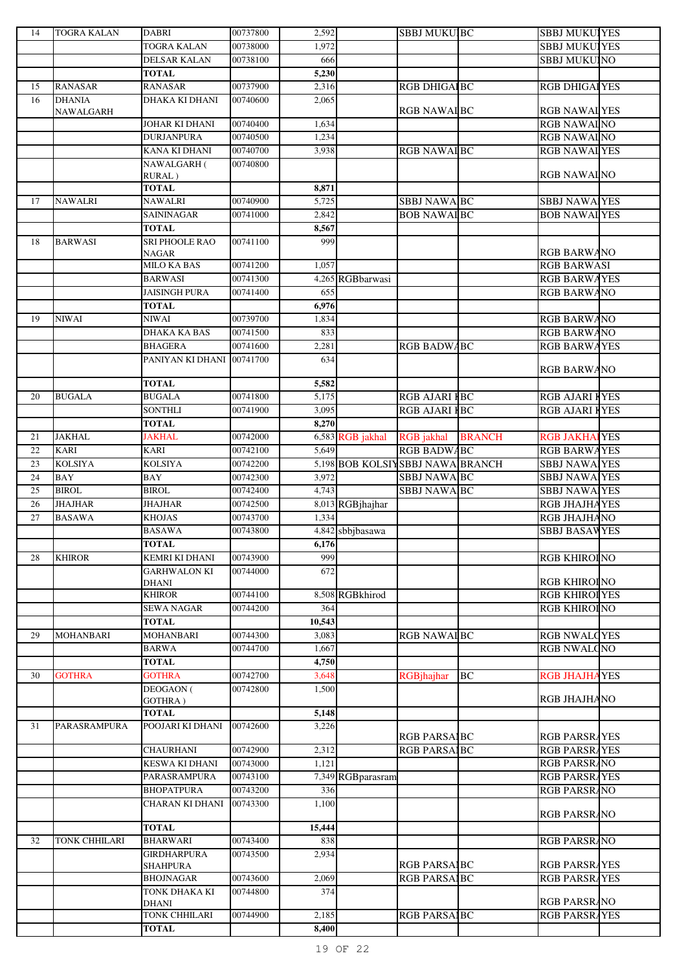| 14 | <b>TOGRA KALAN</b>   | <b>DABRI</b>          | 00737800 | 2,592         |                   | <b>SBBJ MUKUIBC</b>              |               | <b>SBBJ MUKUI YES</b>  |  |
|----|----------------------|-----------------------|----------|---------------|-------------------|----------------------------------|---------------|------------------------|--|
|    |                      | TOGRA KALAN           | 00738000 | 1,972         |                   |                                  |               | <b>SBBJ MUKUI YES</b>  |  |
|    |                      | <b>DELSAR KALAN</b>   | 00738100 | 666           |                   |                                  |               | <b>SBBJ MUKUINO</b>    |  |
|    |                      | <b>TOTAL</b>          |          | 5,230         |                   |                                  |               |                        |  |
| 15 | <b>RANASAR</b>       | <b>RANASAR</b>        | 00737900 | 2,316         |                   | <b>RGB DHIGAIBC</b>              |               | <b>RGB DHIGAI YES</b>  |  |
| 16 | <b>DHANIA</b>        | DHAKA KI DHANI        | 00740600 | 2,065         |                   |                                  |               |                        |  |
|    | NAWALGARH            |                       |          |               |                   | <b>RGB NAWAI BC</b>              |               | <b>RGB NAWAI YES</b>   |  |
|    |                      | JOHAR KI DHANI        | 00740400 | 1,634         |                   |                                  |               | <b>RGB NAWAI NO</b>    |  |
|    |                      | <b>DURJANPURA</b>     | 00740500 | 1,234         |                   |                                  |               | <b>RGB NAWAI NO</b>    |  |
|    |                      | <b>KANA KI DHANI</b>  | 00740700 | 3,938         |                   | <b>RGB NAWAI BC</b>              |               | <b>RGB NAWAI YES</b>   |  |
|    |                      | NAWALGARH (           | 00740800 |               |                   |                                  |               |                        |  |
|    |                      | RURAL)                |          |               |                   |                                  |               | <b>RGB NAWAI NO</b>    |  |
|    |                      | <b>TOTAL</b>          |          | 8,871         |                   |                                  |               |                        |  |
| 17 | <b>NAWALRI</b>       | <b>NAWALRI</b>        | 00740900 | 5,725         |                   | <b>SBBJ NAWAIBC</b>              |               | <b>SBBJ NAWA YES</b>   |  |
|    |                      | SAININAGAR            | 00741000 | 2,842         |                   | <b>BOB NAWAI BC</b>              |               | <b>BOB NAWAI YES</b>   |  |
|    |                      | <b>TOTAL</b>          |          | 8,567         |                   |                                  |               |                        |  |
| 18 | <b>BARWASI</b>       | SRI PHOOLE RAO        | 00741100 | 999           |                   |                                  |               |                        |  |
|    |                      | <b>NAGAR</b>          |          |               |                   |                                  |               | <b>RGB BARWANO</b>     |  |
|    |                      | <b>MILO KA BAS</b>    | 00741200 | 1,057         |                   |                                  |               | <b>RGB BARWASI</b>     |  |
|    |                      | <b>BARWASI</b>        | 00741300 |               | 4,265 RGBbarwasi  |                                  |               | <b>RGB BARWAYES</b>    |  |
|    |                      | <b>JAISINGH PURA</b>  | 00741400 | 655           |                   |                                  |               | <b>RGB BARWANO</b>     |  |
|    |                      | <b>TOTAL</b>          |          | 6,976         |                   |                                  |               |                        |  |
| 19 | <b>NIWAI</b>         | <b>NIWAI</b>          | 00739700 | 1,834         |                   |                                  |               | <b>RGB BARWANO</b>     |  |
|    |                      | DHAKA KA BAS          | 00741500 | 833           |                   |                                  |               | <b>RGB BARWANO</b>     |  |
|    |                      | <b>BHAGERA</b>        | 00741600 | 2,281         |                   | <b>RGB BADWABC</b>               |               | <b>RGB BARWAYES</b>    |  |
|    |                      | PANIYAN KI DHANI      | 00741700 | 634           |                   |                                  |               |                        |  |
|    |                      |                       |          |               |                   |                                  |               | <b>RGB BARWANO</b>     |  |
|    |                      | <b>TOTAL</b>          |          | 5,582         |                   |                                  |               |                        |  |
| 20 | <b>BUGALA</b>        | <b>BUGALA</b>         | 00741800 | 5,175         |                   | <b>RGB AJARI FBC</b>             |               | <b>RGB AJARI I YES</b> |  |
|    |                      | <b>SONTHLI</b>        | 00741900 | 3,095         |                   | <b>RGB AJARI HBC</b>             |               | <b>RGB AJARI I YES</b> |  |
|    |                      | <b>TOTAL</b>          |          | 8,270         |                   |                                  |               |                        |  |
| 21 | <b>JAKHAL</b>        | <b>JAKHAL</b>         | 00742000 |               | 6,583 RGB jakhal  | <b>RGB</b> jakhal                | <b>BRANCH</b> | <b>RGB JAKHAI YES</b>  |  |
| 22 | <b>KARI</b>          | <b>KARI</b>           | 00742100 | 5,649         |                   | <b>RGB BADWABC</b>               |               | <b>RGB BARWAYES</b>    |  |
| 23 | <b>KOLSIYA</b>       | <b>KOLSIYA</b>        | 00742200 |               |                   | 5,198 BOB KOLSIYSBBJ NAWA BRANCH |               | <b>SBBJ NAWA YES</b>   |  |
| 24 | <b>BAY</b>           | <b>BAY</b>            | 00742300 | 3,972         |                   | <b>SBBJ NAWAIBC</b>              |               | <b>SBBJ NAWA YES</b>   |  |
| 25 | <b>BIROL</b>         | <b>BIROL</b>          | 00742400 | 4,743         |                   | <b>SBBJ NAWAJBC</b>              |               | <b>SBBJ NAWA YES</b>   |  |
| 26 | <b>JHAJHAR</b>       | <b>JHAJHAR</b>        | 00742500 |               | 8,013 RGBjhajhar  |                                  |               | <b>RGB JHAJHAYES</b>   |  |
| 27 | <b>BASAWA</b>        | <b>KHOJAS</b>         | 00743700 | 1,334         |                   |                                  |               | RGB JHAJHANO           |  |
|    |                      | <b>BASAWA</b>         | 00743800 |               | 4,842 sbbjbasawa  |                                  |               | <b>SBBJ BASAV YES</b>  |  |
|    |                      | <b>TOTAL</b>          |          | 6,176         |                   |                                  |               |                        |  |
| 28 | <b>KHIROR</b>        | KEMRI KI DHANI        | 00743900 | 999           |                   |                                  |               | <b>RGB KHIROINO</b>    |  |
|    |                      | <b>GARHWALON KI</b>   | 00744000 | 672           |                   |                                  |               |                        |  |
|    |                      | DHANI                 |          |               |                   |                                  |               | <b>RGB KHIROI NO</b>   |  |
|    |                      | <b>KHIROR</b>         | 00744100 |               | 8,508 RGBkhirod   |                                  |               | <b>RGB KHIROI YES</b>  |  |
|    |                      | <b>SEWA NAGAR</b>     | 00744200 | 364           |                   |                                  |               | <b>RGB KHIROI NO</b>   |  |
|    |                      | <b>TOTAL</b>          |          | 10,543        |                   |                                  |               |                        |  |
| 29 | <b>MOHANBARI</b>     | <b>MOHANBARI</b>      | 00744300 | 3,083         |                   | <b>RGB NAWAI BC</b>              |               | <b>RGB NWALCYES</b>    |  |
|    |                      | <b>BARWA</b>          | 00744700 | 1,667         |                   |                                  |               | <b>RGB NWALCNO</b>     |  |
|    |                      | <b>TOTAL</b>          |          | 4,750         |                   |                                  |               |                        |  |
| 30 | <b>GOTHRA</b>        | <b>GOTHRA</b>         | 00742700 | 3,648         |                   | <b>RGBjhajhar</b>                | <b>BC</b>     | <b>RGB JHAJHA YES</b>  |  |
|    |                      | <b>DEOGAON</b> (      | 00742800 | 1,500         |                   |                                  |               |                        |  |
|    |                      | <b>GOTHRA</b> )       |          |               |                   |                                  |               | <b>RGB JHAJHANO</b>    |  |
|    |                      | <b>TOTAL</b>          |          | 5,148         |                   |                                  |               |                        |  |
| 31 | PARASRAMPURA         | POOJARI KI DHANI      | 00742600 | 3,226         |                   |                                  |               |                        |  |
|    |                      |                       |          |               |                   | <b>RGB PARSAIBC</b>              |               | <b>RGB PARSR/YES</b>   |  |
|    |                      | <b>CHAURHANI</b>      | 00742900 | 2,312         |                   | <b>RGB PARSAIBC</b>              |               | <b>RGB PARSR/YES</b>   |  |
|    |                      | <b>KESWA KI DHANI</b> | 00743000 | 1,121         |                   |                                  |               | <b>RGB PARSR/NO</b>    |  |
|    |                      | <b>PARASRAMPURA</b>   | 00743100 |               | 7,349 RGBparasram |                                  |               | <b>RGB PARSR/YES</b>   |  |
|    |                      | <b>BHOPATPURA</b>     | 00743200 | 336           |                   |                                  |               | <b>RGB PARSR/NO</b>    |  |
|    |                      | CHARAN KI DHANI       | 00743300 | 1,100         |                   |                                  |               | <b>RGB PARSR/NO</b>    |  |
|    |                      | <b>TOTAL</b>          |          |               |                   |                                  |               |                        |  |
| 32 | <b>TONK CHHILARI</b> | <b>BHARWARI</b>       | 00743400 | 15,444<br>838 |                   |                                  |               |                        |  |
|    |                      | <b>GIRDHARPURA</b>    |          | 2,934         |                   |                                  |               | <b>RGB PARSR/NO</b>    |  |
|    |                      | <b>SHAHPURA</b>       | 00743500 |               |                   | <b>RGB PARSAIBC</b>              |               | <b>RGB PARSR/YES</b>   |  |
|    |                      | <b>BHOJNAGAR</b>      | 00743600 | 2,069         |                   | <b>RGB PARSAIBC</b>              |               | <b>RGB PARSR</b> YES   |  |
|    |                      | TONK DHAKA KI         | 00744800 | 374           |                   |                                  |               |                        |  |
|    |                      | <b>DHANI</b>          |          |               |                   |                                  |               | <b>RGB PARSR/NO</b>    |  |
|    |                      |                       |          |               |                   |                                  |               |                        |  |
|    |                      | TONK CHHILARI         | 00744900 | 2,185         |                   | <b>RGB PARSAIBC</b>              |               | <b>RGB PARSR/YES</b>   |  |
|    |                      | <b>TOTAL</b>          |          | 8,400         |                   |                                  |               |                        |  |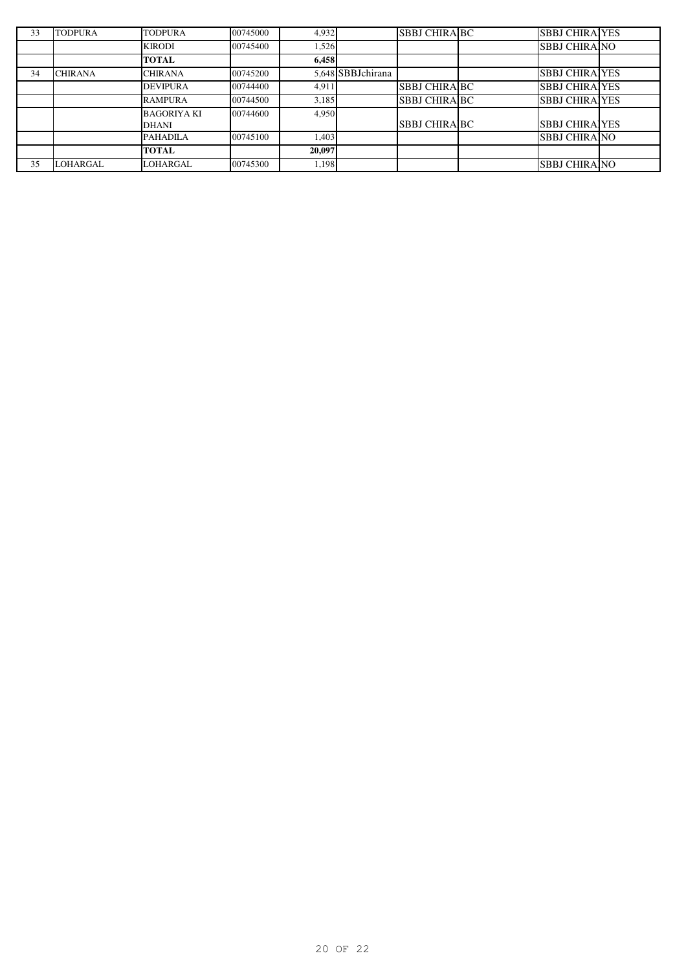| 33 | TODPURA  | <b>TODPURA</b>                     | 00745000 | 4,932  |                   | <b>SBBJ CHIRA BC</b> | <b>SBBJ CHIRA YES</b> |  |
|----|----------|------------------------------------|----------|--------|-------------------|----------------------|-----------------------|--|
|    |          | <b>KIRODI</b>                      | 00745400 | 1,526  |                   |                      | <b>SBBJ CHIRAINO</b>  |  |
|    |          | <b>TOTAL</b>                       |          | 6.458  |                   |                      |                       |  |
| 34 | CHIRANA  | <b>CHIRANA</b>                     | 00745200 |        | 5,648 SBBJchirana |                      | <b>SBBJ CHIRAIYES</b> |  |
|    |          | <b>DEVIPURA</b>                    | 00744400 | 4.911  |                   | <b>SBBJ CHIRAIBC</b> | <b>SBBJ CHIRAIYES</b> |  |
|    |          | <b>RAMPURA</b>                     | 00744500 | 3.185  |                   | <b>SBBJ CHIRAIBC</b> | <b>SBBJ CHIRAIYES</b> |  |
|    |          | <b>BAGORIYA KI</b><br><b>DHANI</b> | 00744600 | 4.950  |                   | <b>SBBJ CHIRAIBC</b> | <b>SBBJ CHIRALYES</b> |  |
|    |          | PAHADILA                           | 00745100 | 1.403  |                   |                      | <b>SBBJ CHIRAINO</b>  |  |
|    |          | TOTAL                              |          | 20.097 |                   |                      |                       |  |
| 35 | LOHARGAL | LOHARGAL                           | 00745300 | 1,198  |                   |                      | <b>SBBJ CHIRAINO</b>  |  |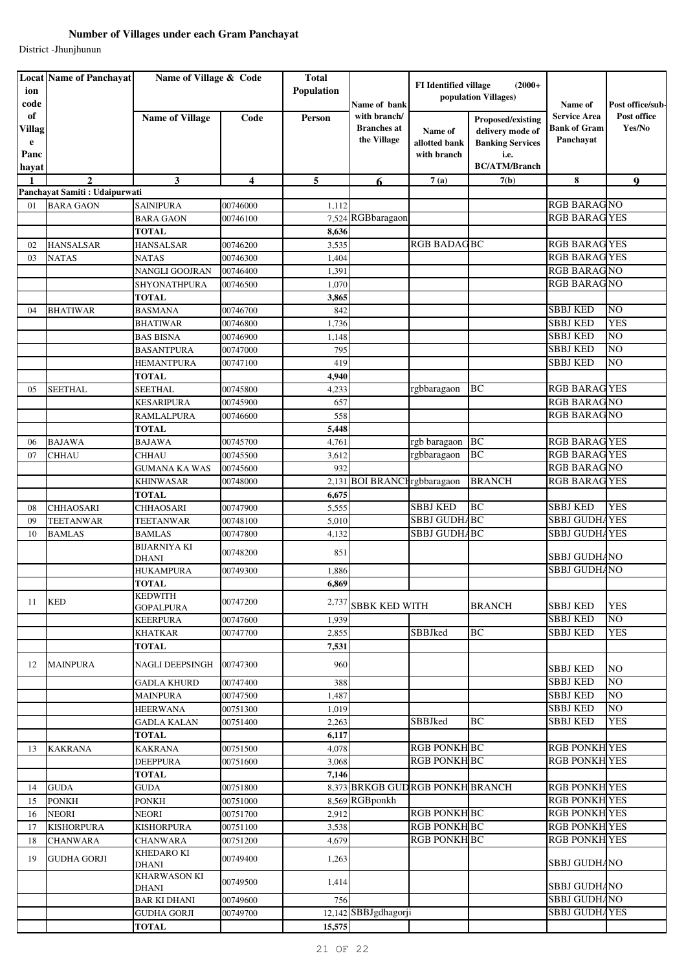|               | <b>Locat Name of Panchayat</b> | Name of Village & Code               |                      | <b>Total</b>   |                                      |                              |                                  |                                    |                              |
|---------------|--------------------------------|--------------------------------------|----------------------|----------------|--------------------------------------|------------------------------|----------------------------------|------------------------------------|------------------------------|
| ion           |                                |                                      |                      | Population     |                                      | <b>FI</b> Identified village | $(2000+$<br>population Villages) |                                    |                              |
| code          |                                |                                      |                      |                | Name of bank                         |                              |                                  | Name of                            | Post office/sub-             |
| of            |                                | <b>Name of Village</b>               | Code                 | Person         | with branch/                         |                              | Proposed/existing                | <b>Service Area</b>                | Post office                  |
| <b>Villag</b> |                                |                                      |                      |                | <b>Branches</b> at                   | Name of                      | delivery mode of                 | <b>Bank of Gram</b>                | Yes/No                       |
| e             |                                |                                      |                      |                | the Village                          | allotted bank                | <b>Banking Services</b>          | Panchayat                          |                              |
| Panc<br>hayat |                                |                                      |                      |                |                                      | with branch                  | i.e.<br><b>BC/ATM/Branch</b>     |                                    |                              |
| 1             | $\mathbf{2}$                   | 3                                    | 4                    | 5              | 6                                    | 7(a)                         | 7(b)                             | 8                                  | $\mathbf Q$                  |
|               | Panchayat Samiti : Udaipurwati |                                      |                      |                |                                      |                              |                                  |                                    |                              |
| 01            | <b>BARA GAON</b>               | <b>SAINIPURA</b>                     | 00746000             | 1,112          |                                      |                              |                                  | <b>RGB BARAGNO</b>                 |                              |
|               |                                | <b>BARA GAON</b>                     | 00746100             | 7,524          | RGBbaragaon                          |                              |                                  | <b>RGB BARAG YES</b>               |                              |
|               |                                | <b>TOTAL</b>                         |                      | 8,636          |                                      |                              |                                  |                                    |                              |
| 02            | <b>HANSALSAR</b>               | <b>HANSALSAR</b>                     | 00746200             | 3,535          |                                      | <b>RGB BADAGBC</b>           |                                  | <b>RGB BARAG YES</b>               |                              |
| 03            | <b>NATAS</b>                   | <b>NATAS</b>                         | 00746300             | 1,404          |                                      |                              |                                  | <b>RGB BARAG YES</b>               |                              |
|               |                                | NANGLI GOOJRAN                       | 00746400             | 1,391          |                                      |                              |                                  | <b>RGB BARAGNO</b>                 |                              |
|               |                                | SHYONATHPURA                         | 00746500             | 1,070          |                                      |                              |                                  | <b>RGB BARAGNO</b>                 |                              |
|               |                                | <b>TOTAL</b>                         |                      | 3,865          |                                      |                              |                                  |                                    |                              |
| 04            | <b>BHATIWAR</b>                | <b>BASMANA</b>                       | 00746700             | 842            |                                      |                              |                                  | <b>SBBJ KED</b><br><b>SBBJ KED</b> | N <sub>O</sub><br><b>YES</b> |
|               |                                | <b>BHATIWAR</b><br><b>BAS BISNA</b>  | 00746800<br>00746900 | 1,736<br>1,148 |                                      |                              |                                  | <b>SBBJ KED</b>                    | NO                           |
|               |                                | <b>BASANTPURA</b>                    | 00747000             | 795            |                                      |                              |                                  | <b>SBBJ KED</b>                    | NO <sub></sub>               |
|               |                                | <b>HEMANTPURA</b>                    | 00747100             | 419            |                                      |                              |                                  | <b>SBBJ KED</b>                    | NO <sub></sub>               |
|               |                                | <b>TOTAL</b>                         |                      | 4,940          |                                      |                              |                                  |                                    |                              |
| 05            | <b>SEETHAL</b>                 | <b>SEETHAL</b>                       | 00745800             | 4,233          |                                      | rgbbaragaon                  | BC                               | <b>RGB BARAG YES</b>               |                              |
|               |                                | KESARIPURA                           | 00745900             | 657            |                                      |                              |                                  | <b>RGB BARAGNO</b>                 |                              |
|               |                                | RAMLALPURA                           | 00746600             | 558            |                                      |                              |                                  | <b>RGB BARAGNO</b>                 |                              |
|               |                                | <b>TOTAL</b>                         |                      | 5,448          |                                      |                              |                                  |                                    |                              |
| 06            | <b>BAJAWA</b>                  | <b>BAJAWA</b>                        | 00745700             | 4,761          |                                      | rgb baragaon                 | <b>BC</b>                        | <b>RGB BARAG YES</b>               |                              |
| 07            | <b>CHHAU</b>                   | CHHAU                                | 00745500             | 3,612          |                                      | rgbbaragaon                  | BC                               | <b>RGB BARAG YES</b>               |                              |
|               |                                | GUMANA KA WAS                        | 00745600             | 932            |                                      |                              |                                  | <b>RGB BARAGNO</b>                 |                              |
|               |                                | <b>KHINWASAR</b>                     | 00748000             | 2,131          | <b>BOI BRANCH</b> rgbbaragaon        |                              | <b>BRANCH</b>                    | <b>RGB BARAG YES</b>               |                              |
|               |                                | <b>TOTAL</b>                         |                      | 6,675          |                                      |                              |                                  |                                    |                              |
| 08            | <b>CHHAOSARI</b>               | <b>CHHAOSARI</b>                     | 00747900             | 5,555          |                                      | <b>SBBJ KED</b>              | <b>BC</b>                        | <b>SBBJ KED</b>                    | <b>YES</b>                   |
| 09            | <b>TEETANWAR</b>               | <b>TEETANWAR</b>                     | 00748100             | 5,010          |                                      | <b>SBBJ GUDHABC</b>          |                                  | <b>SBBJ GUDHAYES</b>               |                              |
| 10            | <b>BAMLAS</b>                  | <b>BAMLAS</b><br><b>BIJARNIYA KI</b> | 00747800             | 4,132          |                                      | <b>SBBJ GUDHABC</b>          |                                  | <b>SBBJ GUDHAYES</b>               |                              |
|               |                                | <b>DHANI</b>                         | 00748200             | 851            |                                      |                              |                                  | <b>SBBJ GUDHANO</b>                |                              |
|               |                                | <b>HUKAMPURA</b>                     | 00749300             | 1,886          |                                      |                              |                                  | <b>SBBJ GUDHANO</b>                |                              |
|               |                                | <b>TOTAL</b>                         |                      | 6,869          |                                      |                              |                                  |                                    |                              |
| 11            | <b>KED</b>                     | <b>KEDWITH</b>                       | 00747200             |                |                                      |                              |                                  |                                    |                              |
|               |                                | <b>GOPALPURA</b>                     |                      |                | $^{2,737}\!\!\!\!\!\!$ SBBK KED WITH |                              | <b>BRANCH</b>                    | <b>SBBJ KED</b><br><b>SBBJ KED</b> | <b>YES</b><br>NO.            |
|               |                                | <b>KEERPURA</b><br><b>KHATKAR</b>    | 00747600<br>00747700 | 1,939<br>2,855 |                                      | SBBJked                      | BC                               | <b>SBBJ KED</b>                    | <b>YES</b>                   |
|               |                                | <b>TOTAL</b>                         |                      | 7,531          |                                      |                              |                                  |                                    |                              |
|               |                                |                                      |                      |                |                                      |                              |                                  |                                    |                              |
| 12            | <b>MAINPURA</b>                | NAGLI DEEPSINGH                      | 00747300             | 960            |                                      |                              |                                  | <b>SBBJ KED</b>                    | NO <sub>1</sub>              |
|               |                                | <b>GADLA KHURD</b>                   | 00747400             | 388            |                                      |                              |                                  | <b>SBBJ KED</b>                    | NO                           |
|               |                                | <b>MAINPURA</b>                      | 00747500             | 1,487          |                                      |                              |                                  | <b>SBBJ KED</b>                    | NO                           |
|               |                                | <b>HEERWANA</b>                      | 00751300             | 1,019          |                                      |                              |                                  | <b>SBBJ KED</b>                    | NO <sub></sub>               |
|               |                                | <b>GADLA KALAN</b>                   | 00751400             | 2,263          |                                      | SBBJked                      | <b>BC</b>                        | <b>SBBJ KED</b>                    | <b>YES</b>                   |
|               |                                | <b>TOTAL</b>                         |                      | 6,117          |                                      | <b>RGB PONKH BC</b>          |                                  | <b>RGB PONKH YES</b>               |                              |
| 13            | <b>KAKRANA</b>                 | KAKRANA<br><b>DEEPPURA</b>           | 00751500<br>00751600 | 4,078<br>3,068 |                                      | <b>RGB PONKH BC</b>          |                                  | <b>RGB PONKH YES</b>               |                              |
|               |                                | <b>TOTAL</b>                         |                      | 7,146          |                                      |                              |                                  |                                    |                              |
| 14            | <b>GUDA</b>                    | <b>GUDA</b>                          | 00751800             |                | 8,373 BRKGB GUDRGB PONKH BRANCH      |                              |                                  | <b>RGB PONKH YES</b>               |                              |
| 15            | <b>PONKH</b>                   | PONKH                                | 00751000             |                | 8,569 RGBponkh                       |                              |                                  | <b>RGB PONKH YES</b>               |                              |
| 16            | <b>NEORI</b>                   | <b>NEORI</b>                         | 00751700             | 2,912          |                                      | <b>RGB PONKH BC</b>          |                                  | <b>RGB PONKH YES</b>               |                              |
| 17            | <b>KISHORPURA</b>              | <b>KISHORPURA</b>                    | 00751100             | 3,538          |                                      | <b>RGB PONKH BC</b>          |                                  | <b>RGB PONKH YES</b>               |                              |
| 18            | <b>CHANWARA</b>                | <b>CHANWARA</b>                      | 00751200             | 4,679          |                                      | <b>RGB PONKH BC</b>          |                                  | <b>RGB PONKH YES</b>               |                              |
| 19            | <b>GUDHA GORJI</b>             | <b>KHEDARO KI</b>                    | 00749400             | 1,263          |                                      |                              |                                  |                                    |                              |
|               |                                | DHANI                                |                      |                |                                      |                              |                                  | <b>SBBJ GUDHANO</b>                |                              |
|               |                                | KHARWASON KI<br>DHANI                | 00749500             | 1,414          |                                      |                              |                                  | <b>SBBJ GUDHANO</b>                |                              |
|               |                                | <b>BAR KI DHANI</b>                  | 00749600             | 756            |                                      |                              |                                  | <b>SBBJ GUDHANO</b>                |                              |
|               |                                | <b>GUDHA GORJI</b>                   | 00749700             |                | 12,142 SBBJgdhagorji                 |                              |                                  | <b>SBBJ GUDHAYES</b>               |                              |
|               |                                | <b>TOTAL</b>                         |                      | 15,575         |                                      |                              |                                  |                                    |                              |